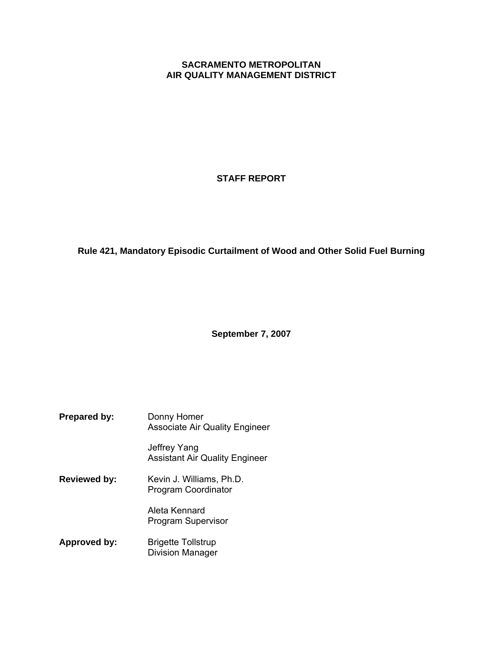# **SACRAMENTO METROPOLITAN AIR QUALITY MANAGEMENT DISTRICT**

# **STAFF REPORT**

# **Rule 421, Mandatory Episodic Curtailment of Wood and Other Solid Fuel Burning**

**September 7, 2007** 

**Prepared by:** Donny Homer Associate Air Quality Engineer Jeffrey Yang Assistant Air Quality Engineer **Reviewed by:** Kevin J. Williams, Ph.D. Program Coordinator Aleta Kennard Program Supervisor **Approved by:** Brigette Tollstrup Division Manager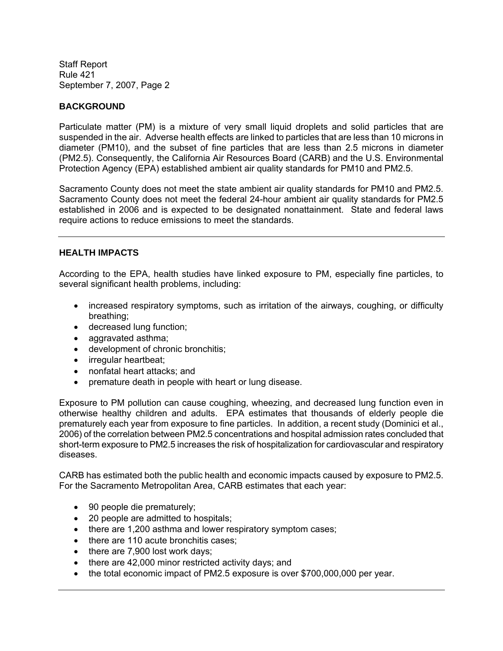#### **BACKGROUND**

Particulate matter (PM) is a mixture of very small liquid droplets and solid particles that are suspended in the air. Adverse health effects are linked to particles that are less than 10 microns in diameter (PM10), and the subset of fine particles that are less than 2.5 microns in diameter (PM2.5). Consequently, the California Air Resources Board (CARB) and the U.S. Environmental Protection Agency (EPA) established ambient air quality standards for PM10 and PM2.5.

Sacramento County does not meet the state ambient air quality standards for PM10 and PM2.5. Sacramento County does not meet the federal 24-hour ambient air quality standards for PM2.5 established in 2006 and is expected to be designated nonattainment. State and federal laws require actions to reduce emissions to meet the standards.

#### **HEALTH IMPACTS**

According to the EPA, health studies have linked exposure to PM, especially fine particles, to several significant health problems, including:

- increased respiratory symptoms, such as irritation of the airways, coughing, or difficulty breathing;
- decreased lung function;
- aggravated asthma;
- development of chronic bronchitis;
- irregular heartbeat;
- nonfatal heart attacks; and
- premature death in people with heart or lung disease.

Exposure to PM pollution can cause coughing, wheezing, and decreased lung function even in otherwise healthy children and adults. EPA estimates that thousands of elderly people die prematurely each year from exposure to fine particles. In addition, a recent study (Dominici et al., 2006) of the correlation between PM2.5 concentrations and hospital admission rates concluded that short-term exposure to PM2.5 increases the risk of hospitalization for cardiovascular and respiratory diseases.

CARB has estimated both the public health and economic impacts caused by exposure to PM2.5. For the Sacramento Metropolitan Area, CARB estimates that each year:

- 90 people die prematurely;
- 20 people are admitted to hospitals;
- there are 1,200 asthma and lower respiratory symptom cases;
- there are 110 acute bronchitis cases;
- there are 7,900 lost work days;
- there are 42,000 minor restricted activity days; and
- the total economic impact of PM2.5 exposure is over \$700,000,000 per year.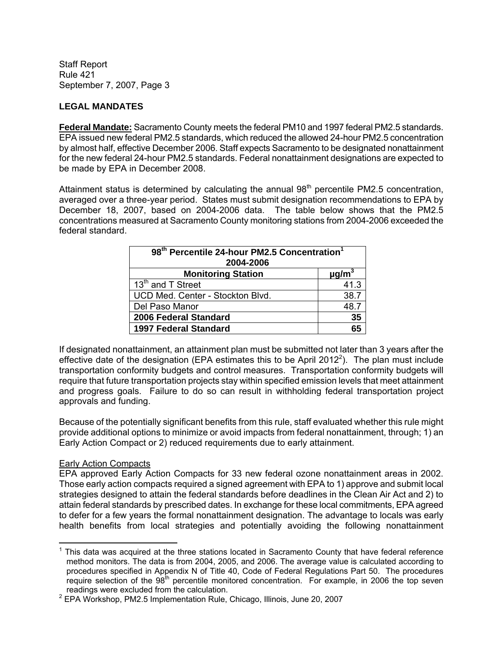# **LEGAL MANDATES**

**Federal Mandate:** Sacramento County meets the federal PM10 and 1997 federal PM2.5 standards. EPA issued new federal PM2.5 standards, which reduced the allowed 24-hour PM2.5 concentration by almost half, effective December 2006. Staff expects Sacramento to be designated nonattainment for the new federal 24-hour PM2.5 standards. Federal nonattainment designations are expected to be made by EPA in December 2008.

Attainment status is determined by calculating the annual  $98<sup>th</sup>$  percentile PM2.5 concentration, averaged over a three-year period. States must submit designation recommendations to EPA by December 18, 2007, based on 2004-2006 data. The table below shows that the PM2.5 concentrations measured at Sacramento County monitoring stations from 2004-2006 exceeded the federal standard.

| 98 <sup>th</sup> Percentile 24-hour PM2.5 Concentration <sup>1</sup><br>2004-2006 |                        |  |  |
|-----------------------------------------------------------------------------------|------------------------|--|--|
| <b>Monitoring Station</b>                                                         | $\mu$ g/m <sup>3</sup> |  |  |
| 13 <sup>th</sup> and T Street                                                     | 41.3                   |  |  |
| UCD Med. Center - Stockton Blvd.                                                  | 38.7                   |  |  |
| Del Paso Manor                                                                    | 48.7                   |  |  |
| 2006 Federal Standard<br>35                                                       |                        |  |  |
| <b>1997 Federal Standard</b>                                                      | 65                     |  |  |

If designated nonattainment, an attainment plan must be submitted not later than 3 years after the effective date of the designation (EPA estimates this to be April 2012<sup>2</sup>). The plan must include transportation conformity budgets and control measures. Transportation conformity budgets will require that future transportation projects stay within specified emission levels that meet attainment and progress goals. Failure to do so can result in withholding federal transportation project approvals and funding.

Because of the potentially significant benefits from this rule, staff evaluated whether this rule might provide additional options to minimize or avoid impacts from federal nonattainment, through; 1) an Early Action Compact or 2) reduced requirements due to early attainment.

#### Early Action Compacts

EPA approved Early Action Compacts for 33 new federal ozone nonattainment areas in 2002. Those early action compacts required a signed agreement with EPA to 1) approve and submit local strategies designed to attain the federal standards before deadlines in the Clean Air Act and 2) to attain federal standards by prescribed dates. In exchange for these local commitments, EPA agreed to defer for a few years the formal nonattainment designation. The advantage to locals was early health benefits from local strategies and potentially avoiding the following nonattainment

 $\overline{a}$  $1$  This data was acquired at the three stations located in Sacramento County that have federal reference method monitors. The data is from 2004, 2005, and 2006. The average value is calculated according to procedures specified in Appendix N of Title 40, Code of Federal Regulations Part 50. The procedures require selection of the 98<sup>th</sup> percentile monitored concentration. For example, in 2006 the top seven readings were excluded from the calculation.

<sup>&</sup>lt;sup>2</sup> EPA Workshop, PM2.5 Implementation Rule, Chicago, Illinois, June 20, 2007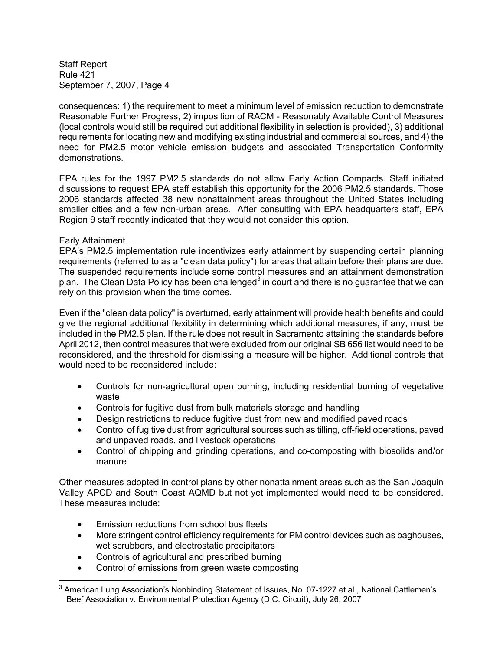consequences: 1) the requirement to meet a minimum level of emission reduction to demonstrate Reasonable Further Progress, 2) imposition of RACM - Reasonably Available Control Measures (local controls would still be required but additional flexibility in selection is provided), 3) additional requirements for locating new and modifying existing industrial and commercial sources, and 4) the need for PM2.5 motor vehicle emission budgets and associated Transportation Conformity demonstrations.

EPA rules for the 1997 PM2.5 standards do not allow Early Action Compacts. Staff initiated discussions to request EPA staff establish this opportunity for the 2006 PM2.5 standards. Those 2006 standards affected 38 new nonattainment areas throughout the United States including smaller cities and a few non-urban areas. After consulting with EPA headquarters staff, EPA Region 9 staff recently indicated that they would not consider this option.

#### Early Attainment

EPA's PM2.5 implementation rule incentivizes early attainment by suspending certain planning requirements (referred to as a "clean data policy") for areas that attain before their plans are due. The suspended requirements include some control measures and an attainment demonstration plan. The Clean Data Policy has been challenged<sup>3</sup> in court and there is no guarantee that we can rely on this provision when the time comes.

Even if the "clean data policy" is overturned, early attainment will provide health benefits and could give the regional additional flexibility in determining which additional measures, if any, must be included in the PM2.5 plan. If the rule does not result in Sacramento attaining the standards before April 2012, then control measures that were excluded from our original SB 656 list would need to be reconsidered, and the threshold for dismissing a measure will be higher. Additional controls that would need to be reconsidered include:

- Controls for non-agricultural open burning, including residential burning of vegetative waste
- Controls for fugitive dust from bulk materials storage and handling
- Design restrictions to reduce fugitive dust from new and modified paved roads
- Control of fugitive dust from agricultural sources such as tilling, off-field operations, paved and unpaved roads, and livestock operations
- Control of chipping and grinding operations, and co-composting with biosolids and/or manure

Other measures adopted in control plans by other nonattainment areas such as the San Joaquin Valley APCD and South Coast AQMD but not yet implemented would need to be considered. These measures include:

- Emission reductions from school bus fleets
- More stringent control efficiency requirements for PM control devices such as baghouses, wet scrubbers, and electrostatic precipitators
- Controls of agricultural and prescribed burning
- Control of emissions from green waste composting

 $\overline{a}$  $^3$  American Lung Association's Nonbinding Statement of Issues, No. 07-1227 et al., National Cattlemen's Beef Association v. Environmental Protection Agency (D.C. Circuit), July 26, 2007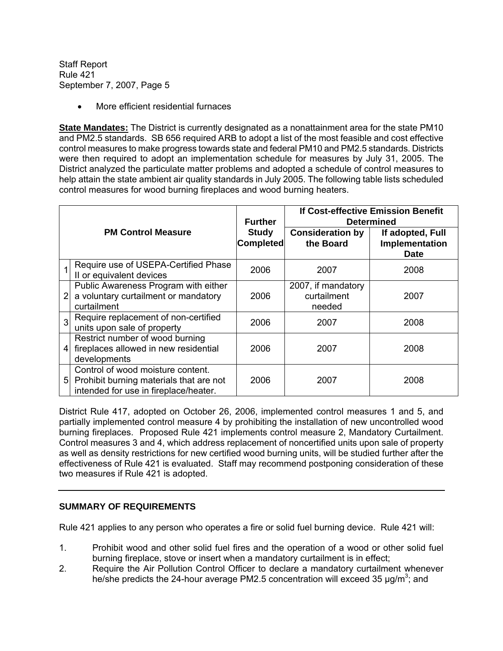• More efficient residential furnaces

**State Mandates:** The District is currently designated as a nonattainment area for the state PM10 and PM2.5 standards. SB 656 required ARB to adopt a list of the most feasible and cost effective control measures to make progress towards state and federal PM10 and PM2.5 standards. Districts were then required to adopt an implementation schedule for measures by July 31, 2005. The District analyzed the particulate matter problems and adopted a schedule of control measures to help attain the state ambient air quality standards in July 2005. The following table lists scheduled control measures for wood burning fireplaces and wood burning heaters.

|                |                                                                                                                       | <b>Further</b>                   | <b>If Cost-effective Emission Benefit</b><br><b>Determined</b> |                                                   |  |
|----------------|-----------------------------------------------------------------------------------------------------------------------|----------------------------------|----------------------------------------------------------------|---------------------------------------------------|--|
|                | <b>PM Control Measure</b>                                                                                             | <b>Study</b><br><b>Completed</b> | <b>Consideration by</b><br>the Board                           | If adopted, Full<br>Implementation<br><b>Date</b> |  |
|                | Require use of USEPA-Certified Phase<br>II or equivalent devices                                                      | 2006                             | 2007                                                           | 2008                                              |  |
| $\overline{2}$ | Public Awareness Program with either<br>a voluntary curtailment or mandatory<br>curtailment                           | 2006                             | 2007, if mandatory<br>curtailment<br>needed                    | 2007                                              |  |
| $\overline{3}$ | Require replacement of non-certified<br>units upon sale of property                                                   | 2006                             | 2007                                                           | 2008                                              |  |
| 4              | Restrict number of wood burning<br>fireplaces allowed in new residential<br>developments                              | 2006                             | 2007                                                           | 2008                                              |  |
| 5              | Control of wood moisture content.<br>Prohibit burning materials that are not<br>intended for use in fireplace/heater. | 2006                             | 2007                                                           | 2008                                              |  |

District Rule 417, adopted on October 26, 2006, implemented control measures 1 and 5, and partially implemented control measure 4 by prohibiting the installation of new uncontrolled wood burning fireplaces. Proposed Rule 421 implements control measure 2, Mandatory Curtailment. Control measures 3 and 4, which address replacement of noncertified units upon sale of property as well as density restrictions for new certified wood burning units, will be studied further after the effectiveness of Rule 421 is evaluated. Staff may recommend postponing consideration of these two measures if Rule 421 is adopted.

# **SUMMARY OF REQUIREMENTS**

Rule 421 applies to any person who operates a fire or solid fuel burning device. Rule 421 will:

- 1. Prohibit wood and other solid fuel fires and the operation of a wood or other solid fuel burning fireplace, stove or insert when a mandatory curtailment is in effect;
- 2. Require the Air Pollution Control Officer to declare a mandatory curtailment whenever he/she predicts the 24-hour average PM2.5 concentration will exceed 35  $\mu$ g/m<sup>3</sup>; and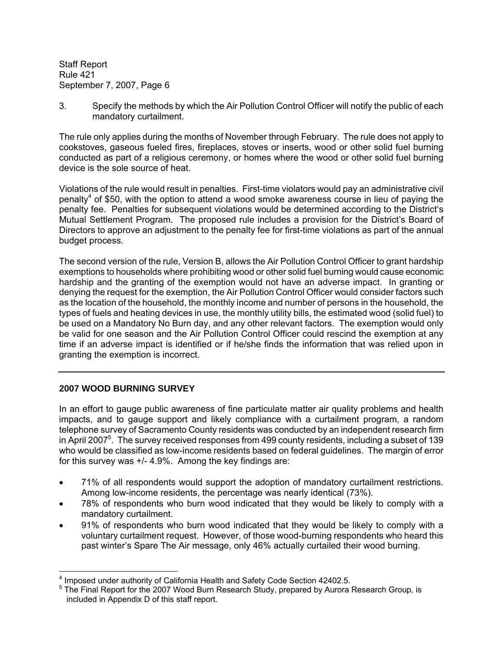3. Specify the methods by which the Air Pollution Control Officer will notify the public of each mandatory curtailment.

The rule only applies during the months of November through February. The rule does not apply to cookstoves, gaseous fueled fires, fireplaces, stoves or inserts, wood or other solid fuel burning conducted as part of a religious ceremony, or homes where the wood or other solid fuel burning device is the sole source of heat.

Violations of the rule would result in penalties. First-time violators would pay an administrative civil penalty<sup>4</sup> of \$50, with the option to attend a wood smoke awareness course in lieu of paying the penalty fee. Penalties for subsequent violations would be determined according to the District's Mutual Settlement Program. The proposed rule includes a provision for the District's Board of Directors to approve an adjustment to the penalty fee for first-time violations as part of the annual budget process.

The second version of the rule, Version B, allows the Air Pollution Control Officer to grant hardship exemptions to households where prohibiting wood or other solid fuel burning would cause economic hardship and the granting of the exemption would not have an adverse impact. In granting or denying the request for the exemption, the Air Pollution Control Officer would consider factors such as the location of the household, the monthly income and number of persons in the household, the types of fuels and heating devices in use, the monthly utility bills, the estimated wood (solid fuel) to be used on a Mandatory No Burn day, and any other relevant factors. The exemption would only be valid for one season and the Air Pollution Control Officer could rescind the exemption at any time if an adverse impact is identified or if he/she finds the information that was relied upon in granting the exemption is incorrect.

# **2007 WOOD BURNING SURVEY**

In an effort to gauge public awareness of fine particulate matter air quality problems and health impacts, and to gauge support and likely compliance with a curtailment program, a random telephone survey of Sacramento County residents was conducted by an independent research firm in April 2007<sup>5</sup>. The survey received responses from 499 county residents, including a subset of 139 who would be classified as low-income residents based on federal guidelines. The margin of error for this survey was +/- 4.9%. Among the key findings are:

- 71% of all respondents would support the adoption of mandatory curtailment restrictions. Among low-income residents, the percentage was nearly identical (73%).
- 78% of respondents who burn wood indicated that they would be likely to comply with a mandatory curtailment.
- 91% of respondents who burn wood indicated that they would be likely to comply with a voluntary curtailment request. However, of those wood-burning respondents who heard this past winter's Spare The Air message, only 46% actually curtailed their wood burning.

 $\overline{a}$ <sup>4</sup> Imposed under authority of California Health and Safety Code Section 42402.5.

<sup>&</sup>lt;sup>5</sup> The Final Report for the 2007 Wood Burn Research Study, prepared by Aurora Research Group, is included in Appendix D of this staff report.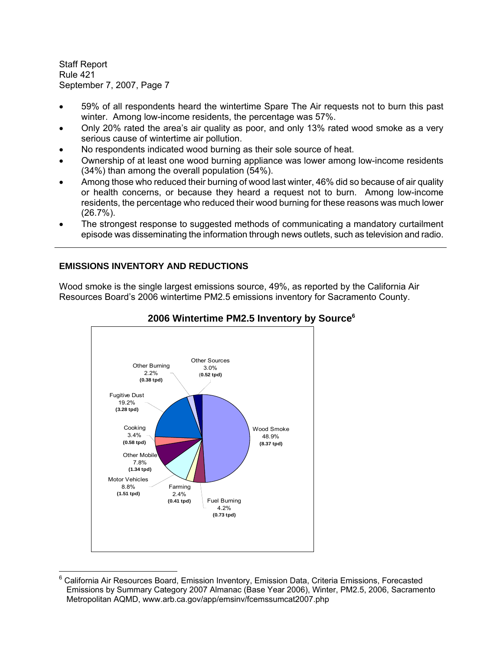$\overline{a}$ 

- 59% of all respondents heard the wintertime Spare The Air requests not to burn this past winter. Among low-income residents, the percentage was 57%.
- Only 20% rated the area's air quality as poor, and only 13% rated wood smoke as a very serious cause of wintertime air pollution.
- No respondents indicated wood burning as their sole source of heat.
- Ownership of at least one wood burning appliance was lower among low-income residents (34%) than among the overall population (54%).
- Among those who reduced their burning of wood last winter, 46% did so because of air quality or health concerns, or because they heard a request not to burn. Among low-income residents, the percentage who reduced their wood burning for these reasons was much lower (26.7%).
- The strongest response to suggested methods of communicating a mandatory curtailment episode was disseminating the information through news outlets, such as television and radio.

# **EMISSIONS INVENTORY AND REDUCTIONS**

Wood smoke is the single largest emissions source, 49%, as reported by the California Air Resources Board's 2006 wintertime PM2.5 emissions inventory for Sacramento County.



# **2006 Wintertime PM2.5 Inventory by Source6**

<sup>&</sup>lt;sup>6</sup> California Air Resources Board, Emission Inventory, Emission Data, Criteria Emissions, Forecasted Emissions by Summary Category 2007 Almanac (Base Year 2006), Winter, PM2.5, 2006, Sacramento Metropolitan AQMD, www.arb.ca.gov/app/emsinv/fcemssumcat2007.php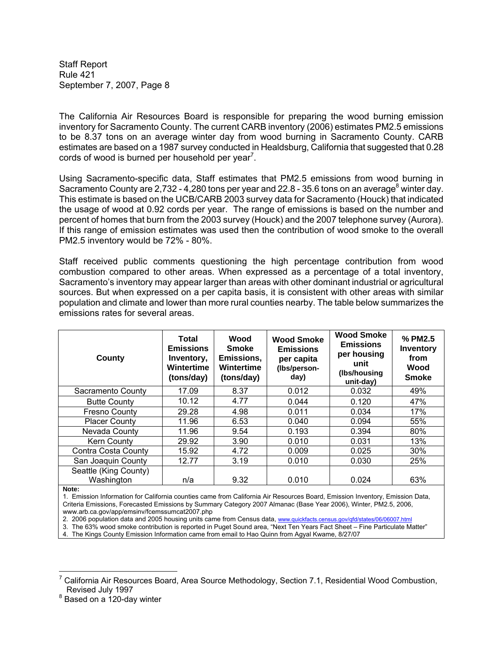The California Air Resources Board is responsible for preparing the wood burning emission inventory for Sacramento County. The current CARB inventory (2006) estimates PM2.5 emissions to be 8.37 tons on an average winter day from wood burning in Sacramento County. CARB estimates are based on a 1987 survey conducted in Healdsburg, California that suggested that 0.28 cords of wood is burned per household per year<sup>7</sup>.

Using Sacramento-specific data, Staff estimates that PM2.5 emissions from wood burning in Sacramento County are 2,732 - 4,280 tons per year and 22.8 - 35.6 tons on an average<sup>8</sup> winter day. This estimate is based on the UCB/CARB 2003 survey data for Sacramento (Houck) that indicated the usage of wood at 0.92 cords per year. The range of emissions is based on the number and percent of homes that burn from the 2003 survey (Houck) and the 2007 telephone survey (Aurora). If this range of emission estimates was used then the contribution of wood smoke to the overall PM2.5 inventory would be 72% - 80%.

Staff received public comments questioning the high percentage contribution from wood combustion compared to other areas. When expressed as a percentage of a total inventory, Sacramento's inventory may appear larger than areas with other dominant industrial or agricultural sources. But when expressed on a per capita basis, it is consistent with other areas with similar population and climate and lower than more rural counties nearby. The table below summarizes the emissions rates for several areas.

| County                              | Total<br><b>Emissions</b><br>Inventory,<br>Wintertime<br>(tons/day) | Wood<br><b>Smoke</b><br>Emissions,<br>Wintertime<br>(tons/day) | <b>Wood Smoke</b><br><b>Emissions</b><br>per capita<br>(Ibs/person-<br>day) | <b>Wood Smoke</b><br><b>Emissions</b><br>per housing<br>unit<br>(Ibs/housing<br>unit-day) | % PM2.5<br><b>Inventory</b><br>from<br>Wood<br><b>Smoke</b> |
|-------------------------------------|---------------------------------------------------------------------|----------------------------------------------------------------|-----------------------------------------------------------------------------|-------------------------------------------------------------------------------------------|-------------------------------------------------------------|
| Sacramento County                   | 17.09                                                               | 8.37                                                           | 0.012                                                                       | 0.032                                                                                     | 49%                                                         |
| <b>Butte County</b>                 | 10.12                                                               | 4.77                                                           | 0.044                                                                       | 0.120                                                                                     | 47%                                                         |
| <b>Fresno County</b>                | 29.28                                                               | 4.98                                                           | 0.011                                                                       | 0.034                                                                                     | 17%                                                         |
| <b>Placer County</b>                | 11.96                                                               | 6.53                                                           | 0.040                                                                       | 0.094                                                                                     | 55%                                                         |
| Nevada County                       | 11.96                                                               | 9.54                                                           | 0.193                                                                       | 0.394                                                                                     | 80%                                                         |
| <b>Kern County</b>                  | 29.92                                                               | 3.90                                                           | 0.010                                                                       | 0.031                                                                                     | 13%                                                         |
| Contra Costa County                 | 15.92                                                               | 4.72                                                           | 0.009                                                                       | 0.025                                                                                     | 30%                                                         |
| San Joaquin County                  | 12.77                                                               | 3.19                                                           | 0.010                                                                       | 0.030                                                                                     | 25%                                                         |
| Seattle (King County)<br>Washington | n/a                                                                 | 9.32                                                           | 0.010                                                                       | 0.024                                                                                     | 63%                                                         |

**Note:** 

 $\overline{a}$ 

1. Emission Information for California counties came from California Air Resources Board, Emission Inventory, Emission Data, Criteria Emissions, Forecasted Emissions by Summary Category 2007 Almanac (Base Year 2006), Winter, PM2.5, 2006, www.arb.ca.gov/app/emsinv/fcemssumcat2007.php

2. 2006 population data and 2005 housing units came from Census data, www.quickfacts.census.gov/qfd/states/06/06007.html

3. The 63% wood smoke contribution is reported in Puget Sound area, "Next Ten Years Fact Sheet – Fine Particulate Matter"

4. The Kings County Emission Information came from email to Hao Quinn from Agyal Kwame, 8/27/07

<sup>&</sup>lt;sup>7</sup> California Air Resources Board, Area Source Methodology, Section 7.1, Residential Wood Combustion, Revised July 1997

<sup>&</sup>lt;sup>8</sup> Based on a 120-day winter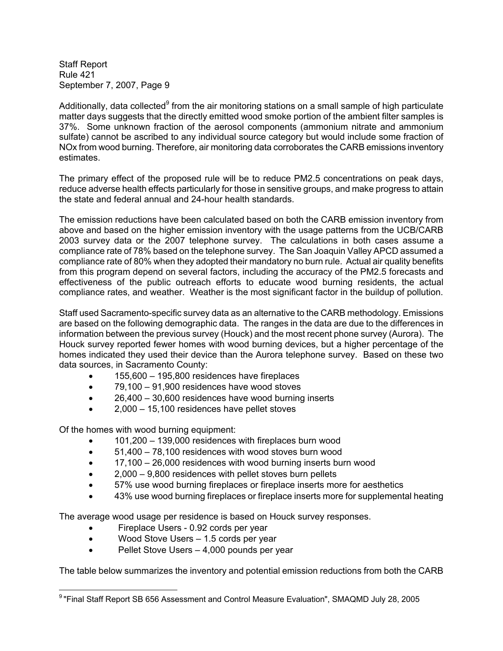Additionally, data collected<sup>9</sup> from the air monitoring stations on a small sample of high particulate matter days suggests that the directly emitted wood smoke portion of the ambient filter samples is 37%. Some unknown fraction of the aerosol components (ammonium nitrate and ammonium sulfate) cannot be ascribed to any individual source category but would include some fraction of NOx from wood burning. Therefore, air monitoring data corroborates the CARB emissions inventory estimates.

The primary effect of the proposed rule will be to reduce PM2.5 concentrations on peak days, reduce adverse health effects particularly for those in sensitive groups, and make progress to attain the state and federal annual and 24-hour health standards.

The emission reductions have been calculated based on both the CARB emission inventory from above and based on the higher emission inventory with the usage patterns from the UCB/CARB 2003 survey data or the 2007 telephone survey. The calculations in both cases assume a compliance rate of 78% based on the telephone survey. The San Joaquin Valley APCD assumed a compliance rate of 80% when they adopted their mandatory no burn rule. Actual air quality benefits from this program depend on several factors, including the accuracy of the PM2.5 forecasts and effectiveness of the public outreach efforts to educate wood burning residents, the actual compliance rates, and weather. Weather is the most significant factor in the buildup of pollution.

Staff used Sacramento-specific survey data as an alternative to the CARB methodology. Emissions are based on the following demographic data. The ranges in the data are due to the differences in information between the previous survey (Houck) and the most recent phone survey (Aurora). The Houck survey reported fewer homes with wood burning devices, but a higher percentage of the homes indicated they used their device than the Aurora telephone survey. Based on these two data sources, in Sacramento County:

- 155,600 195,800 residences have fireplaces
- 79,100 91,900 residences have wood stoves
- 26,400 30,600 residences have wood burning inserts
- 2,000 15,100 residences have pellet stoves

Of the homes with wood burning equipment:

- 101,200 139,000 residences with fireplaces burn wood
- 51,400 78,100 residences with wood stoves burn wood
- 17,100 26,000 residences with wood burning inserts burn wood
- 2,000 9,800 residences with pellet stoves burn pellets
- 57% use wood burning fireplaces or fireplace inserts more for aesthetics
- 43% use wood burning fireplaces or fireplace inserts more for supplemental heating

The average wood usage per residence is based on Houck survey responses.

- Fireplace Users 0.92 cords per year
- Wood Stove Users 1.5 cords per year
- Pellet Stove Users 4,000 pounds per year

The table below summarizes the inventory and potential emission reductions from both the CARB

 $\overline{a}$ 9 "Final Staff Report SB 656 Assessment and Control Measure Evaluation", SMAQMD July 28, 2005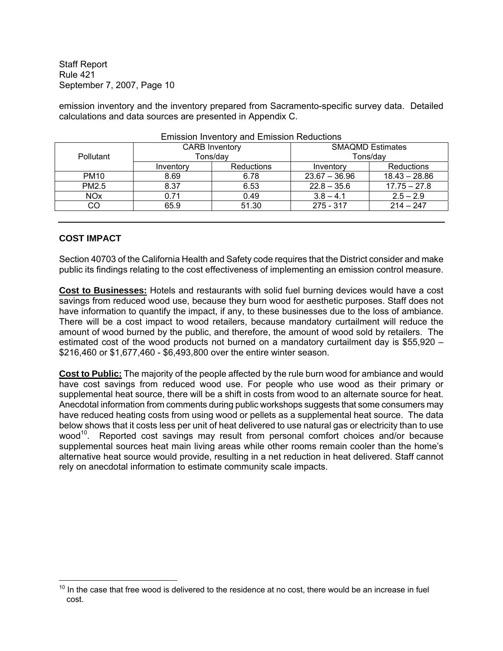emission inventory and the inventory prepared from Sacramento-specific survey data. Detailed calculations and data sources are presented in Appendix C.

| LINGSION INVENIORY AND LINGSION INCODENTIS |                       |            |                         |                 |
|--------------------------------------------|-----------------------|------------|-------------------------|-----------------|
|                                            | <b>CARB Inventory</b> |            | <b>SMAQMD Estimates</b> |                 |
| <b>Pollutant</b>                           | Tons/day              |            | Tons/dav                |                 |
|                                            | Inventory             | Reductions | Inventory               | Reductions      |
| <b>PM10</b>                                | 8.69                  | 6.78       | $23.67 - 36.96$         | $18.43 - 28.86$ |
| PM2.5                                      | 8.37                  | 6.53       | $22.8 - 35.6$           | $17.75 - 27.8$  |
| <b>NO<sub>x</sub></b>                      | 0.71                  | 0.49       | $3.8 - 4.1$             | $2.5 - 2.9$     |
| CO                                         | 65.9                  | 51.30      | 275 - 317               | $214 - 247$     |
|                                            |                       |            |                         |                 |

Emission Inventory and Emission Reductions

#### **COST IMPACT**

 $\overline{a}$ 

Section 40703 of the California Health and Safety code requires that the District consider and make public its findings relating to the cost effectiveness of implementing an emission control measure.

**Cost to Businesses:** Hotels and restaurants with solid fuel burning devices would have a cost savings from reduced wood use, because they burn wood for aesthetic purposes. Staff does not have information to quantify the impact, if any, to these businesses due to the loss of ambiance. There will be a cost impact to wood retailers, because mandatory curtailment will reduce the amount of wood burned by the public, and therefore, the amount of wood sold by retailers. The estimated cost of the wood products not burned on a mandatory curtailment day is \$55,920 – \$216,460 or \$1,677,460 - \$6,493,800 over the entire winter season.

**Cost to Public:** The majority of the people affected by the rule burn wood for ambiance and would have cost savings from reduced wood use. For people who use wood as their primary or supplemental heat source, there will be a shift in costs from wood to an alternate source for heat. Anecdotal information from comments during public workshops suggests that some consumers may have reduced heating costs from using wood or pellets as a supplemental heat source. The data below shows that it costs less per unit of heat delivered to use natural gas or electricity than to use wood<sup>10</sup>. Reported cost savings may result from personal comfort choices and/or because supplemental sources heat main living areas while other rooms remain cooler than the home's alternative heat source would provide, resulting in a net reduction in heat delivered. Staff cannot rely on anecdotal information to estimate community scale impacts.

 $10$  In the case that free wood is delivered to the residence at no cost, there would be an increase in fuel cost.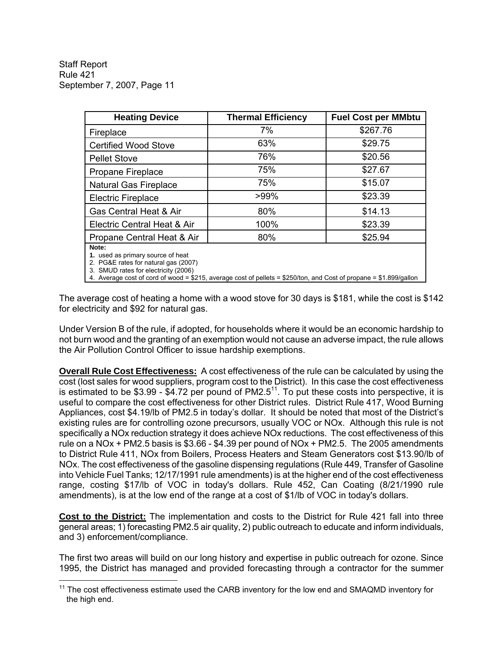$\overline{a}$ 

| <b>Heating Device</b>                                                                                                      | <b>Thermal Efficiency</b> | <b>Fuel Cost per MMbtu</b> |
|----------------------------------------------------------------------------------------------------------------------------|---------------------------|----------------------------|
| Fireplace                                                                                                                  | 7%                        | \$267.76                   |
| <b>Certified Wood Stove</b>                                                                                                | 63%                       | \$29.75                    |
| <b>Pellet Stove</b>                                                                                                        | 76%                       | \$20.56                    |
| Propane Fireplace                                                                                                          | 75%                       | \$27.67                    |
| <b>Natural Gas Fireplace</b>                                                                                               | 75%                       | \$15.07                    |
| <b>Electric Fireplace</b>                                                                                                  | >99%                      | \$23.39                    |
| Gas Central Heat & Air                                                                                                     | 80%                       | \$14.13                    |
| Electric Central Heat & Air                                                                                                | 100%                      | \$23.39                    |
| Propane Central Heat & Air                                                                                                 | 80%                       | \$25.94                    |
| Note:<br>1. used as primary source of heat<br>2. PG&E rates for natural gas (2007)<br>3. SMUD rates for electricity (2006) |                           |                            |

4. Average cost of cord of wood = \$215, average cost of pellets = \$250/ton, and Cost of propane = \$1.899/gallon

The average cost of heating a home with a wood stove for 30 days is \$181, while the cost is \$142 for electricity and \$92 for natural gas.

Under Version B of the rule, if adopted, for households where it would be an economic hardship to not burn wood and the granting of an exemption would not cause an adverse impact, the rule allows the Air Pollution Control Officer to issue hardship exemptions.

**Overall Rule Cost Effectiveness:** A cost effectiveness of the rule can be calculated by using the cost (lost sales for wood suppliers, program cost to the District). In this case the cost effectiveness is estimated to be \$3.99 - \$4.72 per pound of PM2.5 $^{11}$ . To put these costs into perspective, it is useful to compare the cost effectiveness for other District rules. District Rule 417, Wood Burning Appliances, cost \$4.19/lb of PM2.5 in today's dollar. It should be noted that most of the District's existing rules are for controlling ozone precursors, usually VOC or NOx. Although this rule is not specifically a NOx reduction strategy it does achieve NOx reductions. The cost effectiveness of this rule on a NOx + PM2.5 basis is  $$3.66 - $4.39$  per pound of NOx + PM2.5. The 2005 amendments to District Rule 411, NOx from Boilers, Process Heaters and Steam Generators cost \$13.90/lb of NOx. The cost effectiveness of the gasoline dispensing regulations (Rule 449, Transfer of Gasoline into Vehicle Fuel Tanks; 12/17/1991 rule amendments) is at the higher end of the cost effectiveness range, costing \$17/lb of VOC in today's dollars. Rule 452, Can Coating (8/21/1990 rule amendments), is at the low end of the range at a cost of \$1/lb of VOC in today's dollars.

**Cost to the District:** The implementation and costs to the District for Rule 421 fall into three general areas; 1) forecasting PM2.5 air quality, 2) public outreach to educate and inform individuals, and 3) enforcement/compliance.

The first two areas will build on our long history and expertise in public outreach for ozone. Since 1995, the District has managed and provided forecasting through a contractor for the summer

<sup>&</sup>lt;sup>11</sup> The cost effectiveness estimate used the CARB inventory for the low end and SMAQMD inventory for the high end.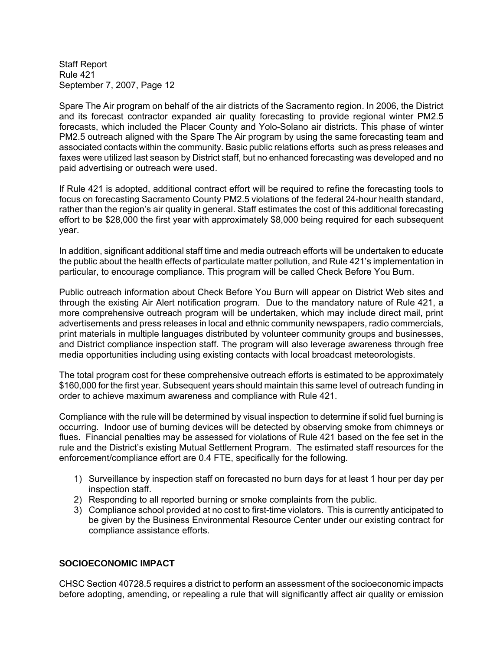Spare The Air program on behalf of the air districts of the Sacramento region. In 2006, the District and its forecast contractor expanded air quality forecasting to provide regional winter PM2.5 forecasts, which included the Placer County and Yolo-Solano air districts. This phase of winter PM2.5 outreach aligned with the Spare The Air program by using the same forecasting team and associated contacts within the community. Basic public relations efforts such as press releases and faxes were utilized last season by District staff, but no enhanced forecasting was developed and no paid advertising or outreach were used.

If Rule 421 is adopted, additional contract effort will be required to refine the forecasting tools to focus on forecasting Sacramento County PM2.5 violations of the federal 24-hour health standard, rather than the region's air quality in general. Staff estimates the cost of this additional forecasting effort to be \$28,000 the first year with approximately \$8,000 being required for each subsequent year.

In addition, significant additional staff time and media outreach efforts will be undertaken to educate the public about the health effects of particulate matter pollution, and Rule 421's implementation in particular, to encourage compliance. This program will be called Check Before You Burn.

Public outreach information about Check Before You Burn will appear on District Web sites and through the existing Air Alert notification program. Due to the mandatory nature of Rule 421, a more comprehensive outreach program will be undertaken, which may include direct mail, print advertisements and press releases in local and ethnic community newspapers, radio commercials, print materials in multiple languages distributed by volunteer community groups and businesses, and District compliance inspection staff. The program will also leverage awareness through free media opportunities including using existing contacts with local broadcast meteorologists.

The total program cost for these comprehensive outreach efforts is estimated to be approximately \$160,000 for the first year. Subsequent years should maintain this same level of outreach funding in order to achieve maximum awareness and compliance with Rule 421.

Compliance with the rule will be determined by visual inspection to determine if solid fuel burning is occurring. Indoor use of burning devices will be detected by observing smoke from chimneys or flues. Financial penalties may be assessed for violations of Rule 421 based on the fee set in the rule and the District's existing Mutual Settlement Program. The estimated staff resources for the enforcement/compliance effort are 0.4 FTE, specifically for the following.

- 1) Surveillance by inspection staff on forecasted no burn days for at least 1 hour per day per inspection staff.
- 2) Responding to all reported burning or smoke complaints from the public.
- 3) Compliance school provided at no cost to first-time violators. This is currently anticipated to be given by the Business Environmental Resource Center under our existing contract for compliance assistance efforts.

# **SOCIOECONOMIC IMPACT**

CHSC Section 40728.5 requires a district to perform an assessment of the socioeconomic impacts before adopting, amending, or repealing a rule that will significantly affect air quality or emission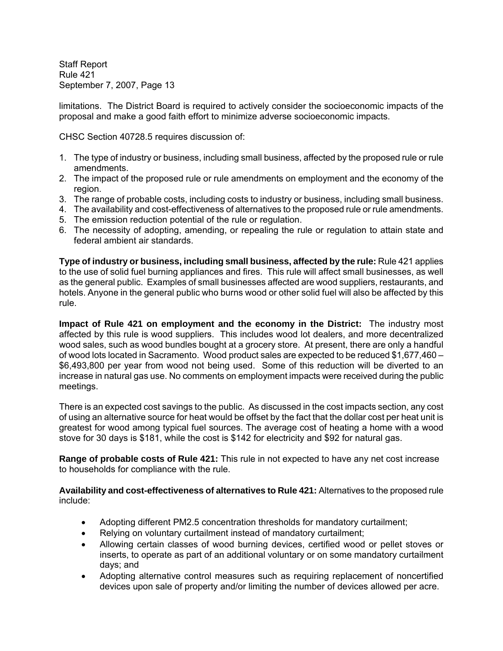limitations. The District Board is required to actively consider the socioeconomic impacts of the proposal and make a good faith effort to minimize adverse socioeconomic impacts.

CHSC Section 40728.5 requires discussion of:

- 1. The type of industry or business, including small business, affected by the proposed rule or rule amendments.
- 2. The impact of the proposed rule or rule amendments on employment and the economy of the region.
- 3. The range of probable costs, including costs to industry or business, including small business.
- 4. The availability and cost-effectiveness of alternatives to the proposed rule or rule amendments.
- 5. The emission reduction potential of the rule or regulation.
- 6. The necessity of adopting, amending, or repealing the rule or regulation to attain state and federal ambient air standards.

**Type of industry or business, including small business, affected by the rule:** Rule 421 applies to the use of solid fuel burning appliances and fires. This rule will affect small businesses, as well as the general public. Examples of small businesses affected are wood suppliers, restaurants, and hotels. Anyone in the general public who burns wood or other solid fuel will also be affected by this rule.

**Impact of Rule 421 on employment and the economy in the District:** The industry most affected by this rule is wood suppliers. This includes wood lot dealers, and more decentralized wood sales, such as wood bundles bought at a grocery store. At present, there are only a handful of wood lots located in Sacramento. Wood product sales are expected to be reduced \$1,677,460 – \$6,493,800 per year from wood not being used. Some of this reduction will be diverted to an increase in natural gas use. No comments on employment impacts were received during the public meetings.

There is an expected cost savings to the public. As discussed in the cost impacts section, any cost of using an alternative source for heat would be offset by the fact that the dollar cost per heat unit is greatest for wood among typical fuel sources. The average cost of heating a home with a wood stove for 30 days is \$181, while the cost is \$142 for electricity and \$92 for natural gas.

**Range of probable costs of Rule 421:** This rule in not expected to have any net cost increase to households for compliance with the rule.

**Availability and cost-effectiveness of alternatives to Rule 421:** Alternatives to the proposed rule include:

- Adopting different PM2.5 concentration thresholds for mandatory curtailment;
- Relying on voluntary curtailment instead of mandatory curtailment;
- Allowing certain classes of wood burning devices, certified wood or pellet stoves or inserts, to operate as part of an additional voluntary or on some mandatory curtailment days; and
- Adopting alternative control measures such as requiring replacement of noncertified devices upon sale of property and/or limiting the number of devices allowed per acre.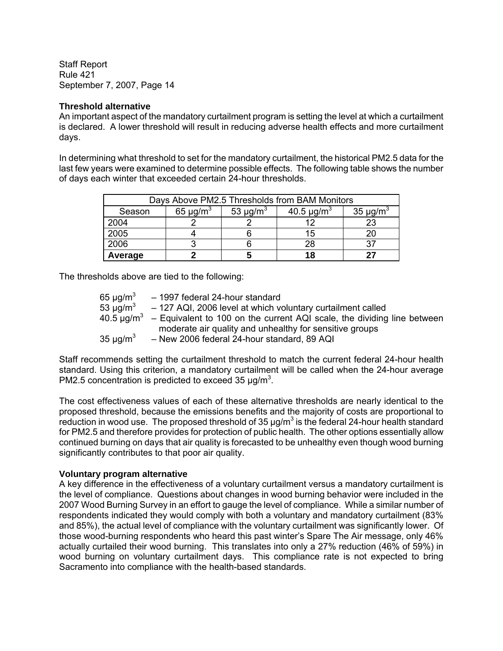#### **Threshold alternative**

An important aspect of the mandatory curtailment program is setting the level at which a curtailment is declared. A lower threshold will result in reducing adverse health effects and more curtailment days.

In determining what threshold to set for the mandatory curtailment, the historical PM2.5 data for the last few years were examined to determine possible effects. The following table shows the number of days each winter that exceeded certain 24-hour thresholds.

| Days Above PM2.5 Thresholds from BAM Monitors |                           |                           |                             |                           |  |
|-----------------------------------------------|---------------------------|---------------------------|-----------------------------|---------------------------|--|
| Season                                        | 65 $\mu$ g/m <sup>3</sup> | 53 $\mu$ g/m <sup>3</sup> | 40.5 $\mu$ g/m <sup>3</sup> | 35 $\mu$ g/m <sup>3</sup> |  |
| 2004                                          |                           |                           |                             | 23                        |  |
| 2005                                          |                           |                           | 15                          | 20                        |  |
| 2006                                          |                           |                           | 28                          |                           |  |
| Average                                       |                           |                           | 18                          |                           |  |

The thresholds above are tied to the following:

| 65 $\mu$ g/m <sup>3</sup> | - 1997 federal 24-hour standard                             |                                                                         |  |
|---------------------------|-------------------------------------------------------------|-------------------------------------------------------------------------|--|
| 53 $\mu$ g/m <sup>3</sup> | - 127 AQI, 2006 level at which voluntary curtailment called |                                                                         |  |
| 40.5 ug/m $^3$            |                                                             | - Equivalent to 100 on the current AQI scale, the dividing line between |  |
|                           | moderate air quality and unhealthy for sensitive groups     |                                                                         |  |
| 35 $\mu$ q/m <sup>3</sup> | - New 2006 federal 24-hour standard, 89 AQI                 |                                                                         |  |

Staff recommends setting the curtailment threshold to match the current federal 24-hour health standard. Using this criterion, a mandatory curtailment will be called when the 24-hour average PM2.5 concentration is predicted to exceed 35  $\mu$ g/m<sup>3</sup>.

The cost effectiveness values of each of these alternative thresholds are nearly identical to the proposed threshold, because the emissions benefits and the majority of costs are proportional to reduction in wood use. The proposed threshold of 35  $\mu$ g/m<sup>3</sup> is the federal 24-hour health standard for PM2.5 and therefore provides for protection of public health. The other options essentially allow continued burning on days that air quality is forecasted to be unhealthy even though wood burning significantly contributes to that poor air quality.

#### **Voluntary program alternative**

A key difference in the effectiveness of a voluntary curtailment versus a mandatory curtailment is the level of compliance. Questions about changes in wood burning behavior were included in the 2007 Wood Burning Survey in an effort to gauge the level of compliance. While a similar number of respondents indicated they would comply with both a voluntary and mandatory curtailment (83% and 85%), the actual level of compliance with the voluntary curtailment was significantly lower. Of those wood-burning respondents who heard this past winter's Spare The Air message, only 46% actually curtailed their wood burning. This translates into only a 27% reduction (46% of 59%) in wood burning on voluntary curtailment days. This compliance rate is not expected to bring Sacramento into compliance with the health-based standards.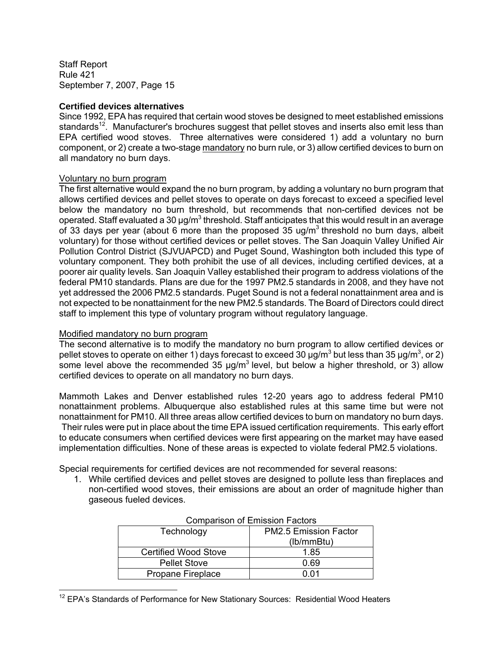#### **Certified devices alternatives**

Since 1992, EPA has required that certain wood stoves be designed to meet established emissions standards<sup>12</sup>. Manufacturer's brochures suggest that pellet stoves and inserts also emit less than EPA certified wood stoves. Three alternatives were considered 1) add a voluntary no burn component, or 2) create a two-stage mandatory no burn rule, or 3) allow certified devices to burn on all mandatory no burn days.

#### Voluntary no burn program

The first alternative would expand the no burn program, by adding a voluntary no burn program that allows certified devices and pellet stoves to operate on days forecast to exceed a specified level below the mandatory no burn threshold, but recommends that non-certified devices not be operated. Staff evaluated a 30  $\mu$ g/m<sup>3</sup> threshold. Staff anticipates that this would result in an average of 33 days per year (about 6 more than the proposed 35 ug/m<sup>3</sup> threshold no burn days, albeit voluntary) for those without certified devices or pellet stoves. The San Joaquin Valley Unified Air Pollution Control District (SJVUAPCD) and Puget Sound, Washington both included this type of voluntary component. They both prohibit the use of all devices, including certified devices, at a poorer air quality levels. San Joaquin Valley established their program to address violations of the federal PM10 standards. Plans are due for the 1997 PM2.5 standards in 2008, and they have not yet addressed the 2006 PM2.5 standards. Puget Sound is not a federal nonattainment area and is not expected to be nonattainment for the new PM2.5 standards. The Board of Directors could direct staff to implement this type of voluntary program without regulatory language.

#### Modified mandatory no burn program

 $\overline{a}$ 

The second alternative is to modify the mandatory no burn program to allow certified devices or pellet stoves to operate on either 1) days forecast to exceed 30  $\mu$ g/m<sup>3</sup> but less than 35  $\mu$ g/m<sup>3</sup>, or 2) some level above the recommended 35  $\mu$ g/m<sup>3</sup> level, but below a higher threshold, or 3) allow certified devices to operate on all mandatory no burn days.

Mammoth Lakes and Denver established rules 12-20 years ago to address federal PM10 nonattainment problems. Albuquerque also established rules at this same time but were not nonattainment for PM10. All three areas allow certified devices to burn on mandatory no burn days. Their rules were put in place about the time EPA issued certification requirements. This early effort to educate consumers when certified devices were first appearing on the market may have eased implementation difficulties. None of these areas is expected to violate federal PM2.5 violations.

Special requirements for certified devices are not recommended for several reasons:

1. While certified devices and pellet stoves are designed to pollute less than fireplaces and non-certified wood stoves, their emissions are about an order of magnitude higher than gaseous fueled devices.

| Technology                  | <b>PM2.5 Emission Factor</b><br>(lb/mmBtu) |
|-----------------------------|--------------------------------------------|
| <b>Certified Wood Stove</b> | 1.85                                       |
| <b>Pellet Stove</b>         | 0.69                                       |
| Propane Fireplace           | <u>በ በ1</u>                                |

| <b>Comparison of Emission Factors</b> |  |  |
|---------------------------------------|--|--|
|---------------------------------------|--|--|

<sup>&</sup>lt;sup>12</sup> EPA's Standards of Performance for New Stationary Sources: Residential Wood Heaters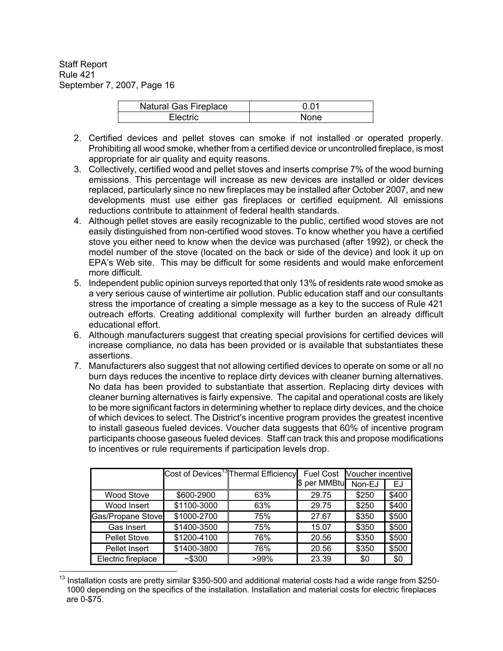| <b>Natural Gas Fireplace</b> | 0.01 |
|------------------------------|------|
| Flectric.                    | None |

- 2. Certified devices and pellet stoves can smoke if not installed or operated properly. Prohibiting all wood smoke, whether from a certified device or uncontrolled fireplace, is most appropriate for air quality and equity reasons.
- 3. Collectively, certified wood and pellet stoves and inserts comprise 7% of the wood burning emissions. This percentage will increase as new devices are installed or older devices replaced, particularly since no new fireplaces may be installed after October 2007, and new developments must use either gas fireplaces or certified equipment. All emissions reductions contribute to attainment of federal health standards.
- 4. Although pellet stoves are easily recognizable to the public, certified wood stoves are not easily distinguished from non-certified wood stoves. To know whether you have a certified stove you either need to know when the device was purchased (after 1992), or check the model number of the stove (located on the back or side of the device) and look it up on EPA's Web site. This may be difficult for some residents and would make enforcement more difficult.
- 5. Independent public opinion surveys reported that only 13% of residents rate wood smoke as a very serious cause of wintertime air pollution. Public education staff and our consultants stress the importance of creating a simple message as a key to the success of Rule 421 outreach efforts. Creating additional complexity will further burden an already difficult educational effort.
- 6. Although manufacturers suggest that creating special provisions for certified devices will increase compliance, no data has been provided or is available that substantiates these assertions.
- 7. Manufacturers also suggest that not allowing certified devices to operate on some or all no burn days reduces the incentive to replace dirty devices with cleaner burning alternatives. No data has been provided to substantiate that assertion. Replacing dirty devices with cleaner burning alternatives is fairly expensive. The capital and operational costs are likely to be more significant factors in determining whether to replace dirty devices, and the choice of which devices to select. The District's incentive program provides the greatest incentive to install gaseous fueled devices. Voucher data suggests that 60% of incentive program participants choose gaseous fueled devices. Staff can track this and propose modifications to incentives or rule requirements if participation levels drop.

|                          |             | Cost of Devices <sup>13</sup> Thermal Efficiency | <b>Fuel Cost</b> | Voucher incentive |       |
|--------------------------|-------------|--------------------------------------------------|------------------|-------------------|-------|
|                          |             |                                                  | \$ per MMBtu     | Non-EJ            | EJ    |
| <b>Wood Stove</b>        | \$600-2900  | 63%                                              | 29.75            | \$250             | \$400 |
| Wood Insert              | \$1100-3000 | 63%                                              | 29.75            | \$250             | \$400 |
| <b>Gas/Propane Stove</b> | \$1000-2700 | 75%                                              | 27.67            | \$350             | \$500 |
| Gas Insert               | \$1400-3500 | 75%                                              | 15.07            | \$350             | \$500 |
| <b>Pellet Stove</b>      | \$1200-4100 | 76%                                              | 20.56            | \$350             | \$500 |
| Pellet Insert            | \$1400-3800 | 76%                                              | 20.56            | \$350             | \$500 |
| Electric fireplace       | ~5300       | $>99\%$                                          | 23.39            | \$0               | \$0   |

 $\overline{a}$ <sup>13</sup> Installation costs are pretty similar \$350-500 and additional material costs had a wide range from \$250-1000 depending on the specifics of the installation. Installation and material costs for electric fireplaces are 0-\$75.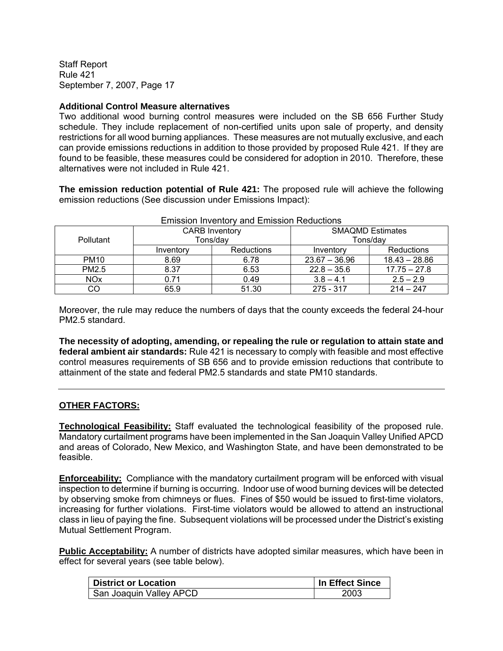#### **Additional Control Measure alternatives**

Two additional wood burning control measures were included on the SB 656 Further Study schedule. They include replacement of non-certified units upon sale of property, and density restrictions for all wood burning appliances. These measures are not mutually exclusive, and each can provide emissions reductions in addition to those provided by proposed Rule 421. If they are found to be feasible, these measures could be considered for adoption in 2010. Therefore, these alternatives were not included in Rule 421.

**The emission reduction potential of Rule 421:** The proposed rule will achieve the following emission reductions (See discussion under Emissions Impact):

| LINSSION MYCHUOLY AND LINISSION INCOUGHOUS |                       |                   |                         |                 |
|--------------------------------------------|-----------------------|-------------------|-------------------------|-----------------|
|                                            | <b>CARB Inventory</b> |                   | <b>SMAQMD Estimates</b> |                 |
| <b>Pollutant</b>                           | Tons/day              |                   | Tons/dav                |                 |
|                                            | Inventory             | <b>Reductions</b> | Inventory               | Reductions      |
| <b>PM10</b>                                | 8.69                  | 6.78              | $23.67 - 36.96$         | $18.43 - 28.86$ |
| PM2.5                                      | 8.37                  | 6.53              | $22.8 - 35.6$           | $17.75 - 27.8$  |
| <b>NO<sub>x</sub></b>                      | 0.71                  | 0.49              | $3.8 - 4.1$             | $2.5 - 2.9$     |
| CO                                         | 65.9                  | 51.30             | 275 - 317               | $214 - 247$     |

Emission Inventory and Emission Reductions

Moreover, the rule may reduce the numbers of days that the county exceeds the federal 24-hour PM2.5 standard.

**The necessity of adopting, amending, or repealing the rule or regulation to attain state and federal ambient air standards:** Rule 421 is necessary to comply with feasible and most effective control measures requirements of SB 656 and to provide emission reductions that contribute to attainment of the state and federal PM2.5 standards and state PM10 standards.

# **OTHER FACTORS:**

**Technological Feasibility:** Staff evaluated the technological feasibility of the proposed rule. Mandatory curtailment programs have been implemented in the San Joaquin Valley Unified APCD and areas of Colorado, New Mexico, and Washington State, and have been demonstrated to be feasible.

**Enforceability:** Compliance with the mandatory curtailment program will be enforced with visual inspection to determine if burning is occurring. Indoor use of wood burning devices will be detected by observing smoke from chimneys or flues. Fines of \$50 would be issued to first-time violators, increasing for further violations. First-time violators would be allowed to attend an instructional class in lieu of paying the fine. Subsequent violations will be processed under the District's existing Mutual Settlement Program.

**Public Acceptability:** A number of districts have adopted similar measures, which have been in effect for several years (see table below).

| <b>District or Location</b> | In Effect Since |
|-----------------------------|-----------------|
| San Joaquin Valley APCD     | 2003            |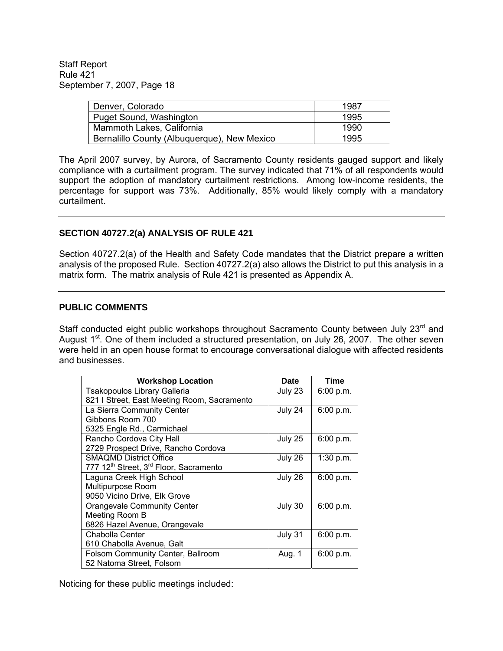| Denver, Colorado                            | 1987 |
|---------------------------------------------|------|
| Puget Sound, Washington                     | 1995 |
| Mammoth Lakes, California                   | 1990 |
| Bernalillo County (Albuquerque), New Mexico | 1995 |

The April 2007 survey, by Aurora, of Sacramento County residents gauged support and likely compliance with a curtailment program. The survey indicated that 71% of all respondents would support the adoption of mandatory curtailment restrictions. Among low-income residents, the percentage for support was 73%. Additionally, 85% would likely comply with a mandatory curtailment.

#### **SECTION 40727.2(a) ANALYSIS OF RULE 421**

Section 40727.2(a) of the Health and Safety Code mandates that the District prepare a written analysis of the proposed Rule. Section 40727.2(a) also allows the District to put this analysis in a matrix form. The matrix analysis of Rule 421 is presented as Appendix A.

#### **PUBLIC COMMENTS**

Staff conducted eight public workshops throughout Sacramento County between July 23<sup>rd</sup> and August  $1^{st}$ . One of them included a structured presentation, on July 26, 2007. The other seven were held in an open house format to encourage conversational dialogue with affected residents and businesses.

| <b>Workshop Location</b>                                       | <b>Date</b> | Time      |
|----------------------------------------------------------------|-------------|-----------|
| <b>Tsakopoulos Library Galleria</b>                            | July 23     | 6:00 p.m. |
| 821   Street, East Meeting Room, Sacramento                    |             |           |
| La Sierra Community Center                                     | July 24     | 6:00 p.m. |
| Gibbons Room 700                                               |             |           |
| 5325 Engle Rd., Carmichael                                     |             |           |
| Rancho Cordova City Hall                                       | July 25     | 6:00 p.m. |
| 2729 Prospect Drive, Rancho Cordova                            |             |           |
| <b>SMAQMD District Office</b>                                  | July 26     | 1:30 p.m. |
| 777 12 <sup>th</sup> Street, 3 <sup>rd</sup> Floor, Sacramento |             |           |
| Laguna Creek High School                                       | July 26     | 6:00 p.m. |
| Multipurpose Room                                              |             |           |
| 9050 Vicino Drive, Elk Grove                                   |             |           |
| <b>Orangevale Community Center</b>                             | July 30     | 6:00 p.m. |
| Meeting Room B                                                 |             |           |
| 6826 Hazel Avenue, Orangevale                                  |             |           |
| Chabolla Center                                                | July 31     | 6:00 p.m. |
| 610 Chabolla Avenue, Galt                                      |             |           |
| Folsom Community Center, Ballroom                              | Aug. 1      | 6:00 p.m. |
| 52 Natoma Street, Folsom                                       |             |           |

Noticing for these public meetings included: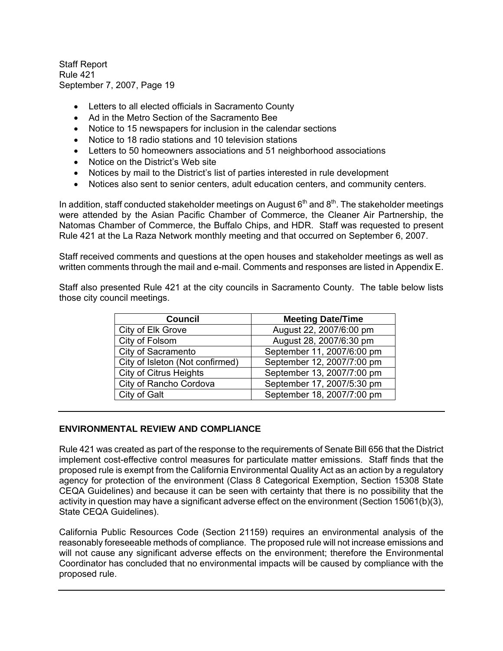- Letters to all elected officials in Sacramento County
- Ad in the Metro Section of the Sacramento Bee
- Notice to 15 newspapers for inclusion in the calendar sections
- Notice to 18 radio stations and 10 television stations
- Letters to 50 homeowners associations and 51 neighborhood associations
- Notice on the District's Web site
- Notices by mail to the District's list of parties interested in rule development
- Notices also sent to senior centers, adult education centers, and community centers.

In addition, staff conducted stakeholder meetings on August  $6<sup>th</sup>$  and  $8<sup>th</sup>$ . The stakeholder meetings were attended by the Asian Pacific Chamber of Commerce, the Cleaner Air Partnership, the Natomas Chamber of Commerce, the Buffalo Chips, and HDR. Staff was requested to present Rule 421 at the La Raza Network monthly meeting and that occurred on September 6, 2007.

Staff received comments and questions at the open houses and stakeholder meetings as well as written comments through the mail and e-mail. Comments and responses are listed in Appendix E.

Staff also presented Rule 421 at the city councils in Sacramento County. The table below lists those city council meetings.

| <b>Council</b>                  | <b>Meeting Date/Time</b>   |
|---------------------------------|----------------------------|
| City of Elk Grove               | August 22, 2007/6:00 pm    |
| City of Folsom                  | August 28, 2007/6:30 pm    |
| City of Sacramento              | September 11, 2007/6:00 pm |
| City of Isleton (Not confirmed) | September 12, 2007/7:00 pm |
| <b>City of Citrus Heights</b>   | September 13, 2007/7:00 pm |
| City of Rancho Cordova          | September 17, 2007/5:30 pm |
| City of Galt                    | September 18, 2007/7:00 pm |

#### **ENVIRONMENTAL REVIEW AND COMPLIANCE**

Rule 421 was created as part of the response to the requirements of Senate Bill 656 that the District implement cost-effective control measures for particulate matter emissions. Staff finds that the proposed rule is exempt from the California Environmental Quality Act as an action by a regulatory agency for protection of the environment (Class 8 Categorical Exemption, Section 15308 State CEQA Guidelines) and because it can be seen with certainty that there is no possibility that the activity in question may have a significant adverse effect on the environment (Section 15061(b)(3), State CEQA Guidelines).

California Public Resources Code (Section 21159) requires an environmental analysis of the reasonably foreseeable methods of compliance. The proposed rule will not increase emissions and will not cause any significant adverse effects on the environment; therefore the Environmental Coordinator has concluded that no environmental impacts will be caused by compliance with the proposed rule.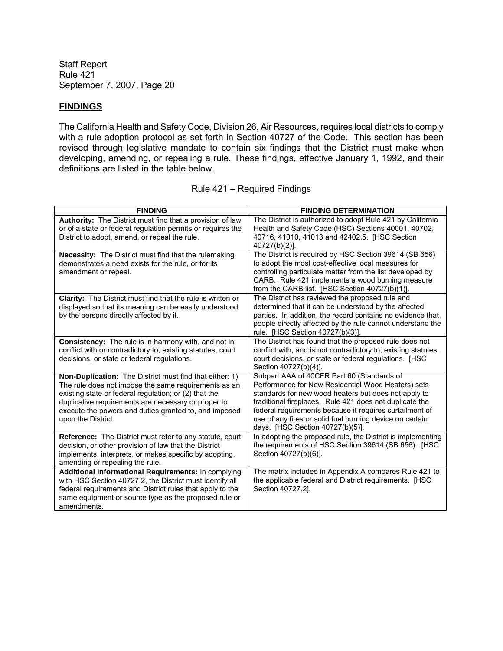# **FINDINGS**

The California Health and Safety Code, Division 26, Air Resources, requires local districts to comply with a rule adoption protocol as set forth in Section 40727 of the Code. This section has been revised through legislative mandate to contain six findings that the District must make when developing, amending, or repealing a rule. These findings, effective January 1, 1992, and their definitions are listed in the table below.

| <b>FINDING</b>                                                                                                                                                                                                                                                                                                 | <b>FINDING DETERMINATION</b>                                                                                                                                                                                                                                                                                                                                                   |
|----------------------------------------------------------------------------------------------------------------------------------------------------------------------------------------------------------------------------------------------------------------------------------------------------------------|--------------------------------------------------------------------------------------------------------------------------------------------------------------------------------------------------------------------------------------------------------------------------------------------------------------------------------------------------------------------------------|
| <b>Authority:</b> The District must find that a provision of law<br>or of a state or federal regulation permits or requires the<br>District to adopt, amend, or repeal the rule.                                                                                                                               | The District is authorized to adopt Rule 421 by California<br>Health and Safety Code (HSC) Sections 40001, 40702,<br>40716, 41010, 41013 and 42402.5. [HSC Section<br>40727(b)(2)].                                                                                                                                                                                            |
| Necessity: The District must find that the rulemaking<br>demonstrates a need exists for the rule, or for its<br>amendment or repeal.                                                                                                                                                                           | The District is required by HSC Section 39614 (SB 656)<br>to adopt the most cost-effective local measures for<br>controlling particulate matter from the list developed by<br>CARB. Rule 421 implements a wood burning measure<br>from the CARB list. [HSC Section 40727(b)(1)].                                                                                               |
| Clarity: The District must find that the rule is written or<br>displayed so that its meaning can be easily understood<br>by the persons directly affected by it.                                                                                                                                               | The District has reviewed the proposed rule and<br>determined that it can be understood by the affected<br>parties. In addition, the record contains no evidence that<br>people directly affected by the rule cannot understand the<br>rule. [HSC Section 40727(b)(3)].                                                                                                        |
| <b>Consistency:</b> The rule is in harmony with, and not in<br>conflict with or contradictory to, existing statutes, court<br>decisions, or state or federal regulations.                                                                                                                                      | The District has found that the proposed rule does not<br>conflict with, and is not contradictory to, existing statutes,<br>court decisions, or state or federal regulations. [HSC<br>Section 40727(b)(4)].                                                                                                                                                                    |
| Non-Duplication: The District must find that either: 1)<br>The rule does not impose the same requirements as an<br>existing state or federal regulation; or (2) that the<br>duplicative requirements are necessary or proper to<br>execute the powers and duties granted to, and imposed<br>upon the District. | Subpart AAA of 40CFR Part 60 (Standards of<br>Performance for New Residential Wood Heaters) sets<br>standards for new wood heaters but does not apply to<br>traditional fireplaces. Rule 421 does not duplicate the<br>federal requirements because it requires curtailment of<br>use of any fires or solid fuel burning device on certain<br>days. [HSC Section 40727(b)(5)]. |
| <b>Reference:</b> The District must refer to any statute, court<br>decision, or other provision of law that the District<br>implements, interprets, or makes specific by adopting,<br>amending or repealing the rule.                                                                                          | In adopting the proposed rule, the District is implementing<br>the requirements of HSC Section 39614 (SB 656). [HSC<br>Section 40727(b)(6)].                                                                                                                                                                                                                                   |
| Additional Informational Requirements: In complying<br>with HSC Section 40727.2, the District must identify all<br>federal requirements and District rules that apply to the<br>same equipment or source type as the proposed rule or<br>amendments.                                                           | The matrix included in Appendix A compares Rule 421 to<br>the applicable federal and District requirements. [HSC<br>Section 40727.2].                                                                                                                                                                                                                                          |

| Rule 421 - Required Findings |  |  |  |
|------------------------------|--|--|--|
|------------------------------|--|--|--|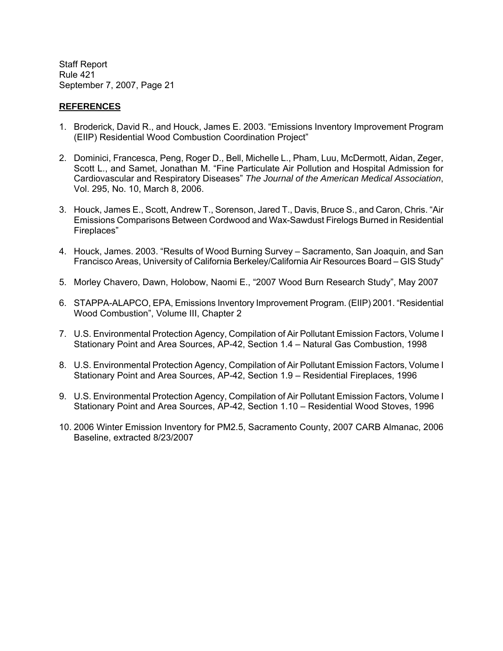#### **REFERENCES**

- 1. Broderick, David R., and Houck, James E. 2003. "Emissions Inventory Improvement Program (EIIP) Residential Wood Combustion Coordination Project"
- 2. Dominici, Francesca, Peng, Roger D., Bell, Michelle L., Pham, Luu, McDermott, Aidan, Zeger, Scott L., and Samet, Jonathan M. "Fine Particulate Air Pollution and Hospital Admission for Cardiovascular and Respiratory Diseases" *The Journal of the American Medical Association*, Vol. 295, No. 10, March 8, 2006.
- 3. Houck, James E., Scott, Andrew T., Sorenson, Jared T., Davis, Bruce S., and Caron, Chris. "Air Emissions Comparisons Between Cordwood and Wax-Sawdust Firelogs Burned in Residential Fireplaces"
- 4. Houck, James. 2003. "Results of Wood Burning Survey Sacramento, San Joaquin, and San Francisco Areas, University of California Berkeley/California Air Resources Board – GIS Study"
- 5. Morley Chavero, Dawn, Holobow, Naomi E., "2007 Wood Burn Research Study", May 2007
- 6. STAPPA-ALAPCO, EPA, Emissions Inventory Improvement Program. (EIIP) 2001. "Residential Wood Combustion", Volume III, Chapter 2
- 7. U.S. Environmental Protection Agency, Compilation of Air Pollutant Emission Factors, Volume I Stationary Point and Area Sources, AP-42, Section 1.4 – Natural Gas Combustion, 1998
- 8. U.S. Environmental Protection Agency, Compilation of Air Pollutant Emission Factors, Volume I Stationary Point and Area Sources, AP-42, Section 1.9 – Residential Fireplaces, 1996
- 9. U.S. Environmental Protection Agency, Compilation of Air Pollutant Emission Factors, Volume I Stationary Point and Area Sources, AP-42, Section 1.10 – Residential Wood Stoves, 1996
- 10. 2006 Winter Emission Inventory for PM2.5, Sacramento County, 2007 CARB Almanac, 2006 Baseline, extracted 8/23/2007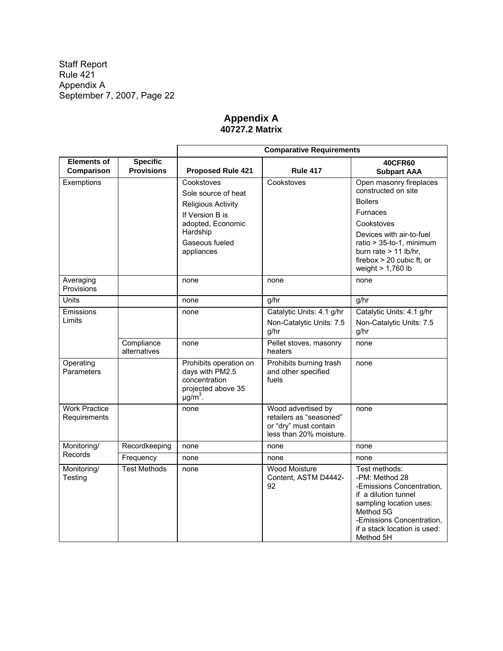# **Appendix A 40727.2 Matrix**

|                                      |                                      | <b>Comparative Requirements</b>                                                                              |                                                                                                   |                                                                                                                                                                                                        |  |  |
|--------------------------------------|--------------------------------------|--------------------------------------------------------------------------------------------------------------|---------------------------------------------------------------------------------------------------|--------------------------------------------------------------------------------------------------------------------------------------------------------------------------------------------------------|--|--|
| <b>Elements of</b><br>Comparison     | <b>Specific</b><br><b>Provisions</b> | <b>Rule 417</b><br><b>Proposed Rule 421</b>                                                                  |                                                                                                   | <b>40CFR60</b><br><b>Subpart AAA</b>                                                                                                                                                                   |  |  |
| Exemptions                           |                                      | Cookstoves                                                                                                   | Cookstoves                                                                                        | Open masonry fireplaces                                                                                                                                                                                |  |  |
|                                      |                                      | Sole source of heat                                                                                          |                                                                                                   | constructed on site                                                                                                                                                                                    |  |  |
|                                      |                                      | <b>Religious Activity</b>                                                                                    |                                                                                                   | <b>Boilers</b>                                                                                                                                                                                         |  |  |
|                                      |                                      | If Version B is                                                                                              |                                                                                                   | <b>Furnaces</b>                                                                                                                                                                                        |  |  |
|                                      |                                      | adopted, Economic<br>Hardship                                                                                |                                                                                                   | Cookstoves                                                                                                                                                                                             |  |  |
|                                      |                                      | Gaseous fueled                                                                                               |                                                                                                   | Devices with air-to-fuel<br>ratio > 35-to-1, minimum                                                                                                                                                   |  |  |
|                                      |                                      | appliances                                                                                                   |                                                                                                   | burn rate $> 11$ lb/hr,                                                                                                                                                                                |  |  |
|                                      |                                      |                                                                                                              |                                                                                                   | firebox $> 20$ cubic ft, or                                                                                                                                                                            |  |  |
|                                      |                                      |                                                                                                              |                                                                                                   | weight $> 1,760$ lb                                                                                                                                                                                    |  |  |
| Averaging<br>Provisions              |                                      | none<br>none                                                                                                 |                                                                                                   | none                                                                                                                                                                                                   |  |  |
| Units                                |                                      | none                                                                                                         | g/hr                                                                                              | g/hr                                                                                                                                                                                                   |  |  |
| Emissions                            |                                      | none                                                                                                         | Catalytic Units: 4.1 g/hr                                                                         | Catalytic Units: 4.1 g/hr                                                                                                                                                                              |  |  |
| Limits                               |                                      |                                                                                                              | Non-Catalytic Units: 7.5<br>g/hr                                                                  | Non-Catalytic Units: 7.5<br>g/hr                                                                                                                                                                       |  |  |
|                                      | Compliance<br>alternatives           | none                                                                                                         | Pellet stoves, masonry<br>heaters                                                                 | none                                                                                                                                                                                                   |  |  |
| Operating<br>Parameters              |                                      | Prohibits operation on<br>days with PM2.5<br>concentration<br>projected above 35<br>$\mu$ g/m <sup>3</sup> . | Prohibits burning trash<br>and other specified<br>fuels                                           | none                                                                                                                                                                                                   |  |  |
| <b>Work Practice</b><br>Requirements |                                      | none                                                                                                         | Wood advertised by<br>retailers as "seasoned"<br>or "dry" must contain<br>less than 20% moisture. | none                                                                                                                                                                                                   |  |  |
| Monitoring/                          | Recordkeeping                        | none                                                                                                         | none                                                                                              | none                                                                                                                                                                                                   |  |  |
| Records                              | Frequency                            | none                                                                                                         | none                                                                                              | none                                                                                                                                                                                                   |  |  |
| Monitoring/<br>Testing               | <b>Test Methods</b>                  | none                                                                                                         | <b>Wood Moisture</b><br>Content, ASTM D4442-<br>92                                                | Test methods:<br>-PM: Method 28<br>-Emissions Concentration,<br>if a dilution tunnel<br>sampling location uses:<br>Method 5G<br>-Emissions Concentration,<br>if a stack location is used:<br>Method 5H |  |  |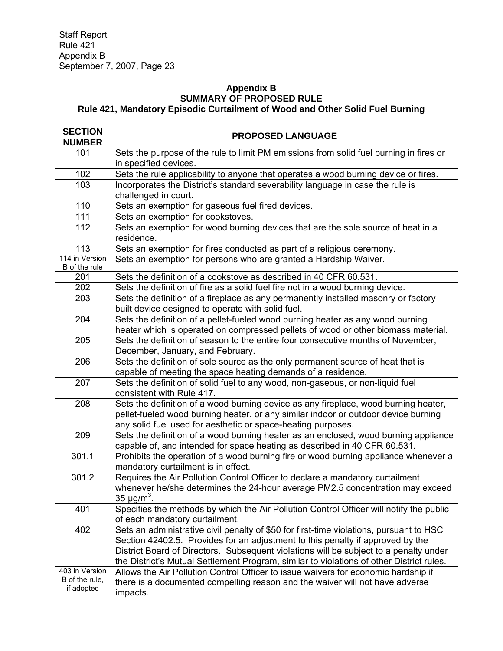#### **Appendix B SUMMARY OF PROPOSED RULE Rule 421, Mandatory Episodic Curtailment of Wood and Other Solid Fuel Burning**

| <b>SECTION</b><br><b>NUMBER</b>                | <b>PROPOSED LANGUAGE</b>                                                                                                                                                                                                                                                                                                                                       |
|------------------------------------------------|----------------------------------------------------------------------------------------------------------------------------------------------------------------------------------------------------------------------------------------------------------------------------------------------------------------------------------------------------------------|
| 101                                            | Sets the purpose of the rule to limit PM emissions from solid fuel burning in fires or<br>in specified devices.                                                                                                                                                                                                                                                |
| 102                                            | Sets the rule applicability to anyone that operates a wood burning device or fires.                                                                                                                                                                                                                                                                            |
| 103                                            | Incorporates the District's standard severability language in case the rule is<br>challenged in court.                                                                                                                                                                                                                                                         |
| 110                                            | Sets an exemption for gaseous fuel fired devices.                                                                                                                                                                                                                                                                                                              |
| 111                                            | Sets an exemption for cookstoves.                                                                                                                                                                                                                                                                                                                              |
| 112                                            | Sets an exemption for wood burning devices that are the sole source of heat in a<br>residence.                                                                                                                                                                                                                                                                 |
| 113                                            | Sets an exemption for fires conducted as part of a religious ceremony.                                                                                                                                                                                                                                                                                         |
| 114 in Version<br>B of the rule                | Sets an exemption for persons who are granted a Hardship Waiver.                                                                                                                                                                                                                                                                                               |
| 201                                            | Sets the definition of a cookstove as described in 40 CFR 60.531.                                                                                                                                                                                                                                                                                              |
| 202                                            | Sets the definition of fire as a solid fuel fire not in a wood burning device.                                                                                                                                                                                                                                                                                 |
| 203                                            | Sets the definition of a fireplace as any permanently installed masonry or factory<br>built device designed to operate with solid fuel.                                                                                                                                                                                                                        |
| 204                                            | Sets the definition of a pellet-fueled wood burning heater as any wood burning<br>heater which is operated on compressed pellets of wood or other biomass material.                                                                                                                                                                                            |
| 205                                            | Sets the definition of season to the entire four consecutive months of November,<br>December, January, and February.                                                                                                                                                                                                                                           |
| 206                                            | Sets the definition of sole source as the only permanent source of heat that is<br>capable of meeting the space heating demands of a residence.                                                                                                                                                                                                                |
| 207                                            | Sets the definition of solid fuel to any wood, non-gaseous, or non-liquid fuel<br>consistent with Rule 417.                                                                                                                                                                                                                                                    |
| 208                                            | Sets the definition of a wood burning device as any fireplace, wood burning heater,<br>pellet-fueled wood burning heater, or any similar indoor or outdoor device burning<br>any solid fuel used for aesthetic or space-heating purposes.                                                                                                                      |
| 209                                            | Sets the definition of a wood burning heater as an enclosed, wood burning appliance<br>capable of, and intended for space heating as described in 40 CFR 60.531.                                                                                                                                                                                               |
| 301.1                                          | Prohibits the operation of a wood burning fire or wood burning appliance whenever a<br>mandatory curtailment is in effect.                                                                                                                                                                                                                                     |
| 301.2                                          | Requires the Air Pollution Control Officer to declare a mandatory curtailment<br>whenever he/she determines the 24-hour average PM2.5 concentration may exceed<br>35 $\mu$ g/m <sup>3</sup> .                                                                                                                                                                  |
| 401                                            | Specifies the methods by which the Air Pollution Control Officer will notify the public<br>of each mandatory curtailment.                                                                                                                                                                                                                                      |
| 402                                            | Sets an administrative civil penalty of \$50 for first-time violations, pursuant to HSC<br>Section 42402.5. Provides for an adjustment to this penalty if approved by the<br>District Board of Directors. Subsequent violations will be subject to a penalty under<br>the District's Mutual Settlement Program, similar to violations of other District rules. |
| 403 in Version<br>B of the rule,<br>if adopted | Allows the Air Pollution Control Officer to issue waivers for economic hardship if<br>there is a documented compelling reason and the waiver will not have adverse<br>impacts.                                                                                                                                                                                 |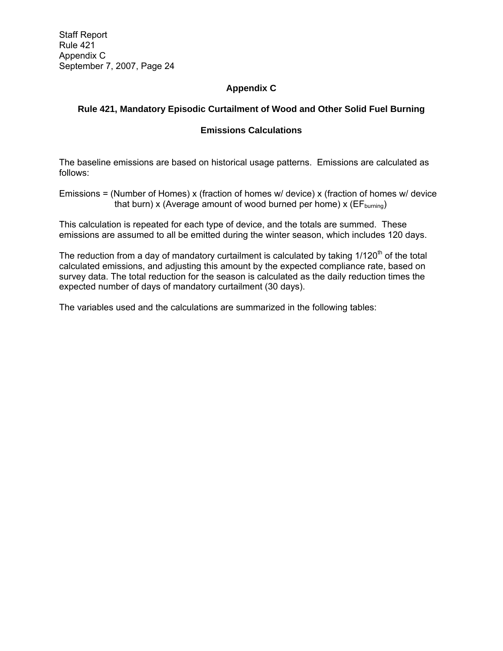# **Appendix C**

# **Rule 421, Mandatory Episodic Curtailment of Wood and Other Solid Fuel Burning**

# **Emissions Calculations**

The baseline emissions are based on historical usage patterns. Emissions are calculated as follows:

Emissions = (Number of Homes) x (fraction of homes w/ device) x (fraction of homes w/ device that burn) x (Average amount of wood burned per home) x ( $EF_{\text{burning}}$ )

This calculation is repeated for each type of device, and the totals are summed. These emissions are assumed to all be emitted during the winter season, which includes 120 days.

The reduction from a day of mandatory curtailment is calculated by taking  $1/120<sup>th</sup>$  of the total calculated emissions, and adjusting this amount by the expected compliance rate, based on survey data. The total reduction for the season is calculated as the daily reduction times the expected number of days of mandatory curtailment (30 days).

The variables used and the calculations are summarized in the following tables: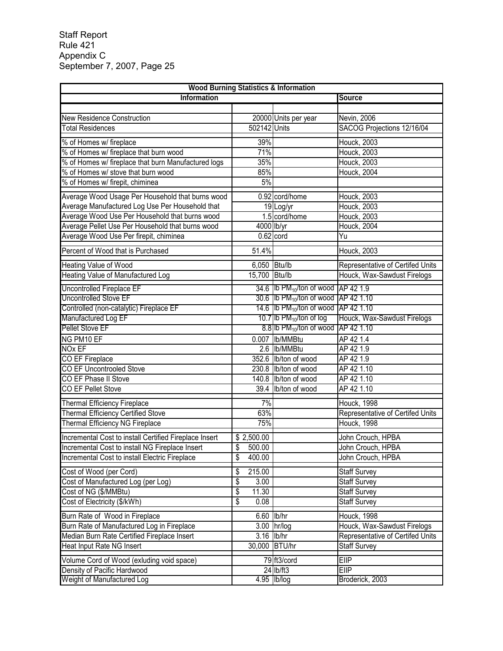| <b>Wood Burning Statistics &amp; Information</b>       |                                   |                                                         |                                  |  |
|--------------------------------------------------------|-----------------------------------|---------------------------------------------------------|----------------------------------|--|
| <b>Information</b>                                     |                                   |                                                         | <b>Source</b>                    |  |
|                                                        |                                   |                                                         |                                  |  |
| <b>New Residence Construction</b>                      |                                   | 20000 Units per year                                    | Nevin, 2006                      |  |
| <b>Total Residences</b>                                | 502142 Units                      |                                                         | SACOG Projections 12/16/04       |  |
| % of Homes w/ fireplace                                | 39%                               |                                                         | Houck, 2003                      |  |
| % of Homes w/ fireplace that burn wood                 | 71%                               |                                                         | Houck, 2003                      |  |
| % of Homes w/ fireplace that burn Manufactured logs    | 35%                               |                                                         | Houck, 2003                      |  |
| % of Homes w/ stove that burn wood                     | 85%                               |                                                         | <b>Houck, 2004</b>               |  |
| % of Homes w/ firepit, chiminea                        | 5%                                |                                                         |                                  |  |
|                                                        |                                   |                                                         |                                  |  |
| Average Wood Usage Per Household that burns wood       |                                   | 0.92 cord/home                                          | Houck, 2003                      |  |
| Average Manufactured Log Use Per Household that        |                                   | 19 Log/yr                                               | Houck, 2003                      |  |
| Average Wood Use Per Household that burns wood         |                                   | 1.5 cord/home                                           | Houck, 2003                      |  |
| Average Pellet Use Per Household that burns wood       |                                   | 4000 lb/yr                                              | Houck, 2004                      |  |
| Average Wood Use Per firepit, chiminea                 |                                   | $0.62$ cord                                             | Yu                               |  |
| Percent of Wood that is Purchased                      | 51.4%                             |                                                         | Houck, 2003                      |  |
| Heating Value of Wood                                  | 6,050 Btu/lb                      |                                                         | Representative of Certifed Units |  |
| Heating Value of Manufactured Log                      | 15,700 Btu/lb                     |                                                         | Houck, Wax-Sawdust Firelogs      |  |
| Uncontrolled Fireplace EF                              |                                   | 34.6 Ib $PM_{10}$ /ton of wood AP 42 1.9                |                                  |  |
| <b>Uncontrolled Stove EF</b>                           |                                   | 30.6 Ib $PM_{10}$ /ton of wood AP 42 1.10               |                                  |  |
| Controlled (non-catalytic) Fireplace EF                |                                   | 14.6 <b>Ib PM</b> <sub>10</sub> /ton of wood AP 42 1.10 |                                  |  |
| Manufactured Log EF                                    |                                   | 10.7 Ib $PM_{10}$ /ton of log                           | Houck, Wax-Sawdust Firelogs      |  |
| <b>Pellet Stove EF</b>                                 |                                   | 8.8 Ib $PM_{10}$ /ton of wood AP 42 1.10                |                                  |  |
| NG PM10 EF                                             |                                   | 0.007  Ib/MMBtu                                         | AP 42 1.4                        |  |
| <b>NOx EF</b>                                          |                                   | 2.6 Ib/MMBtu                                            | AP 42 1.9                        |  |
| CO EF Fireplace                                        |                                   | 352.6 Ib/ton of wood                                    | AP 42 1.9                        |  |
| CO EF Uncontrooled Stove                               |                                   | 230.8 lb/ton of wood                                    | AP 42 1.10                       |  |
| CO EF Phase II Stove                                   |                                   | 140.8 lb/ton of wood                                    | AP 42 1.10                       |  |
| CO EF Pellet Stove                                     |                                   | 39.4 lb/ton of wood                                     | AP 42 1.10                       |  |
| <b>Thermal Efficiency Fireplace</b>                    | 7%                                |                                                         | <b>Houck, 1998</b>               |  |
| <b>Thermal Efficiency Certified Stove</b>              | 63%                               |                                                         | Representative of Certifed Units |  |
| <b>Thermal Efficiency NG Fireplace</b>                 | 75%                               |                                                         | <b>Houck, 1998</b>               |  |
| Incremental Cost to install Certified Fireplace Insert | \$2,500.00                        |                                                         | John Crouch, HPBA                |  |
| Incremental Cost to install NG Fireplace Insert        | \$<br>500.00                      |                                                         | John Crouch, HPBA                |  |
| Incremental Cost to install Electric Fireplace         | \$<br>400.00                      |                                                         | John Crouch, HPBA                |  |
| Cost of Wood (per Cord)                                | \$<br>215.00                      |                                                         | <b>Staff Survey</b>              |  |
| Cost of Manufactured Log (per Log)                     | \$<br>3.00                        |                                                         | <b>Staff Survey</b>              |  |
| Cost of NG (\$/MMBtu)                                  | $\overline{\mathcal{S}}$<br>11.30 |                                                         | <b>Staff Survey</b>              |  |
| Cost of Electricity (\$/kWh)                           | $\overline{\mathcal{S}}$<br>0.08  |                                                         | <b>Staff Survey</b>              |  |
| Burn Rate of Wood in Fireplace                         |                                   | 6.60 lb/hr                                              | <b>Houck, 1998</b>               |  |
| Burn Rate of Manufactured Log in Fireplace             |                                   | 3.00 hr/log                                             | Houck, Wax-Sawdust Firelogs      |  |
| Median Burn Rate Certified Fireplace Insert            | 3.16                              | lb/hr                                                   | Representative of Certifed Units |  |
| Heat Input Rate NG Insert                              |                                   | 30,000 BTU/hr                                           | <b>Staff Survey</b>              |  |
| Volume Cord of Wood (exluding void space)              |                                   | 79 ft3/cord                                             | EllP                             |  |
| Density of Pacific Hardwood                            |                                   | 24 lb/ft3                                               | <b>EIIP</b>                      |  |
| Weight of Manufactured Log                             |                                   | 4.95 lb/log                                             | Broderick, 2003                  |  |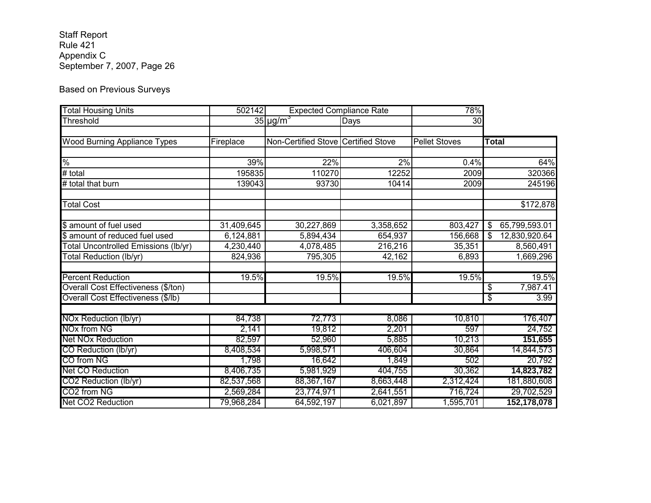# Based on Previous Surveys

| <b>Total Housing Units</b>           | 502142     | <b>Expected Compliance Rate</b>     |           | 78%                  |                     |
|--------------------------------------|------------|-------------------------------------|-----------|----------------------|---------------------|
| Threshold                            |            | $35 \mu g/m^3$                      | Days      | 30                   |                     |
|                                      |            |                                     |           |                      |                     |
| <b>Wood Burning Appliance Types</b>  | Fireplace  | Non-Certified Stove Certified Stove |           | <b>Pellet Stoves</b> | Total               |
|                                      |            |                                     |           |                      |                     |
| $\frac{1}{\sqrt{2}}$                 | 39%        | 22%                                 | 2%        | 0.4%                 | 64%                 |
| # total                              | 195835     | 110270                              | 12252     | 2009                 | 320366              |
| # total that burn                    | 139043     | 93730                               | 10414     | 2009                 | 245196              |
| <b>Total Cost</b>                    |            |                                     |           |                      | \$172,878           |
| \$ amount of fuel used               | 31,409,645 | 30,227,869                          | 3,358,652 | 803,427              | 65,799,593.01<br>\$ |
| \$ amount of reduced fuel used       | 6,124,881  | 5,894,434                           | 654,937   | 156,668              | 12,830,920.64<br>\$ |
| Total Uncontrolled Emissions (lb/yr) | 4,230,440  | 4,078,485                           | 216,216   | 35,351               | 8,560,491           |
| Total Reduction (lb/yr)              | 824,936    | 795,305                             | 42,162    | 6,893                | 1,669,296           |
| <b>Percent Reduction</b>             | 19.5%      | 19.5%                               | 19.5%     | 19.5%                | 19.5%               |
| Overall Cost Effectiveness (\$/ton)  |            |                                     |           |                      | 7,987.41<br>\$      |
| Overall Cost Effectiveness (\$/lb)   |            |                                     |           |                      | 3.99<br>\$          |
| NOx Reduction (lb/yr)                | 84,738     | 72,773                              | 8,086     | 10,810               | 176,407             |
| <b>NOx from NG</b>                   | 2,141      | 19,812                              | 2,201     | 597                  | 24,752              |
| <b>Net NOx Reduction</b>             | 82,597     | 52,960                              | 5,885     | 10,213               | 151,655             |
| CO Reduction (lb/yr)                 | 8,408,534  | 5,998,571                           | 406,604   | 30,864               | 14,844,573          |
| CO from NG                           | 1,798      | 16,642                              | 1,849     | 502                  | 20,792              |
| Net CO Reduction                     | 8,406,735  | 5,981,929                           | 404,755   | 30,362               | 14,823,782          |
| CO2 Reduction (lb/yr)                | 82,537,568 | 88,367,167                          | 8,663,448 | 2,312,424            | 181,880,608         |
| CO2 from NG                          | 2,569,284  | 23,774,971                          | 2,641,551 | 716,724              | 29,702,529          |
| Net CO2 Reduction                    | 79,968,284 | 64,592,197                          | 6,021,897 | 1,595,701            | 152,178,078         |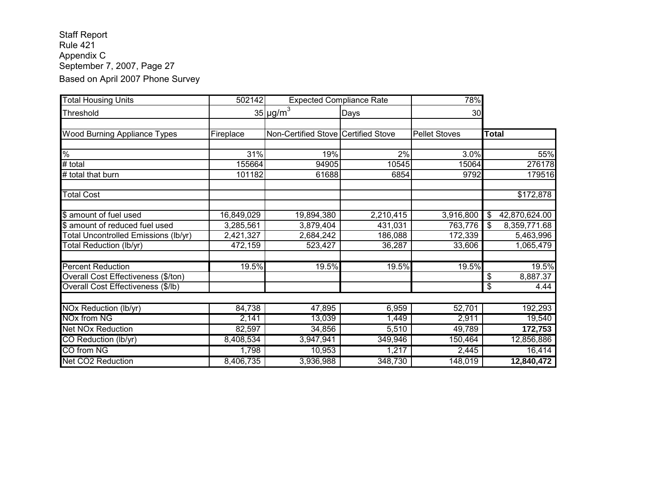# Staff Report Rule 421 Appendix C September 7, 2007, Page 27 Based on April 2007 Phone Survey

| <b>Total Housing Units</b>                  | 502142     | <b>Expected Compliance Rate</b>     |           | 78%                  |                     |
|---------------------------------------------|------------|-------------------------------------|-----------|----------------------|---------------------|
| Threshold                                   |            | $35 \mu g/m^3$                      | Days      | 30                   |                     |
| Wood Burning Appliance Types                | Fireplace  | Non-Certified Stove Certified Stove |           | <b>Pellet Stoves</b> | <b>Total</b>        |
|                                             |            |                                     |           |                      |                     |
| $\frac{1}{\sqrt{2}}$                        | 31%        | 19%                                 | 2%        | 3.0%                 | 55%                 |
| # total                                     | 155664     | 94905                               | 10545     | 15064                | 276178              |
| # total that burn                           | 101182     | 61688                               | 6854      | 9792                 | 179516              |
| <b>Total Cost</b>                           |            |                                     |           |                      | \$172,878           |
| \$ amount of fuel used                      | 16,849,029 | 19,894,380                          | 2,210,415 | 3,916,800            | \$<br>42,870,624.00 |
| \$ amount of reduced fuel used              | 3,285,561  | 3,879,404                           | 431,031   | 763,776              | 8,359,771.68<br>\$  |
| <b>Total Uncontrolled Emissions (lb/yr)</b> | 2,421,327  | 2,684,242                           | 186,088   | 172,339              | 5,463,996           |
| Total Reduction (lb/yr)                     | 472,159    | 523,427                             | 36,287    | 33,606               | 1,065,479           |
| <b>Percent Reduction</b>                    | 19.5%      | 19.5%                               | 19.5%     | 19.5%                | 19.5%               |
| Overall Cost Effectiveness (\$/ton)         |            |                                     |           |                      | 8,887.37<br>\$      |
| Overall Cost Effectiveness (\$/lb)          |            |                                     |           |                      | \$<br>4.44          |
|                                             |            |                                     |           |                      |                     |
| NOx Reduction (lb/yr)                       | 84,738     | 47,895                              | 6,959     | 52,701               | 192,293             |
| NOx from NG                                 | 2,141      | 13,039                              | 1,449     | 2,911                | 19,540              |
| <b>Net NOx Reduction</b>                    | 82,597     | 34,856                              | 5,510     | 49,789               | 172,753             |
| CO Reduction (lb/yr)                        | 8,408,534  | 3,947,941                           | 349,946   | 150,464              | 12,856,886          |
| CO from NG                                  | 1,798      | 10,953                              | 1,217     | 2,445                | 16,414              |
| <b>Net CO2 Reduction</b>                    | 8,406,735  | 3,936,988                           | 348,730   | 148,019              | 12,840,472          |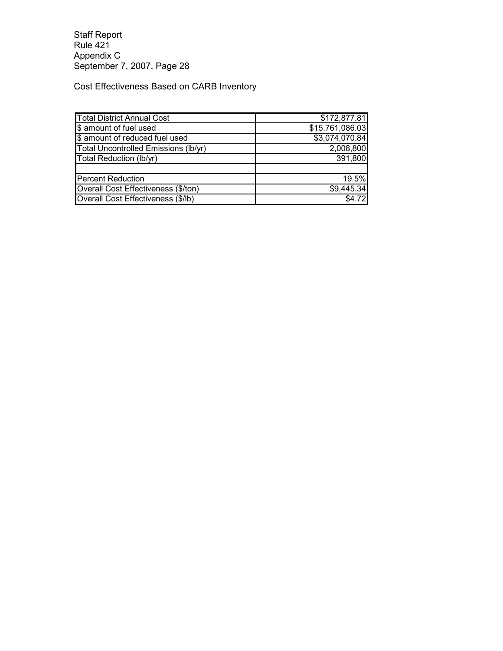Cost Effectiveness Based on CARB Inventory

| <b>Total District Annual Cost</b>    | \$172,877.81    |
|--------------------------------------|-----------------|
| \$ amount of fuel used               | \$15,761,086.03 |
| \$ amount of reduced fuel used       | \$3,074,070.84  |
| Total Uncontrolled Emissions (lb/yr) | 2,008,800       |
| Total Reduction (lb/yr)              | 391,800         |
|                                      |                 |
| <b>Percent Reduction</b>             | 19.5%           |
| Overall Cost Effectiveness (\$/ton)  | \$9,445.34      |
| Overall Cost Effectiveness (\$/lb)   | \$4.72          |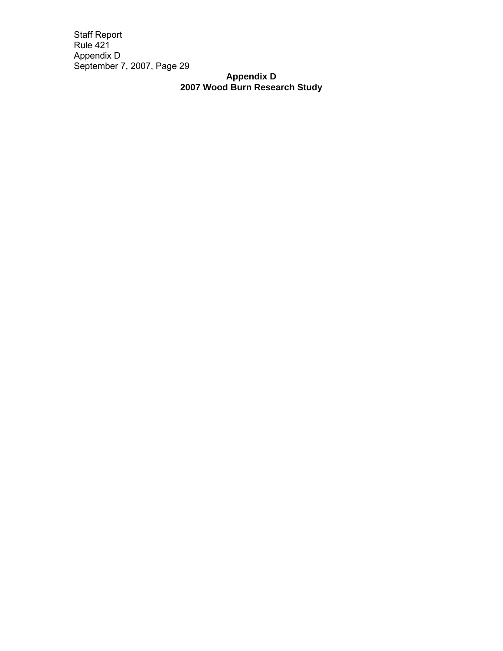# **Appendix D 2007 Wood Burn Research Study**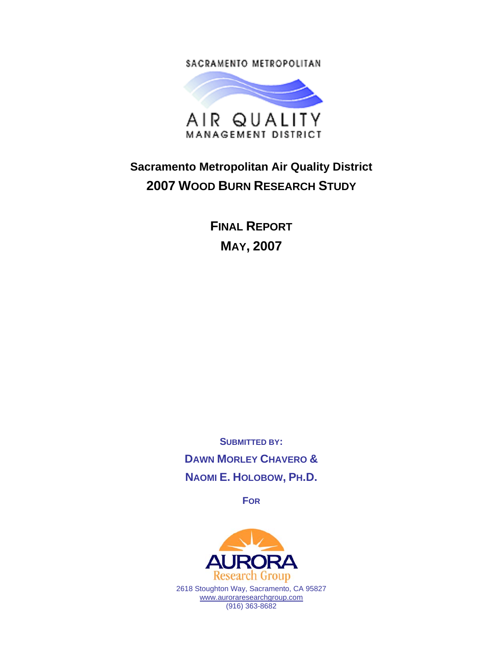SACRAMENTO METROPOLITAN



# **Sacramento Metropolitan Air Quality District 2007 WOOD BURN RESEARCH STUDY**

**FINAL REPORT MAY, 2007** 

**SUBMITTED BY: DAWN MORLEY CHAVERO & NAOMI E. HOLOBOW, PH.D.** 

**FOR**



2618 Stoughton Way, Sacramento, CA 95827 www.auroraresearchgroup.com (916) 363-8682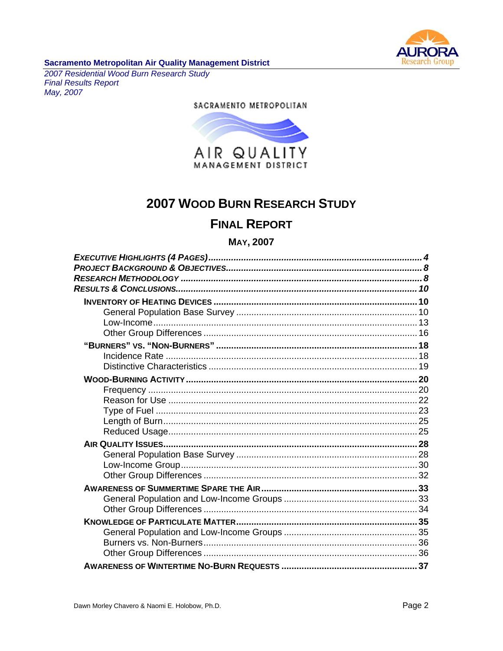

# Sacramento Metropolitan Air Quality Management District<br>2007 Residential Wood Burn Research Study

**Final Results Report** May, 2007

#### SACRAMENTO METROPOLITAN



# **2007 WOOD BURN RESEARCH STUDY**

# **FINAL REPORT**

#### **MAY, 2007**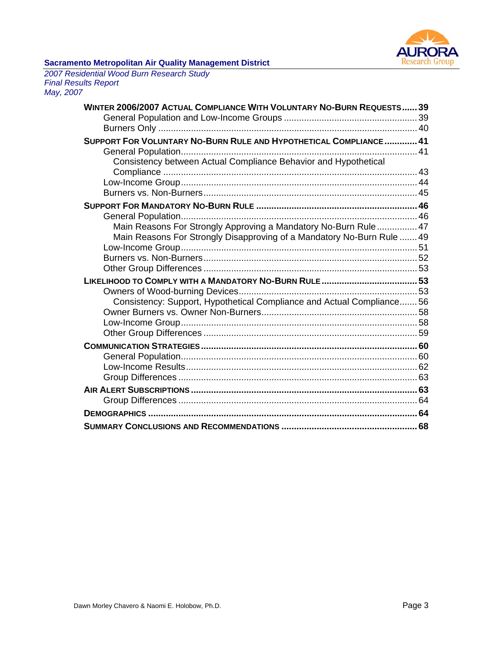

*2007 Residential Wood Burn Research Study Final Results Report May, 2007* 

| WINTER 2006/2007 ACTUAL COMPLIANCE WITH VOLUNTARY NO-BURN REQUESTS 39  |  |
|------------------------------------------------------------------------|--|
|                                                                        |  |
|                                                                        |  |
| SUPPORT FOR VOLUNTARY NO-BURN RULE AND HYPOTHETICAL COMPLIANCE 41      |  |
|                                                                        |  |
| Consistency between Actual Compliance Behavior and Hypothetical        |  |
|                                                                        |  |
|                                                                        |  |
|                                                                        |  |
|                                                                        |  |
| Main Reasons For Strongly Approving a Mandatory No-Burn Rule 47        |  |
| Main Reasons For Strongly Disapproving of a Mandatory No-Burn Rule  49 |  |
|                                                                        |  |
|                                                                        |  |
|                                                                        |  |
|                                                                        |  |
|                                                                        |  |
| Consistency: Support, Hypothetical Compliance and Actual Compliance 56 |  |
|                                                                        |  |
|                                                                        |  |
|                                                                        |  |
|                                                                        |  |
|                                                                        |  |
|                                                                        |  |
|                                                                        |  |
|                                                                        |  |
|                                                                        |  |
|                                                                        |  |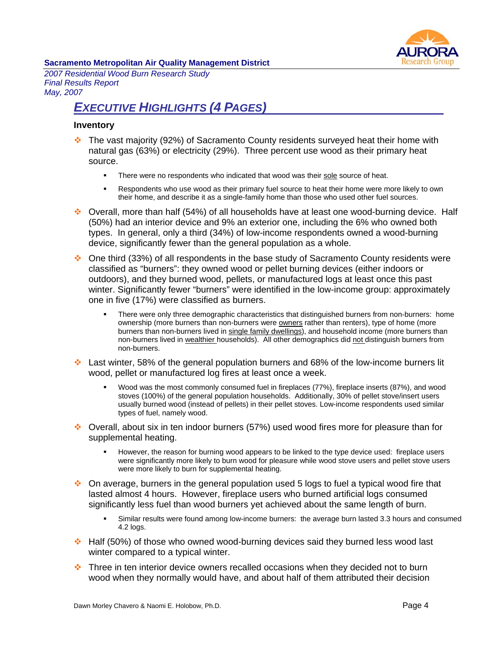

*2007 Residential Wood Burn Research Study Final Results Report May, 2007* 

# *EXECUTIVE HIGHLIGHTS (4 PAGES)*

#### **Inventory**

- The vast majority (92%) of Sacramento County residents surveyed heat their home with natural gas (63%) or electricity (29%). Three percent use wood as their primary heat source.
	- There were no respondents who indicated that wood was their sole source of heat.
	- Respondents who use wood as their primary fuel source to heat their home were more likely to own their home, and describe it as a single-family home than those who used other fuel sources.
- Overall, more than half (54%) of all households have at least one wood-burning device. Half (50%) had an interior device and 9% an exterior one, including the 6% who owned both types. In general, only a third (34%) of low-income respondents owned a wood-burning device, significantly fewer than the general population as a whole.
- One third (33%) of all respondents in the base study of Sacramento County residents were classified as "burners": they owned wood or pellet burning devices (either indoors or outdoors), and they burned wood, pellets, or manufactured logs at least once this past winter. Significantly fewer "burners" were identified in the low-income group: approximately one in five (17%) were classified as burners.
	- There were only three demographic characteristics that distinguished burners from non-burners: home ownership (more burners than non-burners were owners rather than renters), type of home (more burners than non-burners lived in single family dwellings), and household income (more burners than non-burners lived in wealthier households). All other demographics did not distinguish burners from non-burners.
- Last winter, 58% of the general population burners and 68% of the low-income burners lit wood, pellet or manufactured log fires at least once a week.
	- Wood was the most commonly consumed fuel in fireplaces (77%), fireplace inserts (87%), and wood stoves (100%) of the general population households. Additionally, 30% of pellet stove/insert users usually burned wood (instead of pellets) in their pellet stoves. Low-income respondents used similar types of fuel, namely wood.
- Overall, about six in ten indoor burners (57%) used wood fires more for pleasure than for supplemental heating.
	- However, the reason for burning wood appears to be linked to the type device used: fireplace users were significantly more likely to burn wood for pleasure while wood stove users and pellet stove users were more likely to burn for supplemental heating.
- $\bullet$  On average, burners in the general population used 5 logs to fuel a typical wood fire that lasted almost 4 hours. However, fireplace users who burned artificial logs consumed significantly less fuel than wood burners yet achieved about the same length of burn.
	- Similar results were found among low-income burners: the average burn lasted 3.3 hours and consumed 4.2 logs.
- Half (50%) of those who owned wood-burning devices said they burned less wood last winter compared to a typical winter.
- Three in ten interior device owners recalled occasions when they decided not to burn wood when they normally would have, and about half of them attributed their decision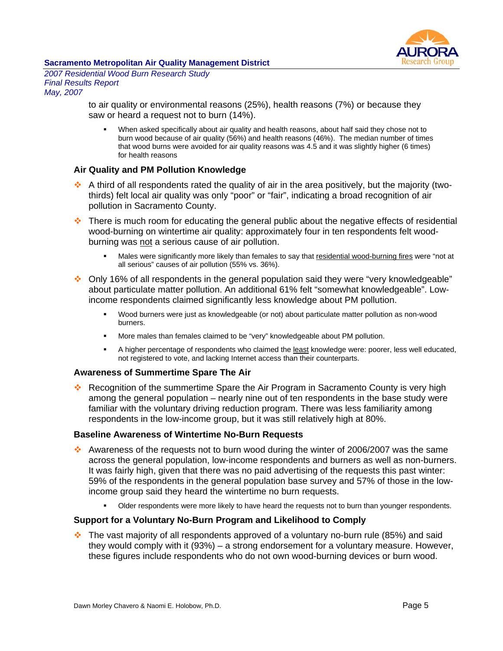

*2007 Residential Wood Burn Research Study Final Results Report May, 2007* 

> to air quality or environmental reasons (25%), health reasons (7%) or because they saw or heard a request not to burn (14%).

 When asked specifically about air quality and health reasons, about half said they chose not to burn wood because of air quality (56%) and health reasons (46%). The median number of times that wood burns were avoided for air quality reasons was 4.5 and it was slightly higher (6 times) for health reasons

#### **Air Quality and PM Pollution Knowledge**

- A third of all respondents rated the quality of air in the area positively, but the majority (twothirds) felt local air quality was only "poor" or "fair", indicating a broad recognition of air pollution in Sacramento County.
- $\cdot$  There is much room for educating the general public about the negative effects of residential wood-burning on wintertime air quality: approximately four in ten respondents felt woodburning was not a serious cause of air pollution.
	- Males were significantly more likely than females to say that residential wood-burning fires were "not at all serious" causes of air pollution (55% vs. 36%).
- Only 16% of all respondents in the general population said they were "very knowledgeable" about particulate matter pollution. An additional 61% felt "somewhat knowledgeable". Lowincome respondents claimed significantly less knowledge about PM pollution.
	- Wood burners were just as knowledgeable (or not) about particulate matter pollution as non-wood burners.
	- More males than females claimed to be "very" knowledgeable about PM pollution.
	- A higher percentage of respondents who claimed the least knowledge were: poorer, less well educated, not registered to vote, and lacking Internet access than their counterparts.

#### **Awareness of Summertime Spare The Air**

**•• Recognition of the summertime Spare the Air Program in Sacramento County is very high** among the general population – nearly nine out of ten respondents in the base study were familiar with the voluntary driving reduction program. There was less familiarity among respondents in the low-income group, but it was still relatively high at 80%.

#### **Baseline Awareness of Wintertime No-Burn Requests**

- Awareness of the requests not to burn wood during the winter of 2006/2007 was the same across the general population, low-income respondents and burners as well as non-burners. It was fairly high, given that there was no paid advertising of the requests this past winter: 59% of the respondents in the general population base survey and 57% of those in the lowincome group said they heard the wintertime no burn requests.
	- Older respondents were more likely to have heard the requests not to burn than younger respondents.

# **Support for a Voluntary No-Burn Program and Likelihood to Comply**

 $\cdot$  The vast majority of all respondents approved of a voluntary no-burn rule (85%) and said they would comply with it (93%) – a strong endorsement for a voluntary measure. However, these figures include respondents who do not own wood-burning devices or burn wood.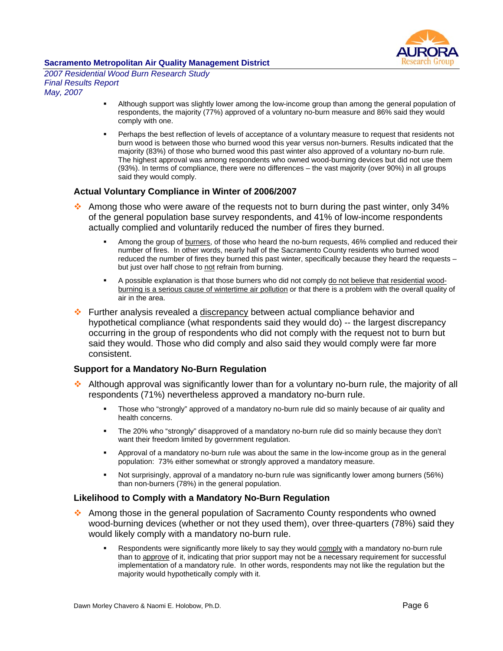

*2007 Residential Wood Burn Research Study Final Results Report May, 2007* 

- Although support was slightly lower among the low-income group than among the general population of respondents, the majority (77%) approved of a voluntary no-burn measure and 86% said they would comply with one.
- **Perhaps the best reflection of levels of acceptance of a voluntary measure to request that residents not** burn wood is between those who burned wood this year versus non-burners. Results indicated that the majority (83%) of those who burned wood this past winter also approved of a voluntary no-burn rule. The highest approval was among respondents who owned wood-burning devices but did not use them (93%). In terms of compliance, there were no differences – the vast majority (over 90%) in all groups said they would comply.

#### **Actual Voluntary Compliance in Winter of 2006/2007**

- Among those who were aware of the requests not to burn during the past winter, only 34% of the general population base survey respondents, and 41% of low-income respondents actually complied and voluntarily reduced the number of fires they burned.
	- Among the group of **burners**, of those who heard the no-burn requests, 46% complied and reduced their number of fires. In other words, nearly half of the Sacramento County residents who burned wood reduced the number of fires they burned this past winter, specifically because they heard the requests – but just over half chose to not refrain from burning.
	- A possible explanation is that those burners who did not comply do not believe that residential woodburning is a serious cause of wintertime air pollution or that there is a problem with the overall quality of air in the area.
- Further analysis revealed a discrepancy between actual compliance behavior and hypothetical compliance (what respondents said they would do) -- the largest discrepancy occurring in the group of respondents who did not comply with the request not to burn but said they would. Those who did comply and also said they would comply were far more consistent.

#### **Support for a Mandatory No-Burn Regulation**

- Although approval was significantly lower than for a voluntary no-burn rule, the majority of all respondents (71%) nevertheless approved a mandatory no-burn rule.
	- Those who "strongly" approved of a mandatory no-burn rule did so mainly because of air quality and health concerns.
	- The 20% who "strongly" disapproved of a mandatory no-burn rule did so mainly because they don't want their freedom limited by government regulation.
	- Approval of a mandatory no-burn rule was about the same in the low-income group as in the general population: 73% either somewhat or strongly approved a mandatory measure.
	- Not surprisingly, approval of a mandatory no-burn rule was significantly lower among burners (56%) than non-burners (78%) in the general population.

#### **Likelihood to Comply with a Mandatory No-Burn Regulation**

- Among those in the general population of Sacramento County respondents who owned wood-burning devices (whether or not they used them), over three-quarters (78%) said they would likely comply with a mandatory no-burn rule.
	- Respondents were significantly more likely to say they would comply with a mandatory no-burn rule than to approve of it, indicating that prior support may not be a necessary requirement for successful implementation of a mandatory rule. In other words, respondents may not like the regulation but the majority would hypothetically comply with it.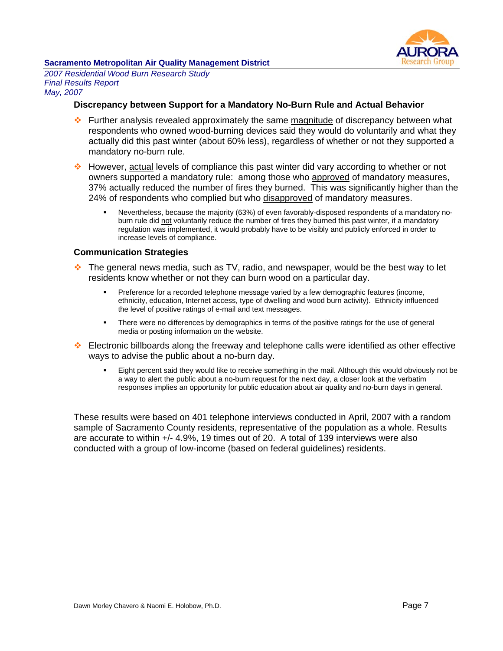

*2007 Residential Wood Burn Research Study Final Results Report May, 2007* 

#### **Discrepancy between Support for a Mandatory No-Burn Rule and Actual Behavior**

- Further analysis revealed approximately the same magnitude of discrepancy between what respondents who owned wood-burning devices said they would do voluntarily and what they actually did this past winter (about 60% less), regardless of whether or not they supported a mandatory no-burn rule.
- However, actual levels of compliance this past winter did vary according to whether or not owners supported a mandatory rule: among those who approved of mandatory measures, 37% actually reduced the number of fires they burned. This was significantly higher than the 24% of respondents who complied but who disapproved of mandatory measures.
	- Nevertheless, because the majority (63%) of even favorably-disposed respondents of a mandatory noburn rule did not voluntarily reduce the number of fires they burned this past winter, if a mandatory regulation was implemented, it would probably have to be visibly and publicly enforced in order to increase levels of compliance.

#### **Communication Strategies**

- The general news media, such as TV, radio, and newspaper, would be the best way to let residents know whether or not they can burn wood on a particular day.
	- Preference for a recorded telephone message varied by a few demographic features (income, ethnicity, education, Internet access, type of dwelling and wood burn activity). Ethnicity influenced the level of positive ratings of e-mail and text messages.
	- **There were no differences by demographics in terms of the positive ratings for the use of general** media or posting information on the website.
- Electronic billboards along the freeway and telephone calls were identified as other effective ways to advise the public about a no-burn day.
	- Eight percent said they would like to receive something in the mail. Although this would obviously not be a way to alert the public about a no-burn request for the next day, a closer look at the verbatim responses implies an opportunity for public education about air quality and no-burn days in general.

These results were based on 401 telephone interviews conducted in April, 2007 with a random sample of Sacramento County residents, representative of the population as a whole. Results are accurate to within +/- 4.9%, 19 times out of 20. A total of 139 interviews were also conducted with a group of low-income (based on federal guidelines) residents.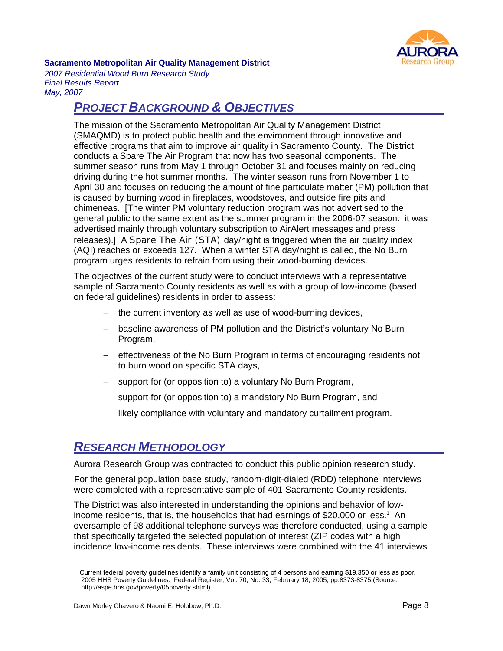

*2007 Residential Wood Burn Research Study Final Results Report May, 2007* 

# *PROJECT BACKGROUND & OBJECTIVES*

The mission of the Sacramento Metropolitan Air Quality Management District (SMAQMD) is to protect public health and the environment through innovative and effective programs that aim to improve air quality in Sacramento County. The District conducts a Spare The Air Program that now has two seasonal components. The summer season runs from May 1 through October 31 and focuses mainly on reducing driving during the hot summer months. The winter season runs from November 1 to April 30 and focuses on reducing the amount of fine particulate matter (PM) pollution that is caused by burning wood in fireplaces, woodstoves, and outside fire pits and chimeneas. [The winter PM voluntary reduction program was not advertised to the general public to the same extent as the summer program in the 2006-07 season: it was advertised mainly through voluntary subscription to AirAlert messages and press releases).] A Spare The Air (STA) day/night is triggered when the air quality index (AQI) reaches or exceeds 127. When a winter STA day/night is called, the No Burn program urges residents to refrain from using their wood-burning devices.

The objectives of the current study were to conduct interviews with a representative sample of Sacramento County residents as well as with a group of low-income (based on federal guidelines) residents in order to assess:

- − the current inventory as well as use of wood-burning devices,
- − baseline awareness of PM pollution and the District's voluntary No Burn Program,
- − effectiveness of the No Burn Program in terms of encouraging residents not to burn wood on specific STA days,
- support for (or opposition to) a voluntary No Burn Program,
- support for (or opposition to) a mandatory No Burn Program, and
- likely compliance with voluntary and mandatory curtailment program.

# *RESEARCH METHODOLOGY*

Aurora Research Group was contracted to conduct this public opinion research study.

For the general population base study, random-digit-dialed (RDD) telephone interviews were completed with a representative sample of 401 Sacramento County residents.

The District was also interested in understanding the opinions and behavior of lowincome residents, that is, the households that had earnings of \$20,000 or less.<sup>1</sup> An oversample of 98 additional telephone surveys was therefore conducted, using a sample that specifically targeted the selected population of interest (ZIP codes with a high incidence low-income residents. These interviews were combined with the 41 interviews

 $\overline{a}$ 1 Current federal poverty guidelines identify a family unit consisting of 4 persons and earning \$19,350 or less as poor. 2005 HHS Poverty Guidelines. Federal Register, Vol. 70, No. 33, February 18, 2005, pp.8373-8375.(Source: http://aspe.hhs.gov/poverty/05poverty.shtml)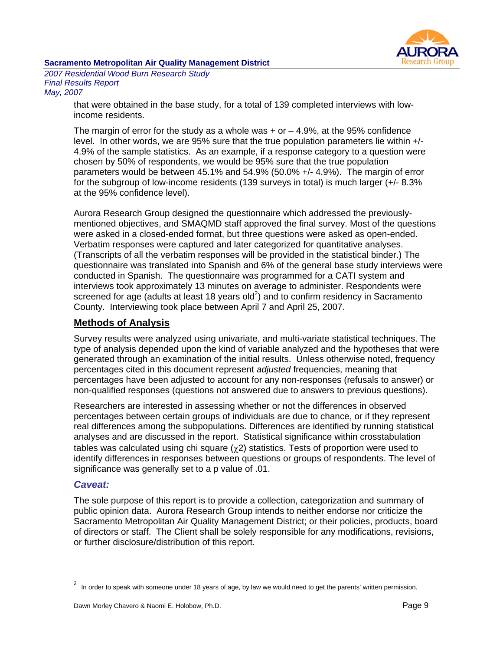

*2007 Residential Wood Burn Research Study Final Results Report May, 2007* 

> that were obtained in the base study, for a total of 139 completed interviews with lowincome residents.

The margin of error for the study as a whole was  $+$  or  $-$  4.9%, at the 95% confidence level. In other words, we are 95% sure that the true population parameters lie within +/- 4.9% of the sample statistics. As an example, if a response category to a question were chosen by 50% of respondents, we would be 95% sure that the true population parameters would be between 45.1% and 54.9% (50.0% +/- 4.9%). The margin of error for the subgroup of low-income residents (139 surveys in total) is much larger (+/- 8.3% at the 95% confidence level).

Aurora Research Group designed the questionnaire which addressed the previouslymentioned objectives, and SMAQMD staff approved the final survey. Most of the questions were asked in a closed-ended format, but three questions were asked as open-ended. Verbatim responses were captured and later categorized for quantitative analyses. (Transcripts of all the verbatim responses will be provided in the statistical binder.) The questionnaire was translated into Spanish and 6% of the general base study interviews were conducted in Spanish. The questionnaire was programmed for a CATI system and interviews took approximately 13 minutes on average to administer. Respondents were screened for age (adults at least 18 years old<sup>2</sup>) and to confirm residency in Sacramento County. Interviewing took place between April 7 and April 25, 2007.

# **Methods of Analysis**

Survey results were analyzed using univariate, and multi-variate statistical techniques. The type of analysis depended upon the kind of variable analyzed and the hypotheses that were generated through an examination of the initial results. Unless otherwise noted, frequency percentages cited in this document represent *adjusted* frequencies, meaning that percentages have been adjusted to account for any non-responses (refusals to answer) or non-qualified responses (questions not answered due to answers to previous questions).

Researchers are interested in assessing whether or not the differences in observed percentages between certain groups of individuals are due to chance, or if they represent real differences among the subpopulations. Differences are identified by running statistical analyses and are discussed in the report. Statistical significance within crosstabulation tables was calculated using chi square  $(\gamma 2)$  statistics. Tests of proportion were used to identify differences in responses between questions or groups of respondents. The level of significance was generally set to a p value of .01.

#### *Caveat:*

 $\overline{a}$ 

The sole purpose of this report is to provide a collection, categorization and summary of public opinion data. Aurora Research Group intends to neither endorse nor criticize the Sacramento Metropolitan Air Quality Management District; or their policies, products, board of directors or staff. The Client shall be solely responsible for any modifications, revisions, or further disclosure/distribution of this report.

 $2$  In order to speak with someone under 18 years of age, by law we would need to get the parents' written permission.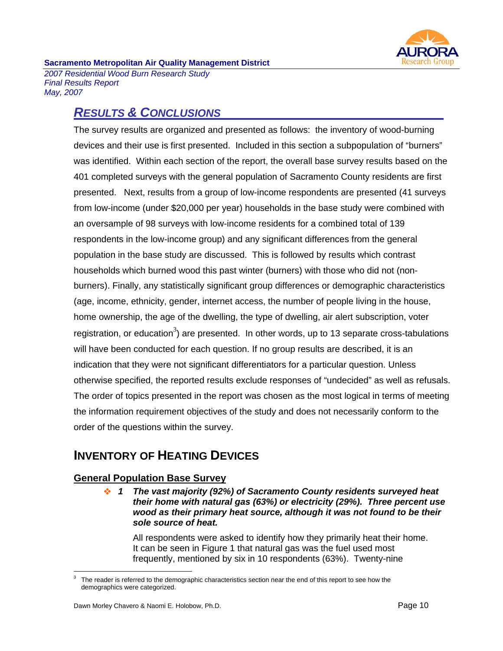

*2007 Residential Wood Burn Research Study Final Results Report May, 2007* 

# *RESULTS & CONCLUSIONS*

The survey results are organized and presented as follows: the inventory of wood-burning devices and their use is first presented. Included in this section a subpopulation of "burners" was identified. Within each section of the report, the overall base survey results based on the 401 completed surveys with the general population of Sacramento County residents are first presented. Next, results from a group of low-income respondents are presented (41 surveys from low-income (under \$20,000 per year) households in the base study were combined with an oversample of 98 surveys with low-income residents for a combined total of 139 respondents in the low-income group) and any significant differences from the general population in the base study are discussed. This is followed by results which contrast households which burned wood this past winter (burners) with those who did not (nonburners). Finally, any statistically significant group differences or demographic characteristics (age, income, ethnicity, gender, internet access, the number of people living in the house, home ownership, the age of the dwelling, the type of dwelling, air alert subscription, voter registration, or education<sup>3</sup>) are presented. In other words, up to 13 separate cross-tabulations will have been conducted for each question. If no group results are described, it is an indication that they were not significant differentiators for a particular question. Unless otherwise specified, the reported results exclude responses of "undecided" as well as refusals. The order of topics presented in the report was chosen as the most logical in terms of meeting the information requirement objectives of the study and does not necessarily conform to the order of the questions within the survey.

# **INVENTORY OF HEATING DEVICES**

# **General Population Base Survey**

 *1 The vast majority (92%) of Sacramento County residents surveyed heat their home with natural gas (63%) or electricity (29%). Three percent use wood as their primary heat source, although it was not found to be their sole source of heat.* 

All respondents were asked to identify how they primarily heat their home. It can be seen in Figure 1 that natural gas was the fuel used most frequently, mentioned by six in 10 respondents (63%). Twenty-nine

 $\overline{a}$ 3 The reader is referred to the demographic characteristics section near the end of this report to see how the demographics were categorized.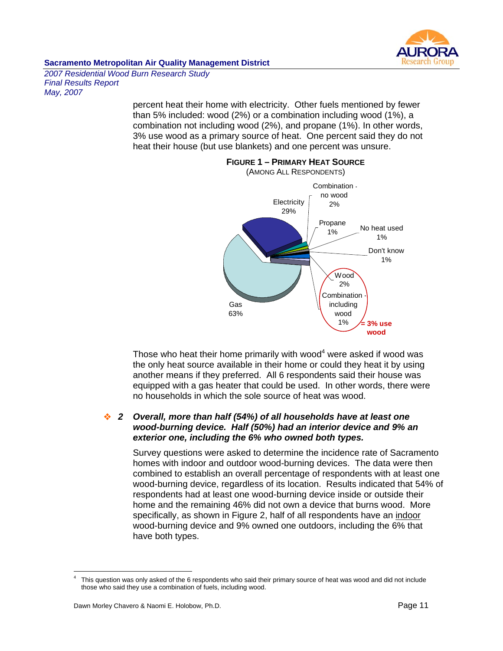

*2007 Residential Wood Burn Research Study Final Results Report May, 2007* 

> percent heat their home with electricity. Other fuels mentioned by fewer than 5% included: wood (2%) or a combination including wood (1%), a combination not including wood (2%), and propane (1%). In other words, 3% use wood as a primary source of heat. One percent said they do not heat their house (but use blankets) and one percent was unsure.



**FIGURE 1 – PRIMARY HEAT SOURCE**

Those who heat their home primarily with wood $4$  were asked if wood was the only heat source available in their home or could they heat it by using another means if they preferred. All 6 respondents said their house was equipped with a gas heater that could be used. In other words, there were no households in which the sole source of heat was wood.

## *2 Overall, more than half (54%) of all households have at least one wood-burning device. Half (50%) had an interior device and 9% an exterior one, including the 6% who owned both types.*

Survey questions were asked to determine the incidence rate of Sacramento homes with indoor and outdoor wood-burning devices. The data were then combined to establish an overall percentage of respondents with at least one wood-burning device, regardless of its location. Results indicated that 54% of respondents had at least one wood-burning device inside or outside their home and the remaining 46% did not own a device that burns wood. More specifically, as shown in Figure 2, half of all respondents have an indoor wood-burning device and 9% owned one outdoors, including the 6% that have both types.

 $\overline{a}$ 4 This question was only asked of the 6 respondents who said their primary source of heat was wood and did not include those who said they use a combination of fuels, including wood.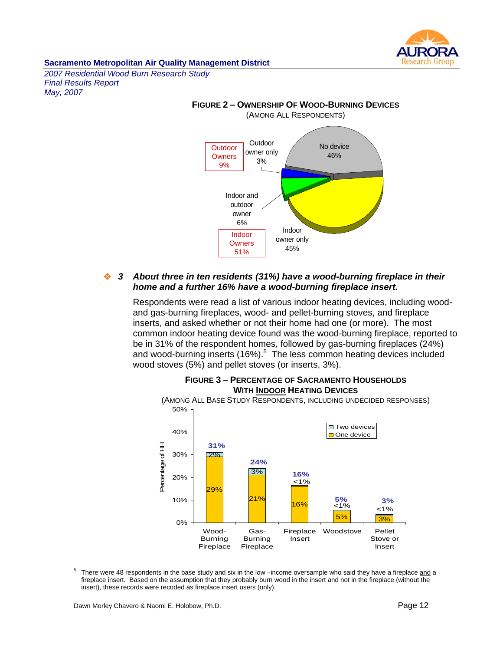

*2007 Residential Wood Burn Research Study Final Results Report May, 2007* 



#### *3 About three in ten residents (31%) have a wood-burning fireplace in their home and a further 16% have a wood-burning fireplace insert.*

Respondents were read a list of various indoor heating devices, including woodand gas-burning fireplaces, wood- and pellet-burning stoves, and fireplace inserts, and asked whether or not their home had one (or more). The most common indoor heating device found was the wood-burning fireplace, reported to be in 31% of the respondent homes, followed by gas-burning fireplaces (24%) and wood-burning inserts  $(16%)$ <sup>5</sup> The less common heating devices included wood stoves (5%) and pellet stoves (or inserts, 3%).



#### **FIGURE 3 – PERCENTAGE OF SACRAMENTO HOUSEHOLDS WITH INDOOR HEATING DEVICES**

 $\overline{a}$ 5 There were 48 respondents in the base study and six in the low –income oversample who said they have a fireplace and a fireplace insert. Based on the assumption that they probably burn wood in the insert and not in the fireplace (without the insert), these records were recoded as fireplace insert users (only).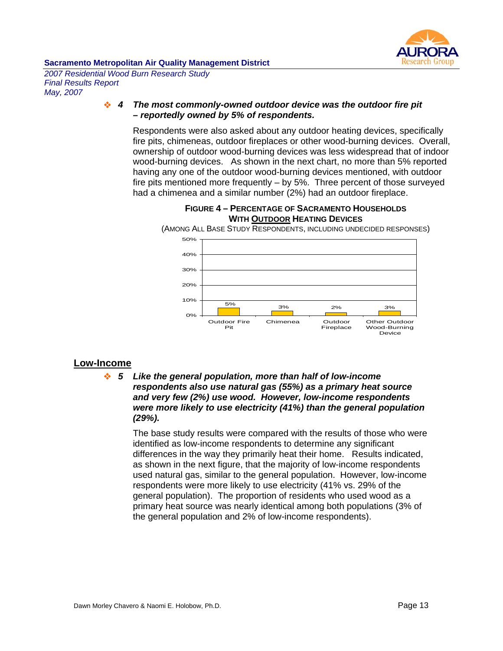

*2007 Residential Wood Burn Research Study Final Results Report May, 2007* 

#### *4 The most commonly-owned outdoor device was the outdoor fire pit – reportedly owned by 5% of respondents.*

Respondents were also asked about any outdoor heating devices, specifically fire pits, chimeneas, outdoor fireplaces or other wood-burning devices. Overall, ownership of outdoor wood-burning devices was less widespread that of indoor wood-burning devices. As shown in the next chart, no more than 5% reported having any one of the outdoor wood-burning devices mentioned, with outdoor fire pits mentioned more frequently – by 5%. Three percent of those surveyed had a chimenea and a similar number (2%) had an outdoor fireplace.

#### **FIGURE 4 – PERCENTAGE OF SACRAMENTO HOUSEHOLDS WITH OUTDOOR HEATING DEVICES**

(AMONG ALL BASE STUDY RESPONDENTS, INCLUDING UNDECIDED RESPONSES)



# **Low-Income**

#### *5 Like the general population, more than half of low-income respondents also use natural gas (55%) as a primary heat source and very few (2%) use wood. However, low-income respondents were more likely to use electricity (41%) than the general population (29%).*

The base study results were compared with the results of those who were identified as low-income respondents to determine any significant differences in the way they primarily heat their home. Results indicated, as shown in the next figure, that the majority of low-income respondents used natural gas, similar to the general population. However, low-income respondents were more likely to use electricity (41% vs. 29% of the general population). The proportion of residents who used wood as a primary heat source was nearly identical among both populations (3% of the general population and 2% of low-income respondents).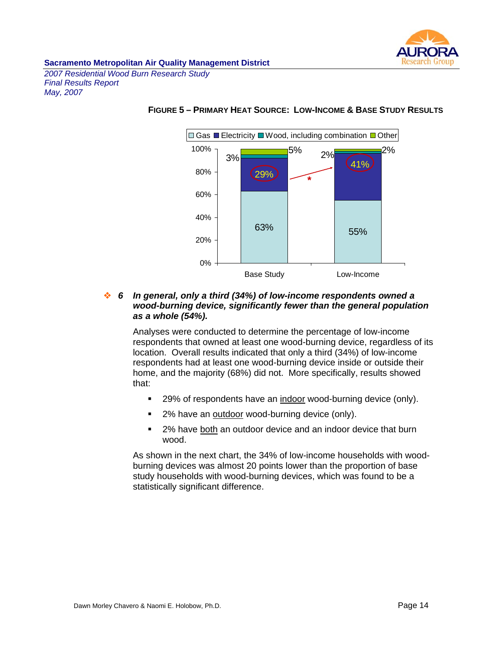

*2007 Residential Wood Burn Research Study Final Results Report May, 2007* 



#### **FIGURE 5 – PRIMARY HEAT SOURCE: LOW-INCOME & BASE STUDY RESULTS**

#### *6 In general, only a third (34%) of low-income respondents owned a wood-burning device, significantly fewer than the general population as a whole (54%).*

Analyses were conducted to determine the percentage of low-income respondents that owned at least one wood-burning device, regardless of its location. Overall results indicated that only a third (34%) of low-income respondents had at least one wood-burning device inside or outside their home, and the majority (68%) did not. More specifically, results showed that:

- 29% of respondents have an indoor wood-burning device (only).
- 2% have an outdoor wood-burning device (only).
- **2%** have both an outdoor device and an indoor device that burn wood.

As shown in the next chart, the 34% of low-income households with woodburning devices was almost 20 points lower than the proportion of base study households with wood-burning devices, which was found to be a statistically significant difference.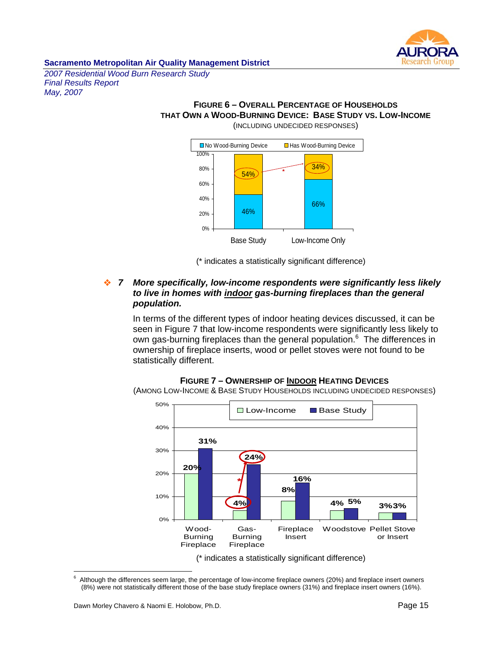

*2007 Residential Wood Burn Research Study Final Results Report May, 2007* 

#### **FIGURE 6 – OVERALL PERCENTAGE OF HOUSEHOLDS THAT OWN A WOOD-BURNING DEVICE: BASE STUDY VS. LOW-INCOME** (INCLUDING UNDECIDED RESPONSES)



(\* indicates a statistically significant difference)

#### *7 More specifically, low-income respondents were significantly less likely to live in homes with indoor gas-burning fireplaces than the general population.*

In terms of the different types of indoor heating devices discussed, it can be seen in Figure 7 that low-income respondents were significantly less likely to own gas-burning fireplaces than the general population.<sup>6</sup> The differences in ownership of fireplace inserts, wood or pellet stoves were not found to be statistically different.

#### **FIGURE 7 – OWNERSHIP OF INDOOR HEATING DEVICES**

(AMONG LOW-INCOME & BASE STUDY HOUSEHOLDS INCLUDING UNDECIDED RESPONSES)



<sup>-&</sup>lt;br>6 Although the differences seem large, the percentage of low-income fireplace owners (20%) and fireplace insert owners (8%) were not statistically different those of the base study fireplace owners (31%) and fireplace insert owners (16%).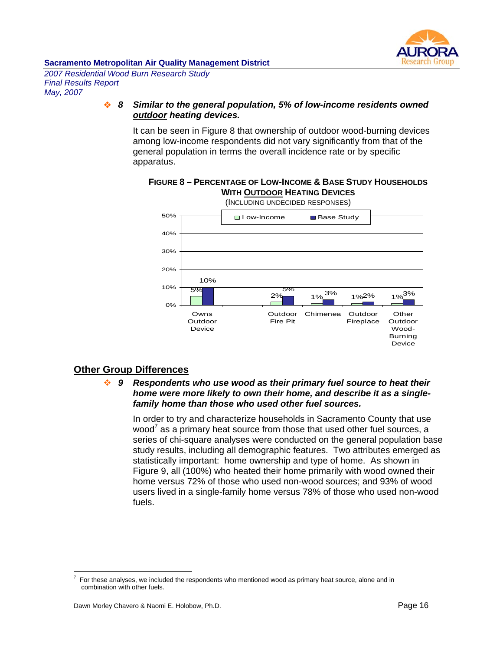

*2007 Residential Wood Burn Research Study Final Results Report May, 2007* 

#### *8 Similar to the general population, 5% of low-income residents owned outdoor heating devices.*

It can be seen in Figure 8 that ownership of outdoor wood-burning devices among low-income respondents did not vary significantly from that of the general population in terms the overall incidence rate or by specific apparatus.



### **FIGURE 8 – PERCENTAGE OF LOW-INCOME & BASE STUDY HOUSEHOLDS WITH OUTDOOR HEATING DEVICES**

# **Other Group Differences**

 *9 Respondents who use wood as their primary fuel source to heat their home were more likely to own their home, and describe it as a singlefamily home than those who used other fuel sources.* 

In order to try and characterize households in Sacramento County that use wood<sup>7</sup> as a primary heat source from those that used other fuel sources, a series of chi-square analyses were conducted on the general population base study results, including all demographic features. Two attributes emerged as statistically important: home ownership and type of home. As shown in Figure 9, all (100%) who heated their home primarily with wood owned their home versus 72% of those who used non-wood sources; and 93% of wood users lived in a single-family home versus 78% of those who used non-wood fuels.

 $\overline{a}$ 7 For these analyses, we included the respondents who mentioned wood as primary heat source, alone and in combination with other fuels.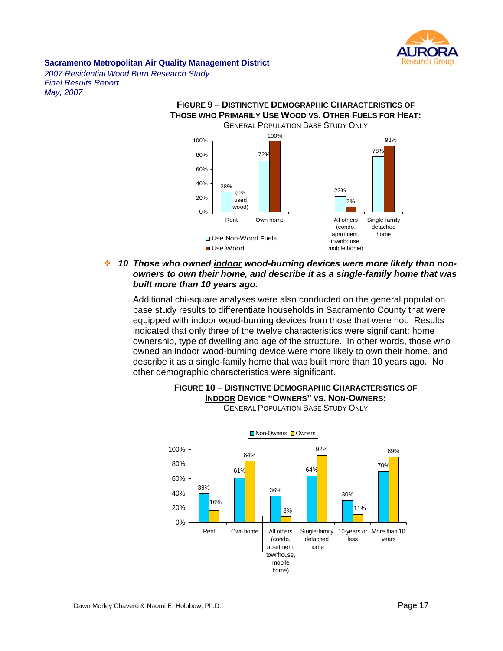

*2007 Residential Wood Burn Research Study Final Results Report May, 2007* 

#### **FIGURE 9 – DISTINCTIVE DEMOGRAPHIC CHARACTERISTICS OF THOSE WHO PRIMARILY USE WOOD VS. OTHER FUELS FOR HEAT:**  GENERAL POPULATION BASE STUDY ONLY



### *10 Those who owned indoor wood-burning devices were more likely than nonowners to own their home, and describe it as a single-family home that was built more than 10 years ago.*

Additional chi-square analyses were also conducted on the general population base study results to differentiate households in Sacramento County that were equipped with indoor wood-burning devices from those that were not. Results indicated that only three of the twelve characteristics were significant: home ownership, type of dwelling and age of the structure. In other words, those who owned an indoor wood-burning device were more likely to own their home, and describe it as a single-family home that was built more than 10 years ago. No other demographic characteristics were significant.



#### **FIGURE 10 – DISTINCTIVE DEMOGRAPHIC CHARACTERISTICS OF INDOOR DEVICE "OWNERS" VS. NON-OWNERS: GENERAL POPULATION BASE STUDY ONLY**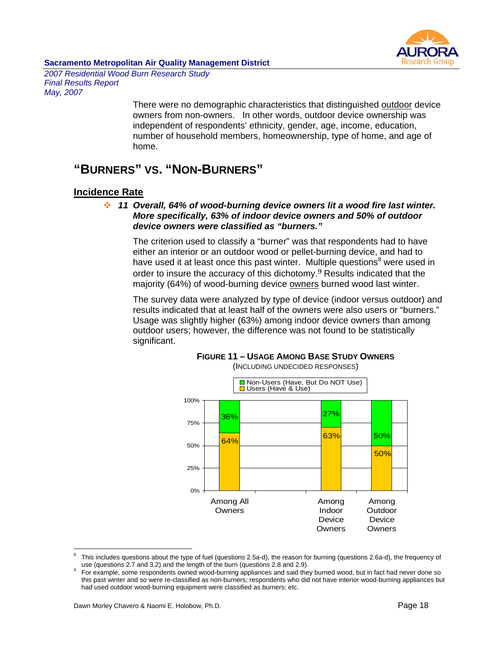

*2007 Residential Wood Burn Research Study Final Results Report May, 2007* 

> There were no demographic characteristics that distinguished outdoor device owners from non-owners. In other words, outdoor device ownership was independent of respondents' ethnicity, gender, age, income, education, number of household members, homeownership, type of home, and age of home.

# **"BURNERS" VS. "NON-BURNERS"**

# **Incidence Rate**

 *11 Overall, 64% of wood-burning device owners lit a wood fire last winter. More specifically, 63% of indoor device owners and 50% of outdoor device owners were classified as "burners."*

The criterion used to classify a "burner" was that respondents had to have either an interior or an outdoor wood or pellet-burning device, and had to have used it at least once this past winter. Multiple questions<sup>8</sup> were used in order to insure the accuracy of this dichotomy.9 Results indicated that the majority (64%) of wood-burning device owners burned wood last winter.

The survey data were analyzed by type of device (indoor versus outdoor) and results indicated that at least half of the owners were also users or "burners." Usage was slightly higher (63%) among indoor device owners than among outdoor users; however, the difference was not found to be statistically significant.



# **FIGURE 11 – USAGE AMONG BASE STUDY OWNERS**

 $\overline{a}$ 

<sup>8</sup> This includes questions about the type of fuel (questions 2.5a-d), the reason for burning (questions 2.6a-d), the frequency of use (questions 2.7 and 3.2) and the length of the burn (questions 2.8 and 2.9).

For example, some respondents owned wood-burning appliances and said they burned wood, but in fact had never done so this past winter and so were re-classified as non-burners; respondents who did not have interior wood-burning appliances but had used outdoor wood-burning equipment were classified as burners; etc.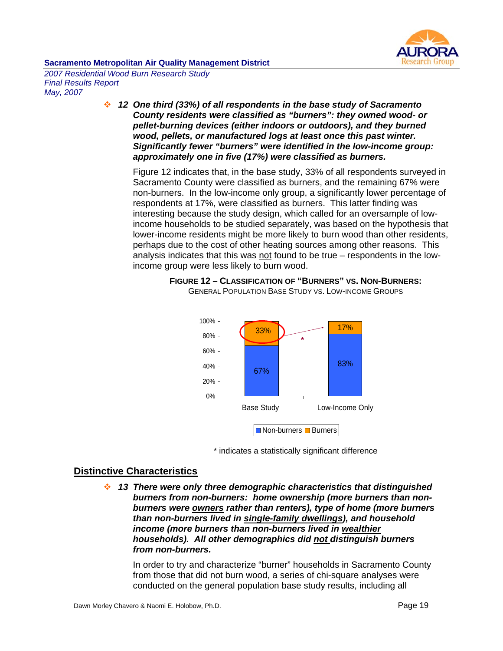

*2007 Residential Wood Burn Research Study Final Results Report May, 2007* 

> *12 One third (33%) of all respondents in the base study of Sacramento County residents were classified as "burners": they owned wood- or pellet-burning devices (either indoors or outdoors), and they burned wood, pellets, or manufactured logs at least once this past winter. Significantly fewer "burners" were identified in the low-income group: approximately one in five (17%) were classified as burners.*

Figure 12 indicates that, in the base study, 33% of all respondents surveyed in Sacramento County were classified as burners, and the remaining 67% were non-burners. In the low-income only group, a significantly lower percentage of respondents at 17%, were classified as burners. This latter finding was interesting because the study design, which called for an oversample of lowincome households to be studied separately, was based on the hypothesis that lower-income residents might be more likely to burn wood than other residents, perhaps due to the cost of other heating sources among other reasons. This analysis indicates that this was not found to be true – respondents in the lowincome group were less likely to burn wood.







# **Distinctive Characteristics**

 *13 There were only three demographic characteristics that distinguished burners from non-burners: home ownership (more burners than nonburners were owners rather than renters), type of home (more burners than non-burners lived in single-family dwellings), and household income (more burners than non-burners lived in wealthier households). All other demographics did not distinguish burners from non-burners.* 

In order to try and characterize "burner" households in Sacramento County from those that did not burn wood, a series of chi-square analyses were conducted on the general population base study results, including all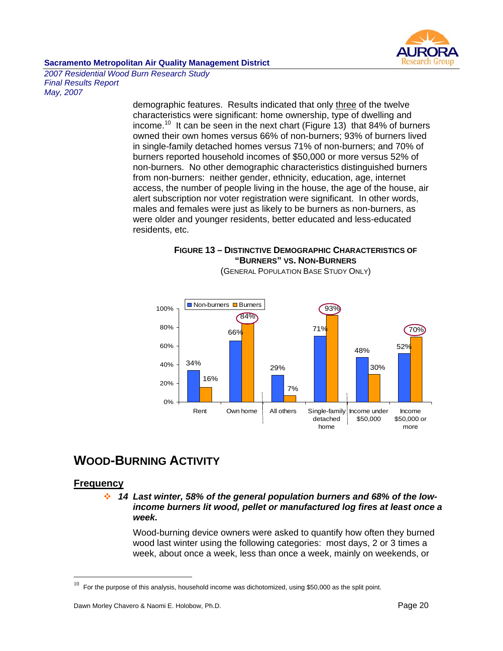

*2007 Residential Wood Burn Research Study Final Results Report May, 2007* 

> demographic features. Results indicated that only three of the twelve characteristics were significant: home ownership, type of dwelling and income.<sup>10</sup> It can be seen in the next chart (Figure 13) that 84% of burners owned their own homes versus 66% of non-burners; 93% of burners lived in single-family detached homes versus 71% of non-burners; and 70% of burners reported household incomes of \$50,000 or more versus 52% of non-burners. No other demographic characteristics distinguished burners from non-burners: neither gender, ethnicity, education, age, internet access, the number of people living in the house, the age of the house, air alert subscription nor voter registration were significant. In other words, males and females were just as likely to be burners as non-burners, as were older and younger residents, better educated and less-educated residents, etc.

**FIGURE 13 – DISTINCTIVE DEMOGRAPHIC CHARACTERISTICS OF "BURNERS" VS. NON-BURNERS**



# (GENERAL POPULATION BASE STUDY ONLY)

# **WOOD-BURNING ACTIVITY**

# **Frequency**

 $\overline{a}$ 

 *14 Last winter, 58% of the general population burners and 68% of the lowincome burners lit wood, pellet or manufactured log fires at least once a week.* 

Wood-burning device owners were asked to quantify how often they burned wood last winter using the following categories: most days, 2 or 3 times a week, about once a week, less than once a week, mainly on weekends, or

 $10$  For the purpose of this analysis, household income was dichotomized, using \$50,000 as the split point.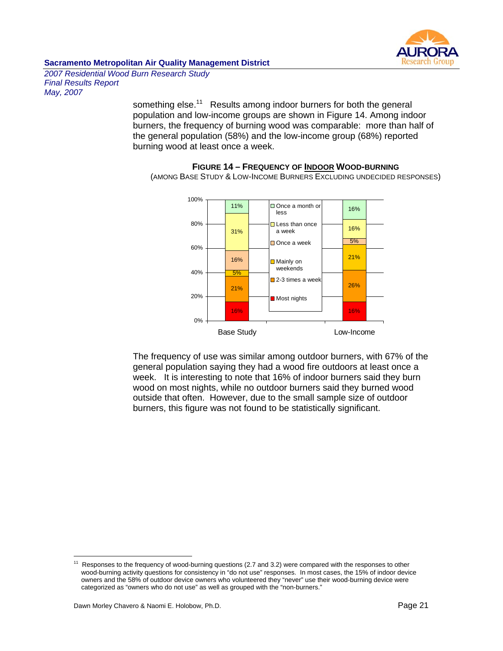

*2007 Residential Wood Burn Research Study Final Results Report May, 2007* 

> something else.<sup>11</sup> Results among indoor burners for both the general population and low-income groups are shown in Figure 14. Among indoor burners, the frequency of burning wood was comparable: more than half of the general population (58%) and the low-income group (68%) reported burning wood at least once a week.



**FIGURE 14 – FREQUENCY OF INDOOR WOOD-BURNING** (AMONG BASE STUDY & LOW-INCOME BURNERS EXCLUDING UNDECIDED RESPONSES)

The frequency of use was similar among outdoor burners, with 67% of the general population saying they had a wood fire outdoors at least once a week. It is interesting to note that 16% of indoor burners said they burn wood on most nights, while no outdoor burners said they burned wood outside that often. However, due to the small sample size of outdoor burners, this figure was not found to be statistically significant.

 $11$ Responses to the frequency of wood-burning questions (2.7 and 3.2) were compared with the responses to other wood-burning activity questions for consistency in "do not use" responses. In most cases, the 15% of indoor device owners and the 58% of outdoor device owners who volunteered they "never" use their wood-burning device were categorized as "owners who do not use" as well as grouped with the "non-burners."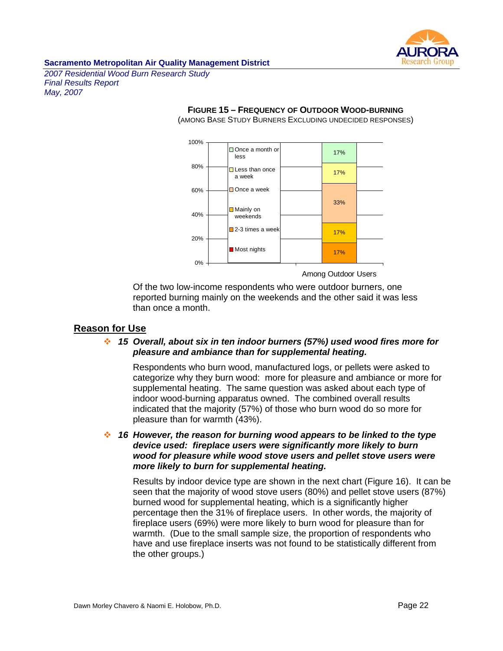

*2007 Residential Wood Burn Research Study Final Results Report May, 2007* 

#### **FIGURE 15 – FREQUENCY OF OUTDOOR WOOD-BURNING**

(AMONG BASE STUDY BURNERS EXCLUDING UNDECIDED RESPONSES)



Among Outdoor Users

Of the two low-income respondents who were outdoor burners, one reported burning mainly on the weekends and the other said it was less than once a month.

## **Reason for Use**

#### *15 Overall, about six in ten indoor burners (57%) used wood fires more for pleasure and ambiance than for supplemental heating.*

Respondents who burn wood, manufactured logs, or pellets were asked to categorize why they burn wood: more for pleasure and ambiance or more for supplemental heating. The same question was asked about each type of indoor wood-burning apparatus owned. The combined overall results indicated that the majority (57%) of those who burn wood do so more for pleasure than for warmth (43%).

 *16 However, the reason for burning wood appears to be linked to the type device used: fireplace users were significantly more likely to burn wood for pleasure while wood stove users and pellet stove users were more likely to burn for supplemental heating.*

Results by indoor device type are shown in the next chart (Figure 16). It can be seen that the majority of wood stove users (80%) and pellet stove users (87%) burned wood for supplemental heating, which is a significantly higher percentage then the 31% of fireplace users. In other words, the majority of fireplace users (69%) were more likely to burn wood for pleasure than for warmth. (Due to the small sample size, the proportion of respondents who have and use fireplace inserts was not found to be statistically different from the other groups.)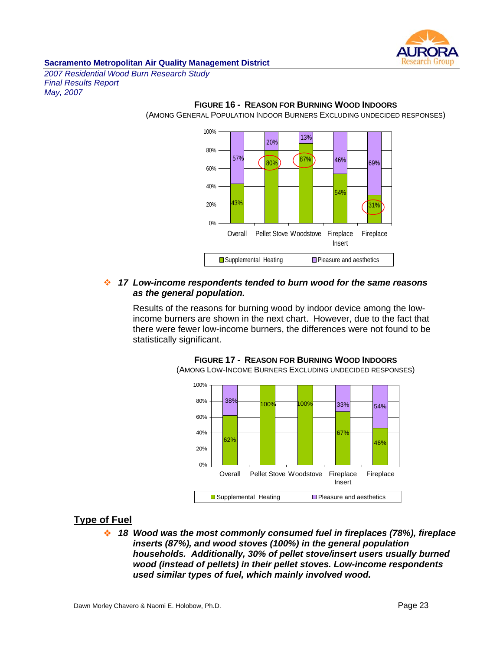

*2007 Residential Wood Burn Research Study Final Results Report May, 2007* 



**FIGURE 16 - REASON FOR BURNING WOOD INDOORS** (AMONG GENERAL POPULATION INDOOR BURNERS EXCLUDING UNDECIDED RESPONSES)

#### *17 Low-income respondents tended to burn wood for the same reasons as the general population.*

Results of the reasons for burning wood by indoor device among the lowincome burners are shown in the next chart. However, due to the fact that there were fewer low-income burners, the differences were not found to be statistically significant.



**FIGURE 17 - REASON FOR BURNING WOOD INDOORS** (AMONG LOW-INCOME BURNERS EXCLUDING UNDECIDED RESPONSES)

# **Type of Fuel**

 *18 Wood was the most commonly consumed fuel in fireplaces (78%), fireplace inserts (87%), and wood stoves (100%) in the general population households. Additionally, 30% of pellet stove/insert users usually burned wood (instead of pellets) in their pellet stoves. Low-income respondents used similar types of fuel, which mainly involved wood.*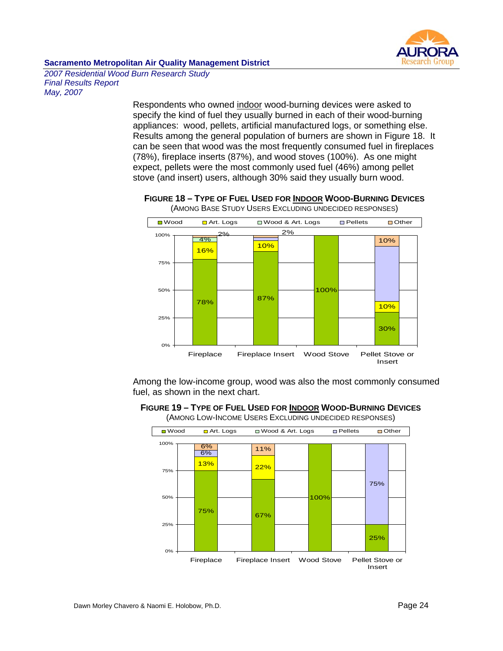

*2007 Residential Wood Burn Research Study Final Results Report May, 2007* 

> Respondents who owned indoor wood-burning devices were asked to specify the kind of fuel they usually burned in each of their wood-burning appliances: wood, pellets, artificial manufactured logs, or something else. Results among the general population of burners are shown in Figure 18. It can be seen that wood was the most frequently consumed fuel in fireplaces (78%), fireplace inserts (87%), and wood stoves (100%). As one might expect, pellets were the most commonly used fuel (46%) among pellet stove (and insert) users, although 30% said they usually burn wood.



**FIGURE 18 – TYPE OF FUEL USED FOR INDOOR WOOD-BURNING DEVICES** (AMONG BASE STUDY USERS EXCLUDING UNDECIDED RESPONSES)

Among the low-income group, wood was also the most commonly consumed fuel, as shown in the next chart.

**FIGURE 19 – TYPE OF FUEL USED FOR INDOOR WOOD-BURNING DEVICES**

(AMONG LOW-INCOME USERS EXCLUDING UNDECIDED RESPONSES)

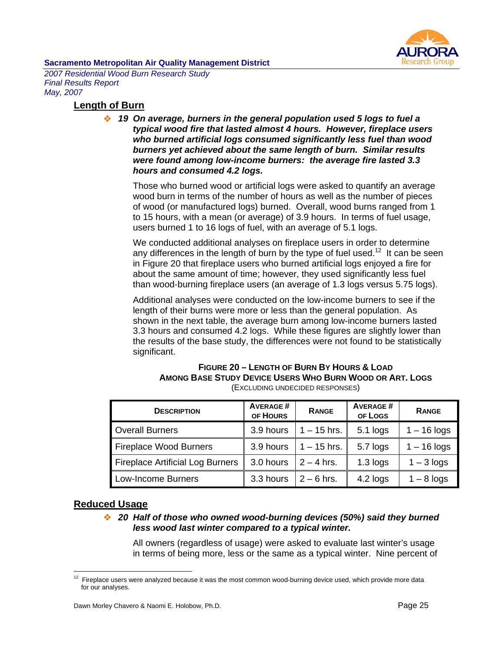

*2007 Residential Wood Burn Research Study Final Results Report May, 2007* 

### **Length of Burn**

 *19 On average, burners in the general population used 5 logs to fuel a typical wood fire that lasted almost 4 hours. However, fireplace users who burned artificial logs consumed significantly less fuel than wood burners yet achieved about the same length of burn. Similar results were found among low-income burners: the average fire lasted 3.3 hours and consumed 4.2 logs.* 

Those who burned wood or artificial logs were asked to quantify an average wood burn in terms of the number of hours as well as the number of pieces of wood (or manufactured logs) burned. Overall, wood burns ranged from 1 to 15 hours, with a mean (or average) of 3.9 hours. In terms of fuel usage, users burned 1 to 16 logs of fuel, with an average of 5.1 logs.

We conducted additional analyses on fireplace users in order to determine any differences in the length of burn by the type of fuel used.<sup>12</sup> It can be seen in Figure 20 that fireplace users who burned artificial logs enjoyed a fire for about the same amount of time; however, they used significantly less fuel than wood-burning fireplace users (an average of 1.3 logs versus 5.75 logs).

Additional analyses were conducted on the low-income burners to see if the length of their burns were more or less than the general population. As shown in the next table, the average burn among low-income burners lasted 3.3 hours and consumed 4.2 logs. While these figures are slightly lower than the results of the base study, the differences were not found to be statistically significant.

#### **FIGURE 20 – LENGTH OF BURN BY HOURS & LOAD AMONG BASE STUDY DEVICE USERS WHO BURN WOOD OR ART. LOGS**  (EXCLUDING UNDECIDED RESPONSES)

| <b>DESCRIPTION</b>                      | <b>AVERAGE#</b><br>OF HOURS | <b>RANGE</b>  | <b>AVERAGE#</b><br>OF LOGS | <b>RANGE</b>  |
|-----------------------------------------|-----------------------------|---------------|----------------------------|---------------|
| <b>Overall Burners</b>                  | 3.9 hours                   | $1 - 15$ hrs. | 5.1 logs                   | $1 - 16$ logs |
| <b>Fireplace Wood Burners</b>           | 3.9 hours                   | $1 - 15$ hrs. | 5.7 logs                   | $1 - 16$ logs |
| <b>Fireplace Artificial Log Burners</b> | 3.0 hours                   | $2 - 4$ hrs.  | $1.3$ logs                 | $1 - 3$ logs  |
| Low-Income Burners                      | 3.3 hours                   | $2 - 6$ hrs.  | 4.2 logs                   | $1 - 8$ logs  |

# **Reduced Usage**

 $\overline{a}$ 

 *20 Half of those who owned wood-burning devices (50%) said they burned less wood last winter compared to a typical winter.* 

All owners (regardless of usage) were asked to evaluate last winter's usage in terms of being more, less or the same as a typical winter. Nine percent of

 $12$  Fireplace users were analyzed because it was the most common wood-burning device used, which provide more data for our analyses.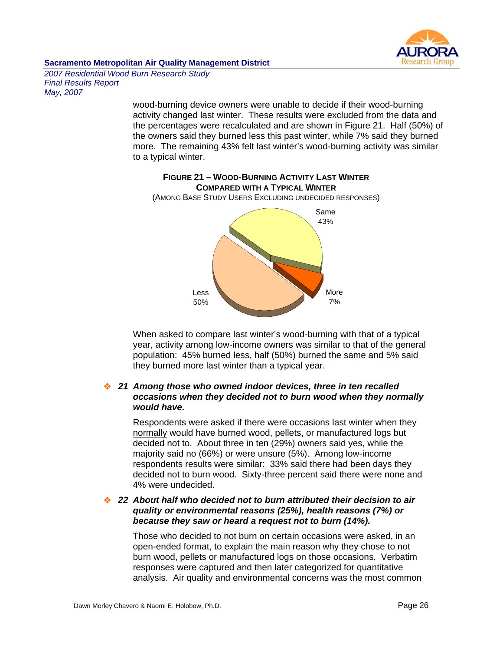

*2007 Residential Wood Burn Research Study Final Results Report May, 2007* 

> wood-burning device owners were unable to decide if their wood-burning activity changed last winter. These results were excluded from the data and the percentages were recalculated and are shown in Figure 21. Half (50%) of the owners said they burned less this past winter, while 7% said they burned more. The remaining 43% felt last winter's wood-burning activity was similar to a typical winter.



**FIGURE 21 – WOOD-BURNING ACTIVITY LAST WINTER** 

When asked to compare last winter's wood-burning with that of a typical year, activity among low-income owners was similar to that of the general population: 45% burned less, half (50%) burned the same and 5% said they burned more last winter than a typical year.

### *21 Among those who owned indoor devices, three in ten recalled occasions when they decided not to burn wood when they normally would have.*

Respondents were asked if there were occasions last winter when they normally would have burned wood, pellets, or manufactured logs but decided not to. About three in ten (29%) owners said yes, while the majority said no (66%) or were unsure (5%). Among low-income respondents results were similar: 33% said there had been days they decided not to burn wood. Sixty-three percent said there were none and 4% were undecided.

#### *22 About half who decided not to burn attributed their decision to air quality or environmental reasons (25%), health reasons (7%) or because they saw or heard a request not to burn (14%).*

Those who decided to not burn on certain occasions were asked, in an open-ended format, to explain the main reason why they chose to not burn wood, pellets or manufactured logs on those occasions. Verbatim responses were captured and then later categorized for quantitative analysis. Air quality and environmental concerns was the most common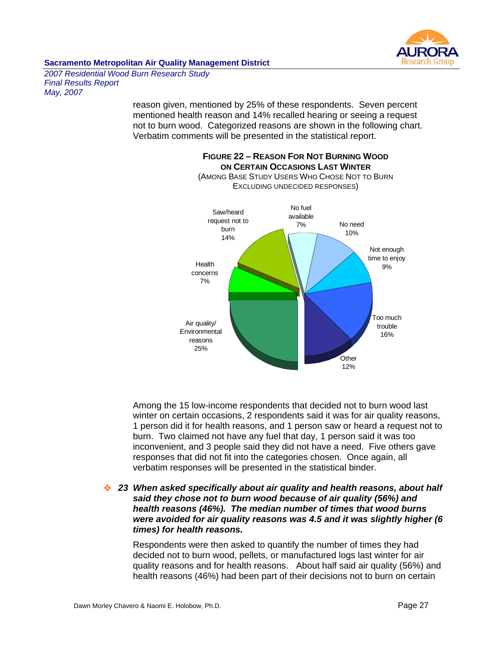

*2007 Residential Wood Burn Research Study Final Results Report May, 2007* 

> reason given, mentioned by 25% of these respondents. Seven percent mentioned health reason and 14% recalled hearing or seeing a request not to burn wood. Categorized reasons are shown in the following chart. Verbatim comments will be presented in the statistical report.



**FIGURE 22 – REASON FOR NOT BURNING WOOD** 

Among the 15 low-income respondents that decided not to burn wood last winter on certain occasions, 2 respondents said it was for air quality reasons, 1 person did it for health reasons, and 1 person saw or heard a request not to burn. Two claimed not have any fuel that day, 1 person said it was too inconvenient, and 3 people said they did not have a need. Five others gave responses that did not fit into the categories chosen. Once again, all verbatim responses will be presented in the statistical binder.

#### *23 When asked specifically about air quality and health reasons, about half said they chose not to burn wood because of air quality (56%) and health reasons (46%). The median number of times that wood burns were avoided for air quality reasons was 4.5 and it was slightly higher (6 times) for health reasons.*

Respondents were then asked to quantify the number of times they had decided not to burn wood, pellets, or manufactured logs last winter for air quality reasons and for health reasons. About half said air quality (56%) and health reasons (46%) had been part of their decisions not to burn on certain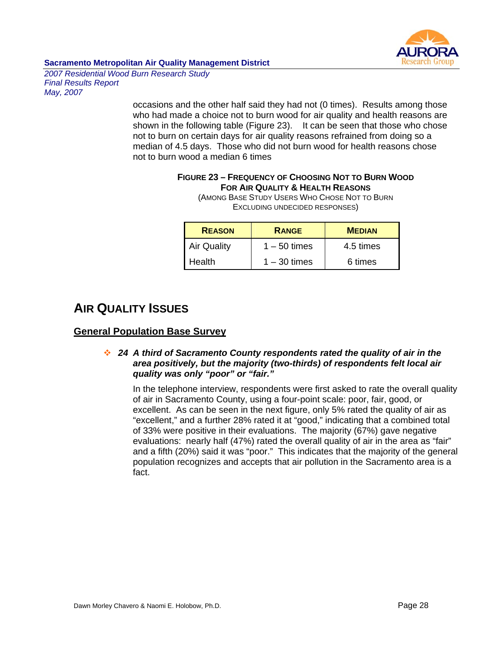

*2007 Residential Wood Burn Research Study Final Results Report May, 2007* 

> occasions and the other half said they had not (0 times). Results among those who had made a choice not to burn wood for air quality and health reasons are shown in the following table (Figure 23). It can be seen that those who chose not to burn on certain days for air quality reasons refrained from doing so a median of 4.5 days. Those who did not burn wood for health reasons chose not to burn wood a median 6 times

# **FIGURE 23 – FREQUENCY OF CHOOSING NOT TO BURN WOOD FOR AIR QUALITY & HEALTH REASONS**

(AMONG BASE STUDY USERS WHO CHOSE NOT TO BURN EXCLUDING UNDECIDED RESPONSES)

| <b>REASON</b>      | <b>RANGE</b>   | <b>MEDIAN</b> |  |
|--------------------|----------------|---------------|--|
| <b>Air Quality</b> | $1 - 50$ times | 4.5 times     |  |
| Health             | $1 - 30$ times | 6 times       |  |

# **AIR QUALITY ISSUES**

# **General Population Base Survey**

## *24 A third of Sacramento County respondents rated the quality of air in the area positively, but the majority (two-thirds) of respondents felt local air quality was only "poor" or "fair."*

In the telephone interview, respondents were first asked to rate the overall quality of air in Sacramento County, using a four-point scale: poor, fair, good, or excellent. As can be seen in the next figure, only 5% rated the quality of air as "excellent," and a further 28% rated it at "good," indicating that a combined total of 33% were positive in their evaluations. The majority (67%) gave negative evaluations: nearly half (47%) rated the overall quality of air in the area as "fair" and a fifth (20%) said it was "poor." This indicates that the majority of the general population recognizes and accepts that air pollution in the Sacramento area is a fact.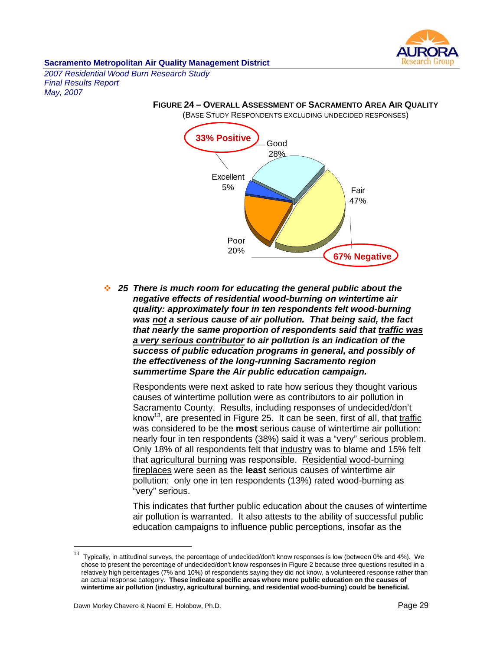

*2007 Residential Wood Burn Research Study Final Results Report May, 2007* 



**FIGURE 24 – OVERALL ASSESSMENT OF SACRAMENTO AREA AIR QUALITY**

 *25 There is much room for educating the general public about the negative effects of residential wood-burning on wintertime air quality: approximately four in ten respondents felt wood-burning was not a serious cause of air pollution. That being said, the fact that nearly the same proportion of respondents said that traffic was a very serious contributor to air pollution is an indication of the success of public education programs in general, and possibly of the effectiveness of the long-running Sacramento region summertime Spare the Air public education campaign.* 

Respondents were next asked to rate how serious they thought various causes of wintertime pollution were as contributors to air pollution in Sacramento County. Results, including responses of undecided/don't know<sup>13</sup>, are presented in Figure 25. It can be seen, first of all, that traffic was considered to be the **most** serious cause of wintertime air pollution: nearly four in ten respondents (38%) said it was a "very" serious problem. Only 18% of all respondents felt that industry was to blame and 15% felt that agricultural burning was responsible. Residential wood-burning fireplaces were seen as the **least** serious causes of wintertime air pollution: only one in ten respondents (13%) rated wood-burning as "very" serious.

This indicates that further public education about the causes of wintertime air pollution is warranted. It also attests to the ability of successful public education campaigns to influence public perceptions, insofar as the

 $\overline{a}$ 

 $13$  Typically, in attitudinal surveys, the percentage of undecided/don't know responses is low (between 0% and 4%). We chose to present the percentage of undecided/don't know responses in Figure 2 because three questions resulted in a relatively high percentages (7% and 10%) of respondents saying they did not know, a volunteered response rather than an actual response category. **These indicate specific areas where more public education on the causes of wintertime air pollution (industry, agricultural burning, and residential wood-burning) could be beneficial.**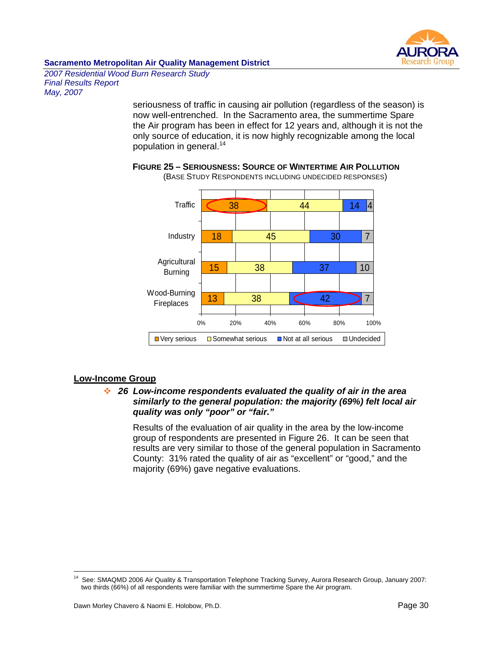

*2007 Residential Wood Burn Research Study Final Results Report May, 2007* 

> seriousness of traffic in causing air pollution (regardless of the season) is now well-entrenched. In the Sacramento area, the summertime Spare the Air program has been in effect for 12 years and, although it is not the only source of education, it is now highly recognizable among the local population in general.<sup>14</sup>



**FIGURE 25 – SERIOUSNESS: SOURCE OF WINTERTIME AIR POLLUTION** (BASE STUDY RESPONDENTS INCLUDING UNDECIDED RESPONSES)

#### **Low-Income Group**

 $\overline{a}$ 

### *26 Low-income respondents evaluated the quality of air in the area similarly to the general population: the majority (69%) felt local air quality was only "poor" or "fair."*

Results of the evaluation of air quality in the area by the low-income group of respondents are presented in Figure 26. It can be seen that results are very similar to those of the general population in Sacramento County: 31% rated the quality of air as "excellent" or "good," and the majority (69%) gave negative evaluations.

<sup>&</sup>lt;sup>14</sup> See: SMAQMD 2006 Air Quality & Transportation Telephone Tracking Survey, Aurora Research Group, January 2007: two thirds (66%) of all respondents were familiar with the summertime Spare the Air program.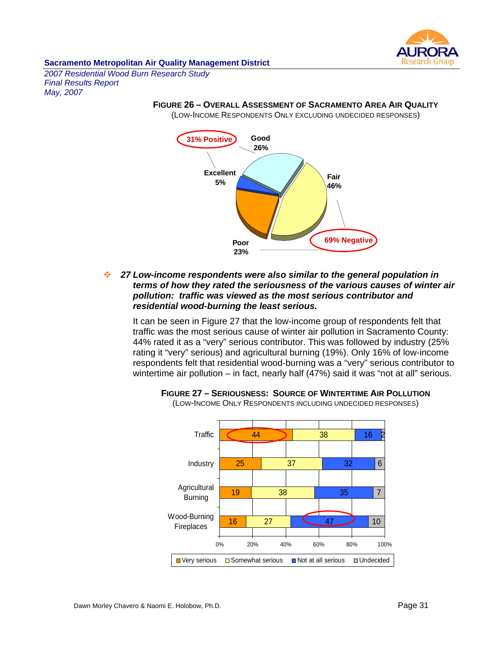

*2007 Residential Wood Burn Research Study Final Results Report May, 2007* 

# **FIGURE 26 – OVERALL ASSESSMENT OF SACRAMENTO AREA AIR QUALITY**

(LOW-INCOME RESPONDENTS ONLY EXCLUDING UNDECIDED RESPONSES)



 *27 Low-income respondents were also similar to the general population in terms of how they rated the seriousness of the various causes of winter air pollution: traffic was viewed as the most serious contributor and residential wood-burning the least serious.* 

It can be seen in Figure 27 that the low-income group of respondents felt that traffic was the most serious cause of winter air pollution in Sacramento County: 44% rated it as a "very" serious contributor. This was followed by industry (25% rating it "very" serious) and agricultural burning (19%). Only 16% of low-income respondents felt that residential wood-burning was a "very" serious contributor to wintertime air pollution – in fact, nearly half (47%) said it was "not at all" serious.



**FIGURE 27 – SERIOUSNESS: SOURCE OF WINTERTIME AIR POLLUTION**

(LOW-INCOME ONLY RESPONDENTS INCLUDING UNDECIDED RESPONSES)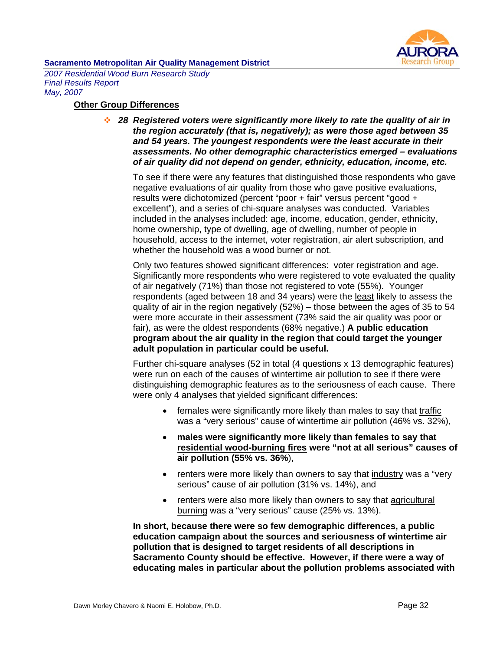

*2007 Residential Wood Burn Research Study Final Results Report May, 2007* 

#### **Other Group Differences**

 *28 Registered voters were significantly more likely to rate the quality of air in the region accurately (that is, negatively); as were those aged between 35 and 54 years. The youngest respondents were the least accurate in their assessments. No other demographic characteristics emerged – evaluations of air quality did not depend on gender, ethnicity, education, income, etc.* 

To see if there were any features that distinguished those respondents who gave negative evaluations of air quality from those who gave positive evaluations, results were dichotomized (percent "poor + fair" versus percent "good + excellent"), and a series of chi-square analyses was conducted. Variables included in the analyses included: age, income, education, gender, ethnicity, home ownership, type of dwelling, age of dwelling, number of people in household, access to the internet, voter registration, air alert subscription, and whether the household was a wood burner or not.

Only two features showed significant differences: voter registration and age. Significantly more respondents who were registered to vote evaluated the quality of air negatively (71%) than those not registered to vote (55%). Younger respondents (aged between 18 and 34 years) were the least likely to assess the quality of air in the region negatively (52%) – those between the ages of 35 to 54 were more accurate in their assessment (73% said the air quality was poor or fair), as were the oldest respondents (68% negative.) **A public education program about the air quality in the region that could target the younger adult population in particular could be useful.**

Further chi-square analyses (52 in total (4 questions x 13 demographic features) were run on each of the causes of wintertime air pollution to see if there were distinguishing demographic features as to the seriousness of each cause. There were only 4 analyses that yielded significant differences:

- females were significantly more likely than males to say that traffic was a "very serious" cause of wintertime air pollution (46% vs. 32%),
- **males were significantly more likely than females to say that residential wood-burning fires were "not at all serious" causes of air pollution (55% vs. 36%**),
- renters were more likely than owners to say that industry was a "very serious" cause of air pollution (31% vs. 14%), and
- renters were also more likely than owners to say that agricultural burning was a "very serious" cause (25% vs. 13%).

**In short, because there were so few demographic differences, a public education campaign about the sources and seriousness of wintertime air pollution that is designed to target residents of all descriptions in Sacramento County should be effective. However, if there were a way of educating males in particular about the pollution problems associated with**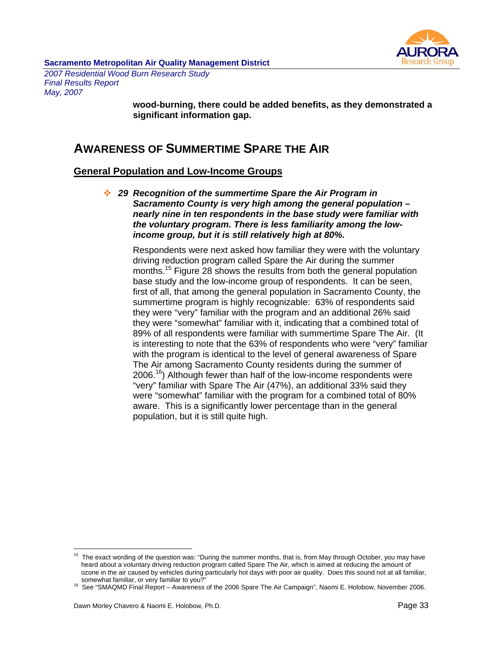

*2007 Residential Wood Burn Research Study Final Results Report May, 2007* 

> **wood-burning, there could be added benefits, as they demonstrated a significant information gap.**

# **AWARENESS OF SUMMERTIME SPARE THE AIR**

# **General Population and Low-Income Groups**

 *29 Recognition of the summertime Spare the Air Program in Sacramento County is very high among the general population – nearly nine in ten respondents in the base study were familiar with the voluntary program. There is less familiarity among the lowincome group, but it is still relatively high at 80%.* 

Respondents were next asked how familiar they were with the voluntary driving reduction program called Spare the Air during the summer months.<sup>15</sup> Figure 28 shows the results from both the general population base study and the low-income group of respondents. It can be seen, first of all, that among the general population in Sacramento County, the summertime program is highly recognizable: 63% of respondents said they were "very" familiar with the program and an additional 26% said they were "somewhat" familiar with it, indicating that a combined total of 89% of all respondents were familiar with summertime Spare The Air. (It is interesting to note that the 63% of respondents who were "very" familiar with the program is identical to the level of general awareness of Spare The Air among Sacramento County residents during the summer of 2006.<sup>16</sup>) Although fewer than half of the low-income respondents were "very" familiar with Spare The Air (47%), an additional 33% said they were "somewhat" familiar with the program for a combined total of 80% aware. This is a significantly lower percentage than in the general population, but it is still quite high.

 $\overline{a}$ The exact wording of the question was: "During the summer months, that is, from May through October, you may have heard about a voluntary driving reduction program called Spare The Air, which is aimed at reducing the amount of ozone in the air caused by vehicles during particularly hot days with poor air quality. Does this sound not at all familiar, somewhat familiar, somewhat familiar,

<sup>&</sup>lt;sup>16</sup> See "SMAQMD Final Report – Awareness of the 2006 Spare The Air Campaign", Naomi E. Holobow, November 2006.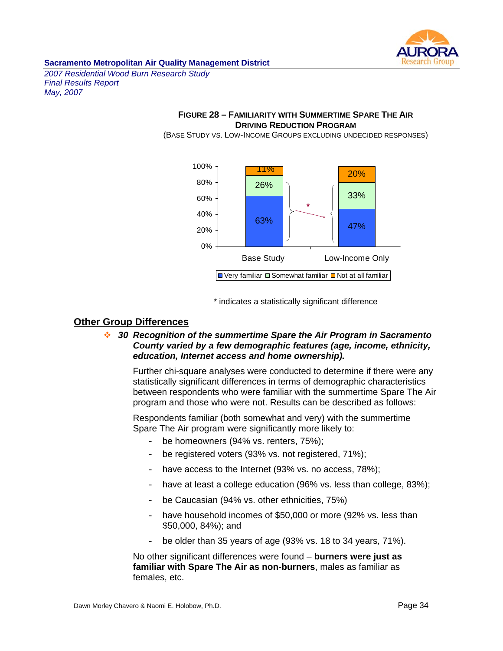

*2007 Residential Wood Burn Research Study Final Results Report May, 2007* 

## **FIGURE 28 – FAMILIARITY WITH SUMMERTIME SPARE THE AIR DRIVING REDUCTION PROGRAM**

(BASE STUDY VS. LOW-INCOME GROUPS EXCLUDING UNDECIDED RESPONSES)



\* indicates a statistically significant difference

# **Other Group Differences**

 *30 Recognition of the summertime Spare the Air Program in Sacramento County varied by a few demographic features (age, income, ethnicity, education, Internet access and home ownership).* 

Further chi-square analyses were conducted to determine if there were any statistically significant differences in terms of demographic characteristics between respondents who were familiar with the summertime Spare The Air program and those who were not. Results can be described as follows:

Respondents familiar (both somewhat and very) with the summertime Spare The Air program were significantly more likely to:

- be homeowners (94% vs. renters, 75%);
- be registered voters (93% vs. not registered, 71%);
- have access to the Internet (93% vs. no access, 78%);
- have at least a college education (96% vs. less than college, 83%);
- be Caucasian (94% vs. other ethnicities, 75%)
- have household incomes of \$50,000 or more (92% vs. less than \$50,000, 84%); and
- be older than 35 years of age (93% vs. 18 to 34 years, 71%).

No other significant differences were found – **burners were just as familiar with Spare The Air as non-burners**, males as familiar as females, etc.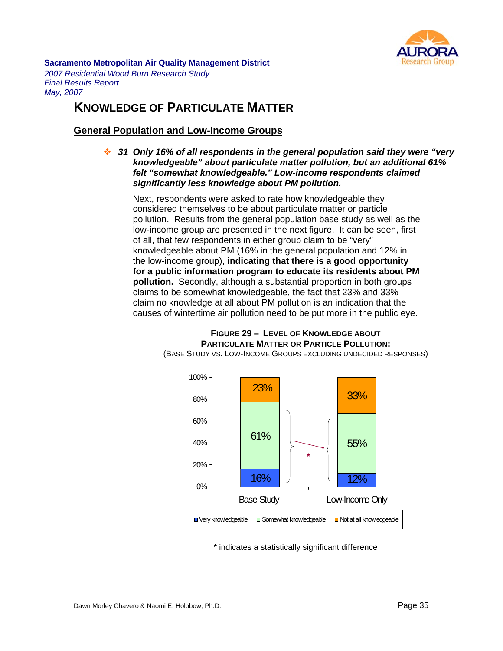

*2007 Residential Wood Burn Research Study Final Results Report May, 2007* 

# **KNOWLEDGE OF PARTICULATE MATTER**

# **General Population and Low-Income Groups**

 *31 Only 16% of all respondents in the general population said they were "very knowledgeable" about particulate matter pollution, but an additional 61% felt "somewhat knowledgeable." Low-income respondents claimed significantly less knowledge about PM pollution.* 

Next, respondents were asked to rate how knowledgeable they considered themselves to be about particulate matter or particle pollution. Results from the general population base study as well as the low-income group are presented in the next figure. It can be seen, first of all, that few respondents in either group claim to be "very" knowledgeable about PM (16% in the general population and 12% in the low-income group), **indicating that there is a good opportunity for a public information program to educate its residents about PM pollution.** Secondly, although a substantial proportion in both groups claims to be somewhat knowledgeable, the fact that 23% and 33% claim no knowledge at all about PM pollution is an indication that the causes of wintertime air pollution need to be put more in the public eye.



**FIGURE 29 – LEVEL OF KNOWLEDGE ABOUT PARTICULATE MATTER OR PARTICLE POLLUTION:**  (BASE STUDY VS. LOW-INCOME GROUPS EXCLUDING UNDECIDED RESPONSES)

\* indicates a statistically significant difference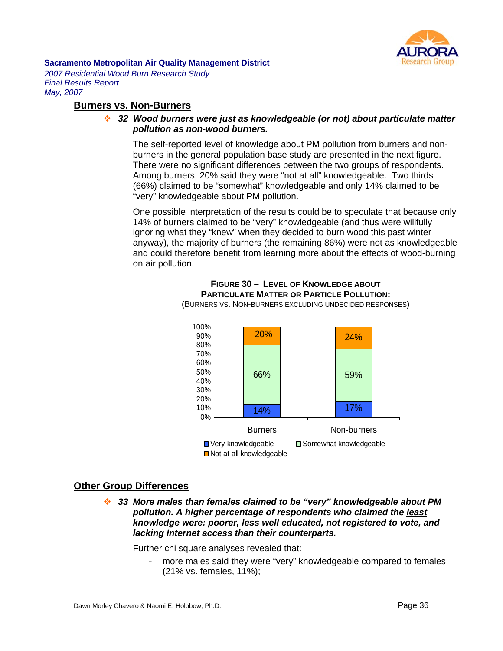

*2007 Residential Wood Burn Research Study Final Results Report May, 2007* 

## **Burners vs. Non-Burners**

#### *32 Wood burners were just as knowledgeable (or not) about particulate matter pollution as non-wood burners.*

The self-reported level of knowledge about PM pollution from burners and nonburners in the general population base study are presented in the next figure. There were no significant differences between the two groups of respondents. Among burners, 20% said they were "not at all" knowledgeable. Two thirds (66%) claimed to be "somewhat" knowledgeable and only 14% claimed to be "very" knowledgeable about PM pollution.

One possible interpretation of the results could be to speculate that because only 14% of burners claimed to be "very" knowledgeable (and thus were willfully ignoring what they "knew" when they decided to burn wood this past winter anyway), the majority of burners (the remaining 86%) were not as knowledgeable and could therefore benefit from learning more about the effects of wood-burning on air pollution.

# **FIGURE 30 – LEVEL OF KNOWLEDGE ABOUT PARTICULATE MATTER OR PARTICLE POLLUTION:**

14% 66% 59% 24% 17% 20% 0% 10% 20% 30% 40% 50% 60% 70% 80% 90% 100% Burners Non-burners ■ Very knowledgeable Bomewhat knowledgeable ■ Not at all knowledgeable

(BURNERS VS. NON-BURNERS EXCLUDING UNDECIDED RESPONSES)

# **Other Group Differences**

 *33 More males than females claimed to be "very" knowledgeable about PM pollution. A higher percentage of respondents who claimed the least knowledge were: poorer, less well educated, not registered to vote, and lacking Internet access than their counterparts.* 

Further chi square analyses revealed that:

- more males said they were "very" knowledgeable compared to females (21% vs. females, 11%);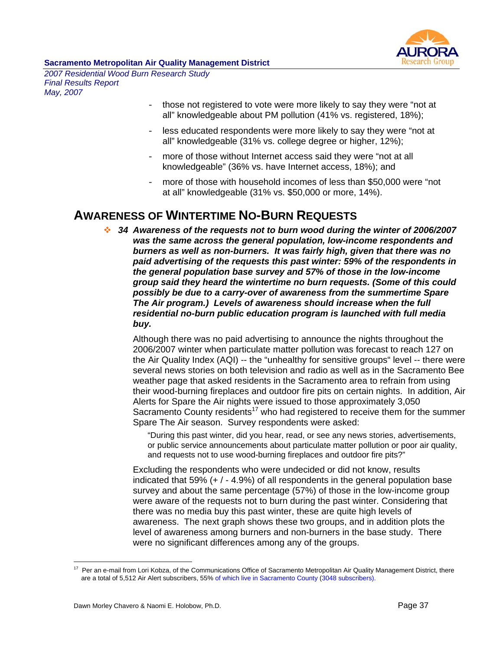

*2007 Residential Wood Burn Research Study Final Results Report May, 2007* 

- those not registered to vote were more likely to say they were "not at all" knowledgeable about PM pollution (41% vs. registered, 18%);
- less educated respondents were more likely to say they were "not at all" knowledgeable (31% vs. college degree or higher, 12%);
- more of those without Internet access said they were "not at all knowledgeable" (36% vs. have Internet access, 18%); and
- more of those with household incomes of less than \$50,000 were "not at all" knowledgeable (31% vs. \$50,000 or more, 14%).

# **AWARENESS OF WINTERTIME NO-BURN REQUESTS**

 *34 Awareness of the requests not to burn wood during the winter of 2006/2007 was the same across the general population, low-income respondents and burners as well as non-burners. It was fairly high, given that there was no paid advertising of the requests this past winter: 59% of the respondents in the general population base survey and 57% of those in the low-income group said they heard the wintertime no burn requests. (Some of this could possibly be due to a carry-over of awareness from the summertime Spare The Air program.) Levels of awareness should increase when the full residential no-burn public education program is launched with full media buy.* 

Although there was no paid advertising to announce the nights throughout the 2006/2007 winter when particulate matter pollution was forecast to reach 127 on the Air Quality Index (AQI) -- the "unhealthy for sensitive groups" level -- there were several news stories on both television and radio as well as in the Sacramento Bee weather page that asked residents in the Sacramento area to refrain from using their wood-burning fireplaces and outdoor fire pits on certain nights. In addition, Air Alerts for Spare the Air nights were issued to those approximately 3,050 Sacramento County residents<sup>17</sup> who had registered to receive them for the summer Spare The Air season. Survey respondents were asked:

"During this past winter, did you hear, read, or see any news stories, advertisements, or public service announcements about particulate matter pollution or poor air quality, and requests not to use wood-burning fireplaces and outdoor fire pits?"

Excluding the respondents who were undecided or did not know, results indicated that 59%  $(+ / - 4.9%)$  of all respondents in the general population base survey and about the same percentage (57%) of those in the low-income group were aware of the requests not to burn during the past winter. Considering that there was no media buy this past winter, these are quite high levels of awareness. The next graph shows these two groups, and in addition plots the level of awareness among burners and non-burners in the base study. There were no significant differences among any of the groups.

 $\overline{a}$  $17$  Per an e-mail from Lori Kobza, of the Communications Office of Sacramento Metropolitan Air Quality Management District, there are a total of 5,512 Air Alert subscribers, 55% of which live in Sacramento County (3048 subscribers).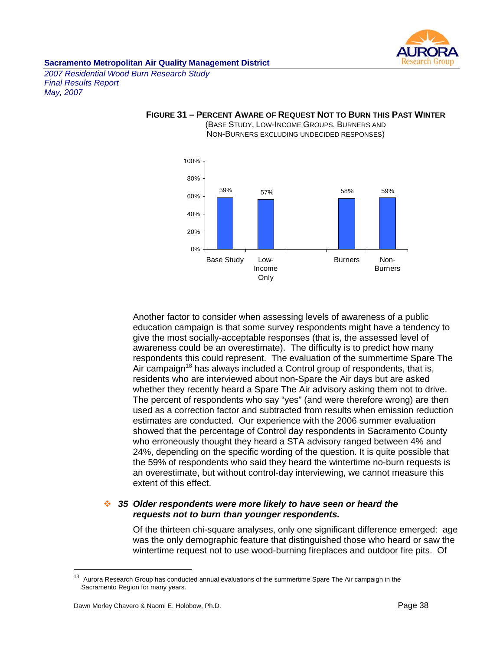

*2007 Residential Wood Burn Research Study Final Results Report May, 2007* 



#### **FIGURE 31 – PERCENT AWARE OF REQUEST NOT TO BURN THIS PAST WINTER**  (BASE STUDY, LOW-INCOME GROUPS, BURNERS AND

NON-BURNERS EXCLUDING UNDECIDED RESPONSES)

Another factor to consider when assessing levels of awareness of a public education campaign is that some survey respondents might have a tendency to give the most socially-acceptable responses (that is, the assessed level of awareness could be an overestimate). The difficulty is to predict how many respondents this could represent. The evaluation of the summertime Spare The Air campaign<sup>18</sup> has always included a Control group of respondents, that is, residents who are interviewed about non-Spare the Air days but are asked whether they recently heard a Spare The Air advisory asking them not to drive. The percent of respondents who say "yes" (and were therefore wrong) are then used as a correction factor and subtracted from results when emission reduction estimates are conducted. Our experience with the 2006 summer evaluation showed that the percentage of Control day respondents in Sacramento County who erroneously thought they heard a STA advisory ranged between 4% and 24%, depending on the specific wording of the question. It is quite possible that the 59% of respondents who said they heard the wintertime no-burn requests is an overestimate, but without control-day interviewing, we cannot measure this extent of this effect.

#### *35 Older respondents were more likely to have seen or heard the requests not to burn than younger respondents.*

Of the thirteen chi-square analyses, only one significant difference emerged: age was the only demographic feature that distinguished those who heard or saw the wintertime request not to use wood-burning fireplaces and outdoor fire pits. Of

 $\overline{a}$ 

 $18$  Aurora Research Group has conducted annual evaluations of the summertime Spare The Air campaign in the Sacramento Region for many years.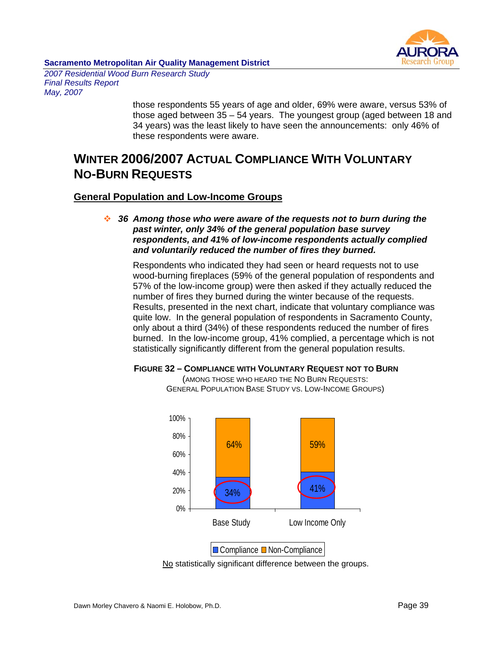

*2007 Residential Wood Burn Research Study Final Results Report May, 2007* 

> those respondents 55 years of age and older, 69% were aware, versus 53% of those aged between 35 – 54 years. The youngest group (aged between 18 and 34 years) was the least likely to have seen the announcements: only 46% of these respondents were aware.

# **WINTER 2006/2007 ACTUAL COMPLIANCE WITH VOLUNTARY NO-BURN REQUESTS**

### **General Population and Low-Income Groups**

 *36 Among those who were aware of the requests not to burn during the past winter, only 34% of the general population base survey respondents, and 41% of low-income respondents actually complied and voluntarily reduced the number of fires they burned.* 

Respondents who indicated they had seen or heard requests not to use wood-burning fireplaces (59% of the general population of respondents and 57% of the low-income group) were then asked if they actually reduced the number of fires they burned during the winter because of the requests. Results, presented in the next chart, indicate that voluntary compliance was quite low. In the general population of respondents in Sacramento County, only about a third (34%) of these respondents reduced the number of fires burned. In the low-income group, 41% complied, a percentage which is not statistically significantly different from the general population results.

#### **FIGURE 32 – COMPLIANCE WITH VOLUNTARY REQUEST NOT TO BURN**

(AMONG THOSE WHO HEARD THE NO BURN REQUESTS: GENERAL POPULATION BASE STUDY VS. LOW-INCOME GROUPS)



No statistically significant difference between the groups.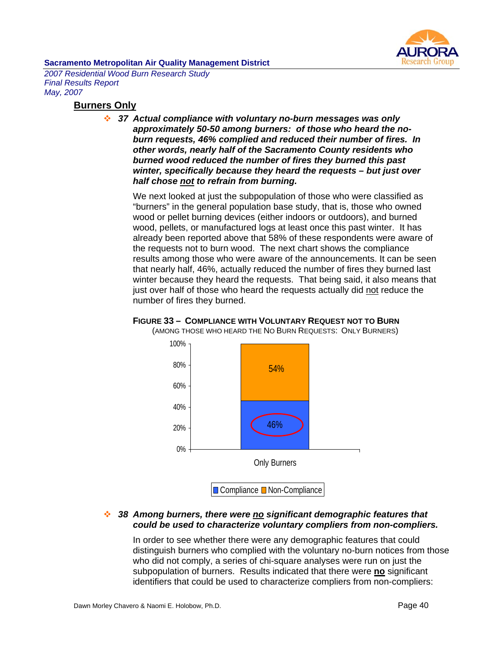

*2007 Residential Wood Burn Research Study Final Results Report May, 2007* 

#### **Burners Only**

 *37 Actual compliance with voluntary no-burn messages was only approximately 50-50 among burners: of those who heard the noburn requests, 46% complied and reduced their number of fires. In other words, nearly half of the Sacramento County residents who burned wood reduced the number of fires they burned this past winter, specifically because they heard the requests – but just over half chose not to refrain from burning.* 

We next looked at just the subpopulation of those who were classified as "burners" in the general population base study, that is, those who owned wood or pellet burning devices (either indoors or outdoors), and burned wood, pellets, or manufactured logs at least once this past winter. It has already been reported above that 58% of these respondents were aware of the requests not to burn wood. The next chart shows the compliance results among those who were aware of the announcements. It can be seen that nearly half, 46%, actually reduced the number of fires they burned last winter because they heard the requests. That being said, it also means that just over half of those who heard the requests actually did not reduce the number of fires they burned.



# **FIGURE 33 – COMPLIANCE WITH VOLUNTARY REQUEST NOT TO BURN**

(AMONG THOSE WHO HEARD THE NO BURN REQUESTS: ONLY BURNERS)

### *38 Among burners, there were no significant demographic features that could be used to characterize voluntary compliers from non-compliers.*

In order to see whether there were any demographic features that could distinguish burners who complied with the voluntary no-burn notices from those who did not comply, a series of chi-square analyses were run on just the subpopulation of burners. Results indicated that there were **no** significant identifiers that could be used to characterize compliers from non-compliers: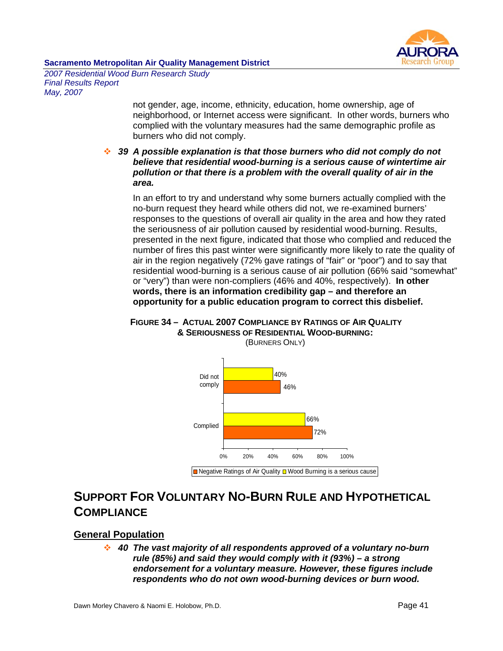

*2007 Residential Wood Burn Research Study Final Results Report May, 2007* 

> not gender, age, income, ethnicity, education, home ownership, age of neighborhood, or Internet access were significant. In other words, burners who complied with the voluntary measures had the same demographic profile as burners who did not comply.

### *39 A possible explanation is that those burners who did not comply do not believe that residential wood-burning is a serious cause of wintertime air pollution or that there is a problem with the overall quality of air in the area.*

In an effort to try and understand why some burners actually complied with the no-burn request they heard while others did not, we re-examined burners' responses to the questions of overall air quality in the area and how they rated the seriousness of air pollution caused by residential wood-burning. Results, presented in the next figure, indicated that those who complied and reduced the number of fires this past winter were significantly more likely to rate the quality of air in the region negatively (72% gave ratings of "fair" or "poor") and to say that residential wood-burning is a serious cause of air pollution (66% said "somewhat" or "very") than were non-compliers (46% and 40%, respectively). **In other words, there is an information credibility gap – and therefore an opportunity for a public education program to correct this disbelief.**

#### **FIGURE 34 – ACTUAL 2007 COMPLIANCE BY RATINGS OF AIR QUALITY & SERIOUSNESS OF RESIDENTIAL WOOD-BURNING:**  (BURNERS ONLY)



# **SUPPORT FOR VOLUNTARY NO-BURN RULE AND HYPOTHETICAL COMPLIANCE**

# **General Population**

 *40 The vast majority of all respondents approved of a voluntary no-burn rule (85%) and said they would comply with it (93%) – a strong endorsement for a voluntary measure. However, these figures include respondents who do not own wood-burning devices or burn wood.*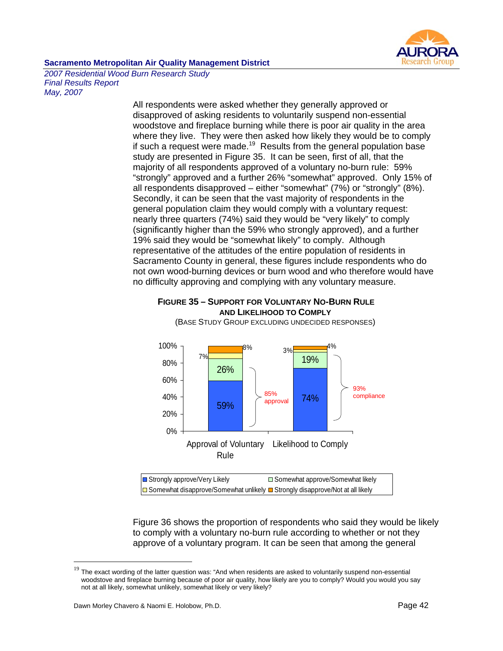

*2007 Residential Wood Burn Research Study Final Results Report May, 2007* 

> All respondents were asked whether they generally approved or disapproved of asking residents to voluntarily suspend non-essential woodstove and fireplace burning while there is poor air quality in the area where they live. They were then asked how likely they would be to comply if such a request were made.<sup>19</sup> Results from the general population base study are presented in Figure 35. It can be seen, first of all, that the majority of all respondents approved of a voluntary no-burn rule: 59% "strongly" approved and a further 26% "somewhat" approved. Only 15% of all respondents disapproved – either "somewhat" (7%) or "strongly" (8%). Secondly, it can be seen that the vast majority of respondents in the general population claim they would comply with a voluntary request: nearly three quarters (74%) said they would be "very likely" to comply (significantly higher than the 59% who strongly approved), and a further 19% said they would be "somewhat likely" to comply. Although representative of the attitudes of the entire population of residents in Sacramento County in general, these figures include respondents who do not own wood-burning devices or burn wood and who therefore would have no difficulty approving and complying with any voluntary measure.

#### **FIGURE 35 – SUPPORT FOR VOLUNTARY NO-BURN RULE AND LIKELIHOOD TO COMPLY**

(BASE STUDY GROUP EXCLUDING UNDECIDED RESPONSES)



Bomewhat disapprove/Somewhat unlikely ■ Strongly disapprove/Not at all likely

Figure 36 shows the proportion of respondents who said they would be likely to comply with a voluntary no-burn rule according to whether or not they approve of a voluntary program. It can be seen that among the general

 $\overline{a}$ 

 $19$  The exact wording of the latter question was: "And when residents are asked to voluntarily suspend non-essential woodstove and fireplace burning because of poor air quality, how likely are you to comply? Would you would you say not at all likely, somewhat unlikely, somewhat likely or very likely?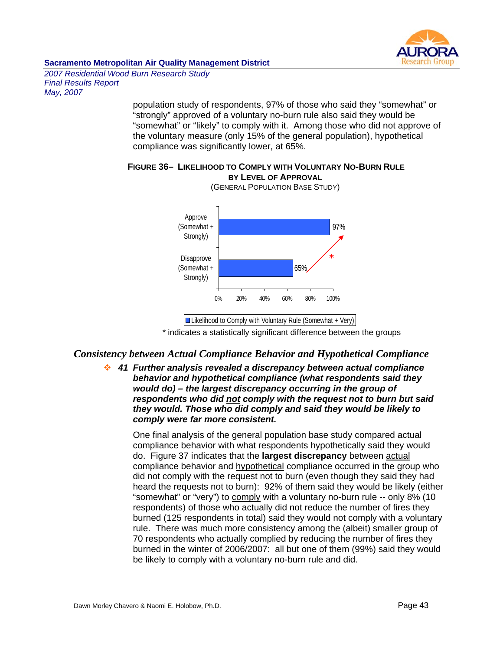

*2007 Residential Wood Burn Research Study Final Results Report May, 2007* 

> population study of respondents, 97% of those who said they "somewhat" or "strongly" approved of a voluntary no-burn rule also said they would be "somewhat" or "likely" to comply with it. Among those who did not approve of the voluntary measure (only 15% of the general population), hypothetical compliance was significantly lower, at 65%.

#### **FIGURE 36– LIKELIHOOD TO COMPLY WITH VOLUNTARY NO-BURN RULE BY LEVEL OF APPROVAL**



(GENERAL POPULATION BASE STUDY)

\* indicates a statistically significant difference between the groups

# *Consistency between Actual Compliance Behavior and Hypothetical Compliance*

 *41 Further analysis revealed a discrepancy between actual compliance behavior and hypothetical compliance (what respondents said they would do) – the largest discrepancy occurring in the group of respondents who did not comply with the request not to burn but said they would. Those who did comply and said they would be likely to comply were far more consistent.* 

One final analysis of the general population base study compared actual compliance behavior with what respondents hypothetically said they would do. Figure 37 indicates that the **largest discrepancy** between actual compliance behavior and hypothetical compliance occurred in the group who did not comply with the request not to burn (even though they said they had heard the requests not to burn): 92% of them said they would be likely (either "somewhat" or "very") to comply with a voluntary no-burn rule -- only 8% (10 respondents) of those who actually did not reduce the number of fires they burned (125 respondents in total) said they would not comply with a voluntary rule. There was much more consistency among the (albeit) smaller group of 70 respondents who actually complied by reducing the number of fires they burned in the winter of 2006/2007: all but one of them (99%) said they would be likely to comply with a voluntary no-burn rule and did.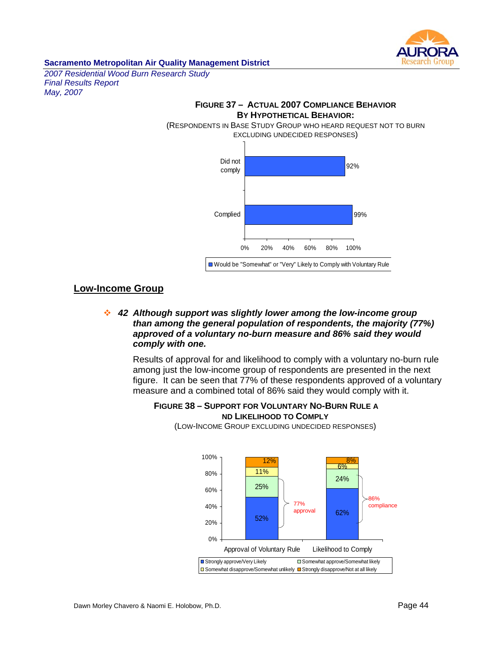

*2007 Residential Wood Burn Research Study Final Results Report May, 2007* 



# **Low-Income Group**

# *42 Although support was slightly lower among the low-income group than among the general population of respondents, the majority (77%) approved of a voluntary no-burn measure and 86% said they would comply with one.*

Results of approval for and likelihood to comply with a voluntary no-burn rule among just the low-income group of respondents are presented in the next figure. It can be seen that 77% of these respondents approved of a voluntary measure and a combined total of 86% said they would comply with it.

# **FIGURE 38 – SUPPORT FOR VOLUNTARY NO-BURN RULE A ND LIKELIHOOD TO COMPLY**



(LOW-INCOME GROUP EXCLUDING UNDECIDED RESPONSES)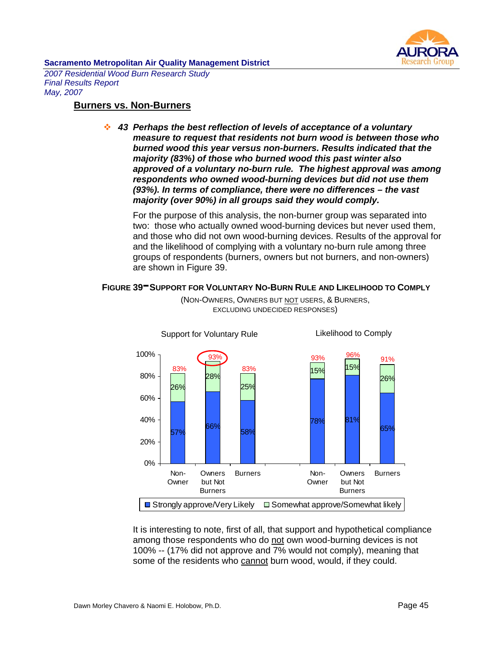

*2007 Residential Wood Burn Research Study Final Results Report May, 2007* 

# **Burners vs. Non-Burners**

 *43 Perhaps the best reflection of levels of acceptance of a voluntary measure to request that residents not burn wood is between those who burned wood this year versus non-burners. Results indicated that the majority (83%) of those who burned wood this past winter also approved of a voluntary no-burn rule. The highest approval was among respondents who owned wood-burning devices but did not use them (93%). In terms of compliance, there were no differences – the vast majority (over 90%) in all groups said they would comply.* 

For the purpose of this analysis, the non-burner group was separated into two: those who actually owned wood-burning devices but never used them, and those who did not own wood-burning devices. Results of the approval for and the likelihood of complying with a voluntary no-burn rule among three groups of respondents (burners, owners but not burners, and non-owners) are shown in Figure 39.

### **FIGURE 39-SUPPORT FOR VOLUNTARY NO-BURN RULE AND LIKELIHOOD TO COMPLY**



(NON-OWNERS, OWNERS BUT NOT USERS, & BURNERS, EXCLUDING UNDECIDED RESPONSES)

It is interesting to note, first of all, that support and hypothetical compliance among those respondents who do not own wood-burning devices is not 100% -- (17% did not approve and 7% would not comply), meaning that some of the residents who cannot burn wood, would, if they could.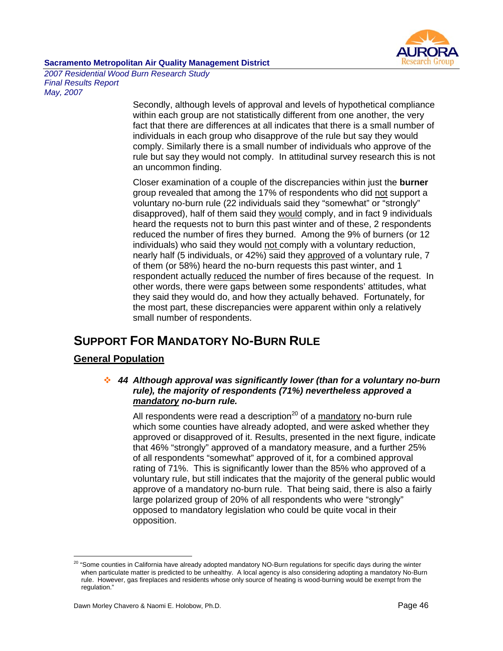

*2007 Residential Wood Burn Research Study Final Results Report May, 2007* 

> Secondly, although levels of approval and levels of hypothetical compliance within each group are not statistically different from one another, the very fact that there are differences at all indicates that there is a small number of individuals in each group who disapprove of the rule but say they would comply. Similarly there is a small number of individuals who approve of the rule but say they would not comply. In attitudinal survey research this is not an uncommon finding.

Closer examination of a couple of the discrepancies within just the **burner** group revealed that among the 17% of respondents who did not support a voluntary no-burn rule (22 individuals said they "somewhat" or "strongly" disapproved), half of them said they would comply, and in fact 9 individuals heard the requests not to burn this past winter and of these, 2 respondents reduced the number of fires they burned. Among the 9% of burners (or 12 individuals) who said they would not comply with a voluntary reduction, nearly half (5 individuals, or 42%) said they approved of a voluntary rule, 7 of them (or 58%) heard the no-burn requests this past winter, and 1 respondent actually reduced the number of fires because of the request. In other words, there were gaps between some respondents' attitudes, what they said they would do, and how they actually behaved. Fortunately, for the most part, these discrepancies were apparent within only a relatively small number of respondents.

# **SUPPORT FOR MANDATORY NO-BURN RULE**

# **General Population**

## *44 Although approval was significantly lower (than for a voluntary no-burn rule), the majority of respondents (71%) nevertheless approved a mandatory no-burn rule.*

All respondents were read a description<sup>20</sup> of a mandatory no-burn rule which some counties have already adopted, and were asked whether they approved or disapproved of it. Results, presented in the next figure, indicate that 46% "strongly" approved of a mandatory measure, and a further 25% of all respondents "somewhat" approved of it, for a combined approval rating of 71%. This is significantly lower than the 85% who approved of a voluntary rule, but still indicates that the majority of the general public would approve of a mandatory no-burn rule. That being said, there is also a fairly large polarized group of 20% of all respondents who were "strongly" opposed to mandatory legislation who could be quite vocal in their opposition.

 $\overline{a}$ 

 $^{20}$  "Some counties in California have already adopted mandatory NO-Burn regulations for specific days during the winter when particulate matter is predicted to be unhealthy. A local agency is also considering adopting a mandatory No-Burn rule. However, gas fireplaces and residents whose only source of heating is wood-burning would be exempt from the regulation."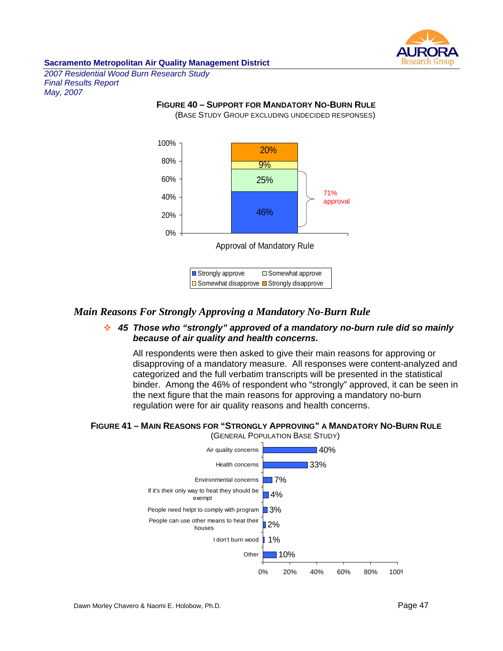

*2007 Residential Wood Burn Research Study Final Results Report May, 2007* 

# **FIGURE 40 – SUPPORT FOR MANDATORY NO-BURN RULE**

(BASE STUDY GROUP EXCLUDING UNDECIDED RESPONSES)



# *Main Reasons For Strongly Approving a Mandatory No-Burn Rule*

# *45 Those who "strongly" approved of a mandatory no-burn rule did so mainly because of air quality and health concerns.*

All respondents were then asked to give their main reasons for approving or disapproving of a mandatory measure. All responses were content-analyzed and categorized and the full verbatim transcripts will be presented in the statistical binder. Among the 46% of respondent who "strongly" approved, it can be seen in the next figure that the main reasons for approving a mandatory no-burn regulation were for air quality reasons and health concerns.

### **FIGURE 41 – MAIN REASONS FOR "STRONGLY APPROVING" A MANDATORY NO-BURN RULE**  (GENERAL POPULATION BASE STUDY)

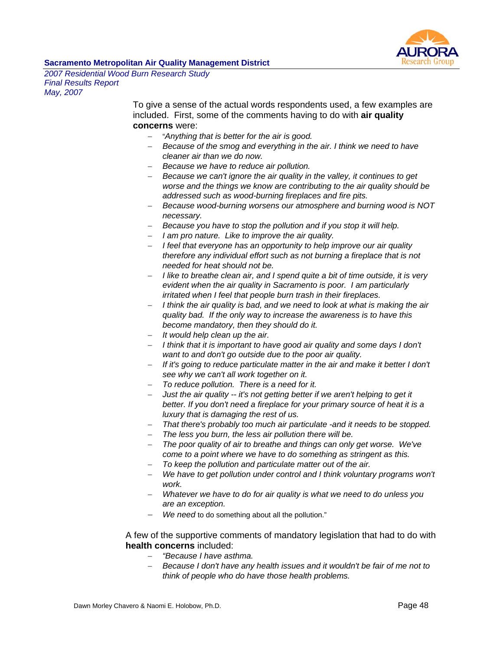

*2007 Residential Wood Burn Research Study Final Results Report May, 2007* 

> To give a sense of the actual words respondents used, a few examples are included. First, some of the comments having to do with **air quality concerns** were:

- − "*Anything that is better for the air is good.*
- − *Because of the smog and everything in the air. I think we need to have cleaner air than we do now.*
- − *Because we have to reduce air pollution.*
- − *Because we can't ignore the air quality in the valley, it continues to get worse and the things we know are contributing to the air quality should be addressed such as wood-burning fireplaces and fire pits.*
- − *Because wood-burning worsens our atmosphere and burning wood is NOT necessary.*
- − *Because you have to stop the pollution and if you stop it will help.*
- − *I am pro nature. Like to improve the air quality.*
- − *I feel that everyone has an opportunity to help improve our air quality therefore any individual effort such as not burning a fireplace that is not needed for heat should not be.*
- − *I like to breathe clean air, and I spend quite a bit of time outside, it is very evident when the air quality in Sacramento is poor. I am particularly irritated when I feel that people burn trash in their fireplaces.*
- − *I think the air quality is bad, and we need to look at what is making the air quality bad. If the only way to increase the awareness is to have this become mandatory, then they should do it.*
- − *It would help clean up the air.*
- − *I think that it is important to have good air quality and some days I don't want to and don't go outside due to the poor air quality.*
- − *If it's going to reduce particulate matter in the air and make it better I don't see why we can't all work together on it.*
- − *To reduce pollution. There is a need for it.*
- − *Just the air quality -- it's not getting better if we aren't helping to get it*  better. If you don't need a fireplace for your primary source of heat it is a *luxury that is damaging the rest of us.*
- − *That there's probably too much air particulate -and it needs to be stopped.*
- − *The less you burn, the less air pollution there will be.*
- − *The poor quality of air to breathe and things can only get worse. We've come to a point where we have to do something as stringent as this.*
- − *To keep the pollution and particulate matter out of the air.*
- − *We have to get pollution under control and I think voluntary programs won't work.*
- − *Whatever we have to do for air quality is what we need to do unless you are an exception.*
- We need to do something about all the pollution."

### A few of the supportive comments of mandatory legislation that had to do with **health concerns** included:

- − *"Because I have asthma.*
- − *Because I don't have any health issues and it wouldn't be fair of me not to think of people who do have those health problems.*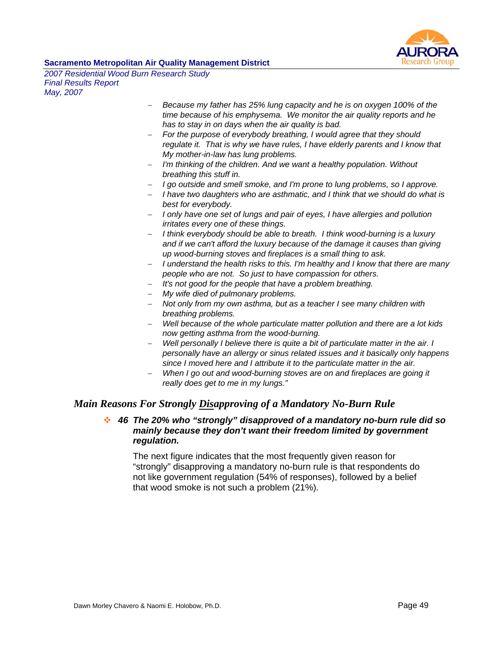

*2007 Residential Wood Burn Research Study Final Results Report May, 2007* 

- − *Because my father has 25% lung capacity and he is on oxygen 100% of the time because of his emphysema. We monitor the air quality reports and he has to stay in on days when the air quality is bad.*
- − *For the purpose of everybody breathing, I would agree that they should*  regulate it. That is why we have rules, I have elderly parents and I know that *My mother-in-law has lung problems.*
- − *I'm thinking of the children. And we want a healthy population. Without breathing this stuff in.*
- − *I go outside and smell smoke, and I'm prone to lung problems, so I approve.*
- − *I have two daughters who are asthmatic, and I think that we should do what is best for everybody.*
- − *I only have one set of lungs and pair of eyes, I have allergies and pollution irritates every one of these things.*
- − *I think everybody should be able to breath. I think wood-burning is a luxury and if we can't afford the luxury because of the damage it causes than giving up wood-burning stoves and fireplaces is a small thing to ask.*
- − *I understand the health risks to this. I'm healthy and I know that there are many people who are not. So just to have compassion for others.*
- − *It's not good for the people that have a problem breathing.*
- − *My wife died of pulmonary problems.*
- − *Not only from my own asthma, but as a teacher I see many children with breathing problems.*
- − *Well because of the whole particulate matter pollution and there are a lot kids now getting asthma from the wood-burning.*
- *Well personally I believe there is quite a bit of particulate matter in the air. I personally have an allergy or sinus related issues and it basically only happens since I moved here and I attribute it to the particulate matter in the air.*
- *When I go out and wood-burning stoves are on and fireplaces are going it really does get to me in my lungs."*

# *Main Reasons For Strongly Disapproving of a Mandatory No-Burn Rule*

# *46 The 20% who "strongly" disapproved of a mandatory no-burn rule did so mainly because they don't want their freedom limited by government regulation.*

The next figure indicates that the most frequently given reason for "strongly" disapproving a mandatory no-burn rule is that respondents do not like government regulation (54% of responses), followed by a belief that wood smoke is not such a problem (21%).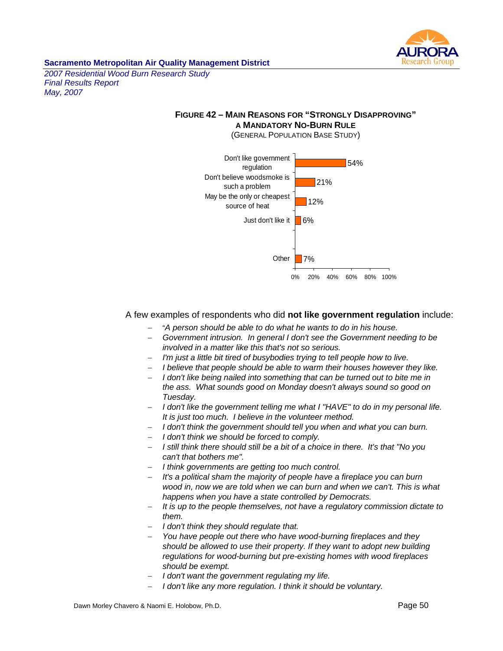

*2007 Residential Wood Burn Research Study Final Results Report May, 2007* 

# **FIGURE 42 – MAIN REASONS FOR "STRONGLY DISAPPROVING" A MANDATORY NO-BURN RULE**





A few examples of respondents who did **not like government regulation** include:

- − "*A person should be able to do what he wants to do in his house.*
- − *Government intrusion. In general I don't see the Government needing to be involved in a matter like this that's not so serious.*
- *I'm just a little bit tired of busybodies trying to tell people how to live.*
- − *I believe that people should be able to warm their houses however they like.*
- − *I don't like being nailed into something that can be turned out to bite me in the ass. What sounds good on Monday doesn't always sound so good on Tuesday.*
- − *I don't like the government telling me what I "HAVE" to do in my personal life. It is just too much. I believe in the volunteer method.*
- − *I don't think the government should tell you when and what you can burn.*
- − *I don't think we should be forced to comply.*
- − *I still think there should still be a bit of a choice in there. It's that "No you can't that bothers me".*
- − *I think governments are getting too much control.*
- − *It's a political sham the majority of people have a fireplace you can burn wood in, now we are told when we can burn and when we can't. This is what happens when you have a state controlled by Democrats.*
- *It is up to the people themselves, not have a regulatory commission dictate to them.*
- − *I don't think they should regulate that.*
- − *You have people out there who have wood-burning fireplaces and they should be allowed to use their property. If they want to adopt new building regulations for wood-burning but pre-existing homes with wood fireplaces should be exempt.*
- − *I don't want the government regulating my life.*
- − *I don't like any more regulation. I think it should be voluntary.*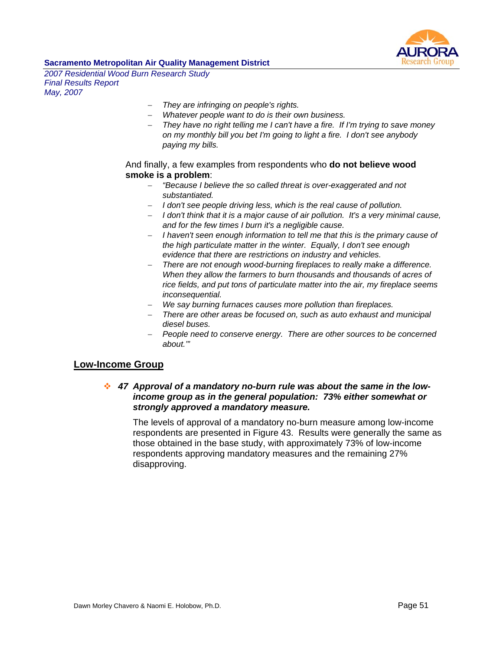

*2007 Residential Wood Burn Research Study Final Results Report May, 2007* 

- − *They are infringing on people's rights.*
- − *Whatever people want to do is their own business.*
- − *They have no right telling me I can't have a fire. If I'm trying to save money on my monthly bill you bet I'm going to light a fire. I don't see anybody paying my bills.*

And finally, a few examples from respondents who **do not believe wood smoke is a problem**:

- − *"Because I believe the so called threat is over-exaggerated and not substantiated.*
- − *I don't see people driving less, which is the real cause of pollution.*
- − *I don't think that it is a major cause of air pollution. It's a very minimal cause, and for the few times I burn it's a negligible cause.*
- − *I haven't seen enough information to tell me that this is the primary cause of the high particulate matter in the winter. Equally, I don't see enough evidence that there are restrictions on industry and vehicles.*
- − *There are not enough wood-burning fireplaces to really make a difference. When they allow the farmers to burn thousands and thousands of acres of rice fields, and put tons of particulate matter into the air, my fireplace seems inconsequential.*
- − *We say burning furnaces causes more pollution than fireplaces.*
- − *There are other areas be focused on, such as auto exhaust and municipal diesel buses.*
- − *People need to conserve energy. There are other sources to be concerned about.'"*

### **Low-Income Group**

### *47 Approval of a mandatory no-burn rule was about the same in the lowincome group as in the general population: 73% either somewhat or strongly approved a mandatory measure.*

The levels of approval of a mandatory no-burn measure among low-income respondents are presented in Figure 43. Results were generally the same as those obtained in the base study, with approximately 73% of low-income respondents approving mandatory measures and the remaining 27% disapproving.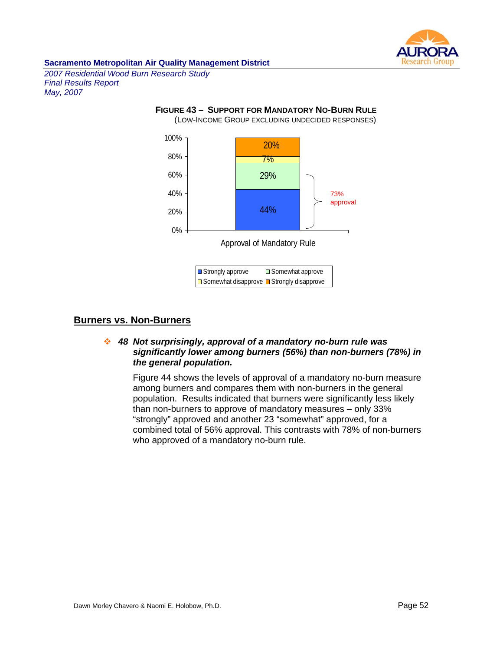

*2007 Residential Wood Burn Research Study Final Results Report May, 2007* 

#### **FIGURE 43 – SUPPORT FOR MANDATORY NO-BURN RULE**

(LOW-INCOME GROUP EXCLUDING UNDECIDED RESPONSES)



## **Burners vs. Non-Burners**

## *48 Not surprisingly, approval of a mandatory no-burn rule was significantly lower among burners (56%) than non-burners (78%) in the general population.*

Figure 44 shows the levels of approval of a mandatory no-burn measure among burners and compares them with non-burners in the general population. Results indicated that burners were significantly less likely than non-burners to approve of mandatory measures – only 33% "strongly" approved and another 23 "somewhat" approved, for a combined total of 56% approval. This contrasts with 78% of non-burners who approved of a mandatory no-burn rule.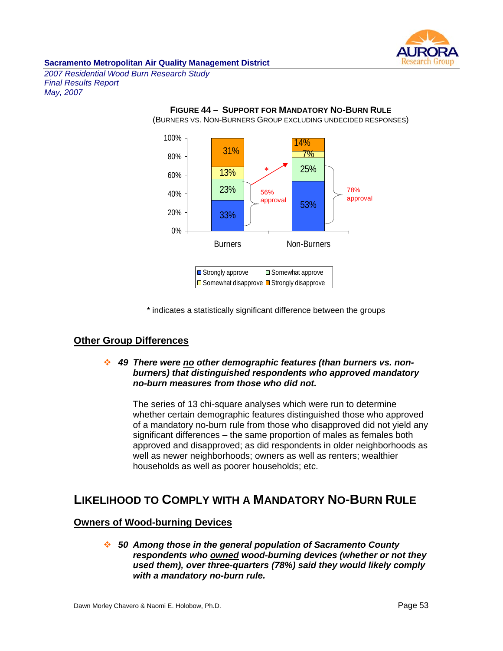

*2007 Residential Wood Burn Research Study Final Results Report May, 2007* 



\* indicates a statistically significant difference between the groups

# **Other Group Differences**

### *49 There were no other demographic features (than burners vs. nonburners) that distinguished respondents who approved mandatory no-burn measures from those who did not.*

The series of 13 chi-square analyses which were run to determine whether certain demographic features distinguished those who approved of a mandatory no-burn rule from those who disapproved did not yield any significant differences – the same proportion of males as females both approved and disapproved; as did respondents in older neighborhoods as well as newer neighborhoods; owners as well as renters; wealthier households as well as poorer households; etc.

# **LIKELIHOOD TO COMPLY WITH A MANDATORY NO-BURN RULE**

### **Owners of Wood-burning Devices**

 *50 Among those in the general population of Sacramento County respondents who owned wood-burning devices (whether or not they used them), over three-quarters (78%) said they would likely comply with a mandatory no-burn rule.*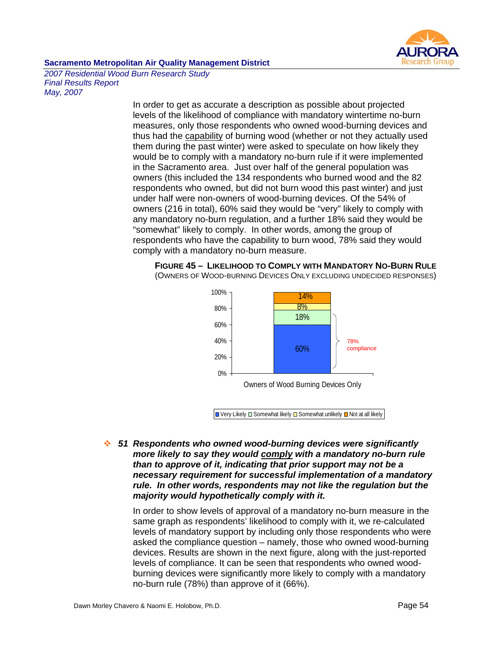

*2007 Residential Wood Burn Research Study Final Results Report May, 2007* 

> In order to get as accurate a description as possible about projected levels of the likelihood of compliance with mandatory wintertime no-burn measures, only those respondents who owned wood-burning devices and thus had the capability of burning wood (whether or not they actually used them during the past winter) were asked to speculate on how likely they would be to comply with a mandatory no-burn rule if it were implemented in the Sacramento area. Just over half of the general population was owners (this included the 134 respondents who burned wood and the 82 respondents who owned, but did not burn wood this past winter) and just under half were non-owners of wood-burning devices. Of the 54% of owners (216 in total), 60% said they would be "very" likely to comply with any mandatory no-burn regulation, and a further 18% said they would be "somewhat" likely to comply. In other words, among the group of respondents who have the capability to burn wood, 78% said they would comply with a mandatory no-burn measure.





Owners of Wood Burning Devices Only

 $\Box$  Very Likely  $\Box$  Somewhat likely  $\Box$  Somewhat unlikely  $\Box$  Not at all likely

 *51 Respondents who owned wood-burning devices were significantly more likely to say they would comply with a mandatory no-burn rule than to approve of it, indicating that prior support may not be a necessary requirement for successful implementation of a mandatory rule. In other words, respondents may not like the regulation but the majority would hypothetically comply with it.* 

In order to show levels of approval of a mandatory no-burn measure in the same graph as respondents' likelihood to comply with it, we re-calculated levels of mandatory support by including only those respondents who were asked the compliance question – namely, those who owned wood-burning devices. Results are shown in the next figure, along with the just-reported levels of compliance. It can be seen that respondents who owned woodburning devices were significantly more likely to comply with a mandatory no-burn rule (78%) than approve of it (66%).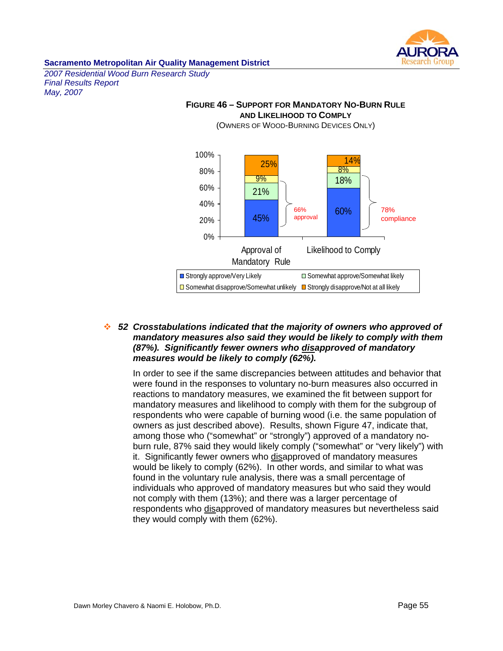

*2007 Residential Wood Burn Research Study Final Results Report May, 2007* 



### **FIGURE 46 – SUPPORT FOR MANDATORY NO-BURN RULE AND LIKELIHOOD TO COMPLY**

 *52 Crosstabulations indicated that the majority of owners who approved of mandatory measures also said they would be likely to comply with them (87%). Significantly fewer owners who disapproved of mandatory measures would be likely to comply (62%).* 

In order to see if the same discrepancies between attitudes and behavior that were found in the responses to voluntary no-burn measures also occurred in reactions to mandatory measures, we examined the fit between support for mandatory measures and likelihood to comply with them for the subgroup of respondents who were capable of burning wood (i.e. the same population of owners as just described above). Results, shown Figure 47, indicate that, among those who ("somewhat" or "strongly") approved of a mandatory noburn rule, 87% said they would likely comply ("somewhat" or "very likely") with it.Significantly fewer owners who disapproved of mandatory measures would be likely to comply (62%). In other words, and similar to what was found in the voluntary rule analysis, there was a small percentage of individuals who approved of mandatory measures but who said they would not comply with them (13%); and there was a larger percentage of respondents who disapproved of mandatory measures but nevertheless said they would comply with them (62%).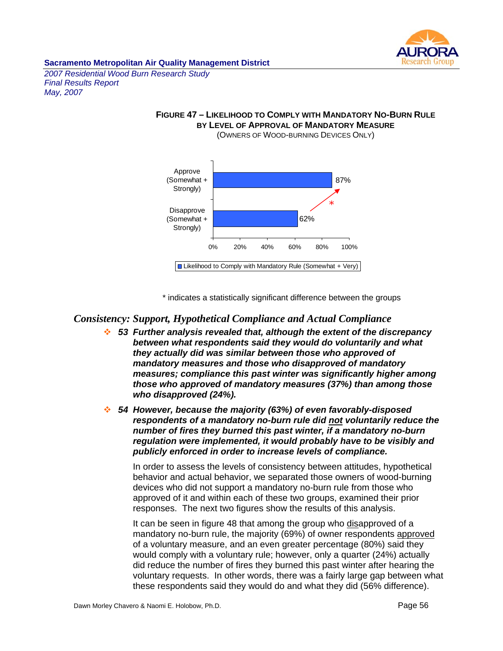

*2007 Residential Wood Burn Research Study Final Results Report May, 2007* 

### **FIGURE 47 – LIKELIHOOD TO COMPLY WITH MANDATORY NO-BURN RULE BY LEVEL OF APPROVAL OF MANDATORY MEASURE** (OWNERS OF WOOD-BURNING DEVICES ONLY)



\* indicates a statistically significant difference between the groups

# *Consistency: Support, Hypothetical Compliance and Actual Compliance*

- *53 Further analysis revealed that, although the extent of the discrepancy between what respondents said they would do voluntarily and what they actually did was similar between those who approved of mandatory measures and those who disapproved of mandatory measures; compliance this past winter was significantly higher among those who approved of mandatory measures (37%) than among those who disapproved (24%).*
- *54 However, because the majority (63%) of even favorably-disposed respondents of a mandatory no-burn rule did not voluntarily reduce the number of fires they burned this past winter, if a mandatory no-burn regulation were implemented, it would probably have to be visibly and publicly enforced in order to increase levels of compliance.*

In order to assess the levels of consistency between attitudes, hypothetical behavior and actual behavior, we separated those owners of wood-burning devices who did not support a mandatory no-burn rule from those who approved of it and within each of these two groups, examined their prior responses. The next two figures show the results of this analysis.

It can be seen in figure 48 that among the group who disapproved of a mandatory no-burn rule, the majority (69%) of owner respondents approved of a voluntary measure, and an even greater percentage (80%) said they would comply with a voluntary rule; however, only a quarter (24%) actually did reduce the number of fires they burned this past winter after hearing the voluntary requests. In other words, there was a fairly large gap between what these respondents said they would do and what they did (56% difference).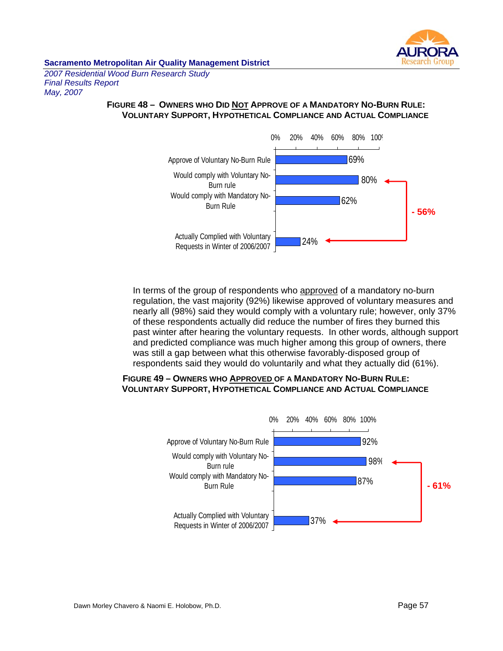

*2007 Residential Wood Burn Research Study Final Results Report May, 2007* 

# **FIGURE 48 – OWNERS WHO DID NOT APPROVE OF A MANDATORY NO-BURN RULE: VOLUNTARY SUPPORT, HYPOTHETICAL COMPLIANCE AND ACTUAL COMPLIANCE**



In terms of the group of respondents who approved of a mandatory no-burn regulation, the vast majority (92%) likewise approved of voluntary measures and nearly all (98%) said they would comply with a voluntary rule; however, only 37% of these respondents actually did reduce the number of fires they burned this past winter after hearing the voluntary requests. In other words, although support and predicted compliance was much higher among this group of owners, there was still a gap between what this otherwise favorably-disposed group of respondents said they would do voluntarily and what they actually did (61%).

### **FIGURE 49 – OWNERS WHO APPROVED OF A MANDATORY NO-BURN RULE: VOLUNTARY SUPPORT, HYPOTHETICAL COMPLIANCE AND ACTUAL COMPLIANCE**

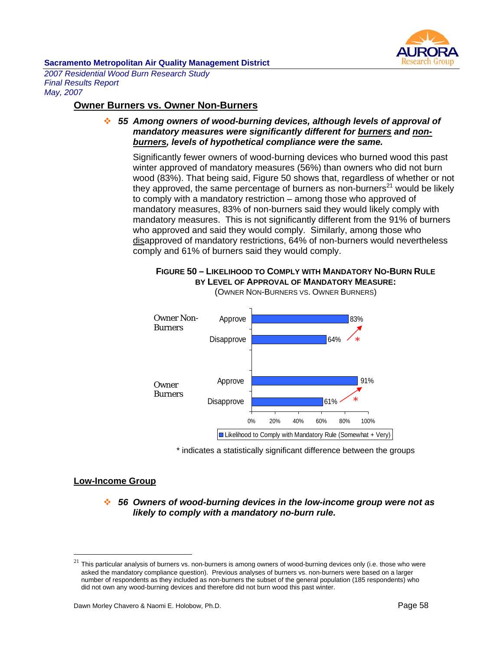

*2007 Residential Wood Burn Research Study Final Results Report May, 2007* 

# **Owner Burners vs. Owner Non-Burners**

 *55 Among owners of wood-burning devices, although levels of approval of mandatory measures were significantly different for burners and nonburners, levels of hypothetical compliance were the same.* 

Significantly fewer owners of wood-burning devices who burned wood this past winter approved of mandatory measures (56%) than owners who did not burn wood (83%). That being said, Figure 50 shows that, regardless of whether or not they approved, the same percentage of burners as non-burners $^{21}$  would be likely to comply with a mandatory restriction – among those who approved of mandatory measures, 83% of non-burners said they would likely comply with mandatory measures. This is not significantly different from the 91% of burners who approved and said they would comply. Similarly, among those who disapproved of mandatory restrictions, 64% of non-burners would nevertheless comply and 61% of burners said they would comply.



**FIGURE 50 – LIKELIHOOD TO COMPLY WITH MANDATORY NO-BURN RULE BY LEVEL OF APPROVAL OF MANDATORY MEASURE:**  (OWNER NON-BURNERS VS. OWNER BURNERS)

■ Likelihood to Comply with Mandatory Rule (Somewhat + Very)

\* indicates a statistically significant difference between the groups

### **Low-Income Group**

 $\overline{a}$ 

 *56 Owners of wood-burning devices in the low-income group were not as likely to comply with a mandatory no-burn rule.* 

 $^{21}$  This particular analysis of burners vs. non-burners is among owners of wood-burning devices only (i.e. those who were asked the mandatory compliance question). Previous analyses of burners vs. non-burners were based on a larger number of respondents as they included as non-burners the subset of the general population (185 respondents) who did not own any wood-burning devices and therefore did not burn wood this past winter.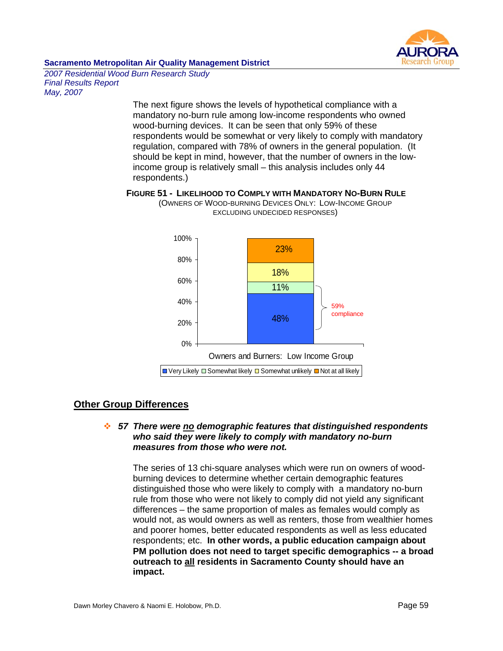

*2007 Residential Wood Burn Research Study Final Results Report May, 2007* 

> The next figure shows the levels of hypothetical compliance with a mandatory no-burn rule among low-income respondents who owned wood-burning devices. It can be seen that only 59% of these respondents would be somewhat or very likely to comply with mandatory regulation, compared with 78% of owners in the general population. (It should be kept in mind, however, that the number of owners in the lowincome group is relatively small – this analysis includes only 44 respondents.)



#### **FIGURE 51 - LIKELIHOOD TO COMPLY WITH MANDATORY NO-BURN RULE** (OWNERS OF WOOD-BURNING DEVICES ONLY: LOW-INCOME GROUP EXCLUDING UNDECIDED RESPONSES)

# **Other Group Differences**

### *57 There were no demographic features that distinguished respondents who said they were likely to comply with mandatory no-burn measures from those who were not.*

The series of 13 chi-square analyses which were run on owners of woodburning devices to determine whether certain demographic features distinguished those who were likely to comply with a mandatory no-burn rule from those who were not likely to comply did not yield any significant differences – the same proportion of males as females would comply as would not, as would owners as well as renters, those from wealthier homes and poorer homes, better educated respondents as well as less educated respondents; etc. **In other words, a public education campaign about PM pollution does not need to target specific demographics -- a broad outreach to all residents in Sacramento County should have an impact.**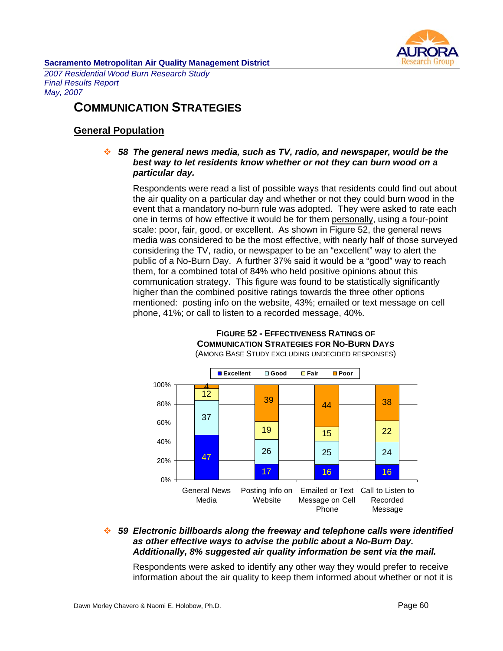

*2007 Residential Wood Burn Research Study Final Results Report May, 2007* 

# **COMMUNICATION STRATEGIES**

# **General Population**

# *58 The general news media, such as TV, radio, and newspaper, would be the best way to let residents know whether or not they can burn wood on a particular day.*

Respondents were read a list of possible ways that residents could find out about the air quality on a particular day and whether or not they could burn wood in the event that a mandatory no-burn rule was adopted. They were asked to rate each one in terms of how effective it would be for them personally, using a four-point scale: poor, fair, good, or excellent. As shown in Figure 52, the general news media was considered to be the most effective, with nearly half of those surveyed considering the TV, radio, or newspaper to be an "excellent" way to alert the public of a No-Burn Day. A further 37% said it would be a "good" way to reach them, for a combined total of 84% who held positive opinions about this communication strategy. This figure was found to be statistically significantly higher than the combined positive ratings towards the three other options mentioned: posting info on the website, 43%; emailed or text message on cell phone, 41%; or call to listen to a recorded message, 40%.



#### **FIGURE 52 - EFFECTIVENESS RATINGS OF COMMUNICATION STRATEGIES FOR NO-BURN DAYS** (AMONG BASE STUDY EXCLUDING UNDECIDED RESPONSES)

# *59 Electronic billboards along the freeway and telephone calls were identified as other effective ways to advise the public about a No-Burn Day. Additionally, 8% suggested air quality information be sent via the mail.*

Respondents were asked to identify any other way they would prefer to receive information about the air quality to keep them informed about whether or not it is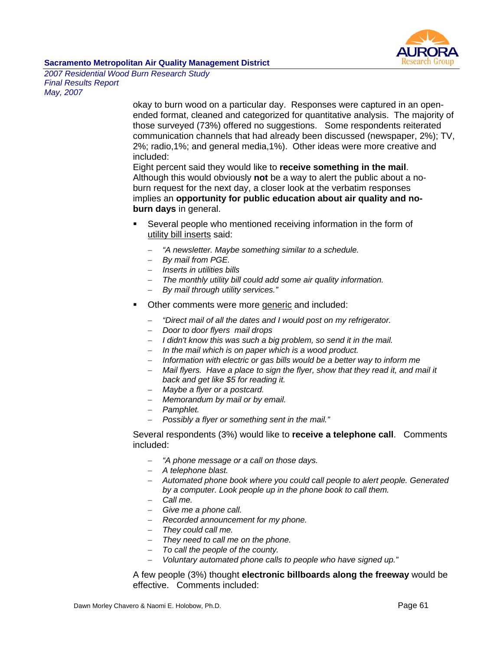

*2007 Residential Wood Burn Research Study Final Results Report May, 2007* 

> okay to burn wood on a particular day. Responses were captured in an openended format, cleaned and categorized for quantitative analysis. The majority of those surveyed (73%) offered no suggestions. Some respondents reiterated communication channels that had already been discussed (newspaper, 2%); TV, 2%; radio,1%; and general media,1%). Other ideas were more creative and included:

Eight percent said they would like to **receive something in the mail**. Although this would obviously **not** be a way to alert the public about a noburn request for the next day, a closer look at the verbatim responses implies an **opportunity for public education about air quality and noburn days** in general.

- Several people who mentioned receiving information in the form of utility bill inserts said:
	- − *"A newsletter. Maybe something similar to a schedule.*
	- − *By mail from PGE.*
	- − *Inserts in utilities bills*
	- − *The monthly utility bill could add some air quality information.*
	- − *By mail through utility services."*
- Other comments were more generic and included:
	- − *"Direct mail of all the dates and I would post on my refrigerator.*
	- − *Door to door flyers mail drops*
	- − *I didn't know this was such a big problem, so send it in the mail.*
	- − *In the mail which is on paper which is a wood product.*
	- − *Information with electric or gas bills would be a better way to inform me*
	- − *Mail flyers. Have a place to sign the flyer, show that they read it, and mail it back and get like \$5 for reading it.*
	- − *Maybe a flyer or a postcard.*
	- − *Memorandum by mail or by email.*
	- − *Pamphlet.*
	- − *Possibly a flyer or something sent in the mail."*

Several respondents (3%) would like to **receive a telephone call**. Comments included:

- − *"A phone message or a call on those days.*
- − *A telephone blast.*
- − *Automated phone book where you could call people to alert people. Generated by a computer. Look people up in the phone book to call them.*
- − *Call me.*
- − *Give me a phone call.*
- − *Recorded announcement for my phone.*
- − *They could call me.*
- − *They need to call me on the phone.*
- − *To call the people of the county.*
- − *Voluntary automated phone calls to people who have signed up."*

A few people (3%) thought **electronic billboards along the freeway** would be effective. Comments included: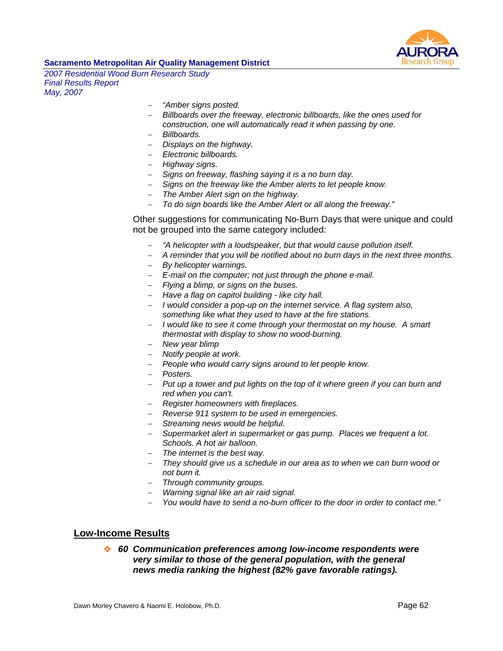

*2007 Residential Wood Burn Research Study Final Results Report May, 2007* 

- − *"Amber signs posted.*
- − *Billboards over the freeway, electronic billboards, like the ones used for construction, one will automatically read it when passing by one.*
- − *Billboards.*
- − *Displays on the highway.*
- − *Electronic billboards.*
- − *Highway signs.*
- − *Signs on freeway, flashing saying it is a no burn day.*
- − *Signs on the freeway like the Amber alerts to let people know.*
- − *The Amber Alert sign on the highway.*
- − *To do sign boards like the Amber Alert or all along the freeway."*

Other suggestions for communicating No-Burn Days that were unique and could not be grouped into the same category included:

- − *"A helicopter with a loudspeaker, but that would cause pollution itself.*
- − *A reminder that you will be notified about no burn days in the next three months.*
- − *By helicopter warnings.*
- − *E-mail on the computer; not just through the phone e-mail.*
- − *Flying a blimp, or signs on the buses.*
- − *Have a flag on capitol building like city hall.*
- − *I would consider a pop-up on the internet service. A flag system also, something like what they used to have at the fire stations.*
- − *I would like to see it come through your thermostat on my house. A smart thermostat with display to show no wood-burning.*
- − *New year blimp*
- − *Notify people at work.*
- − *People who would carry signs around to let people know.*
- − *Posters.*
- − *Put up a tower and put lights on the top of it where green if you can burn and red when you can't.*
- − *Register homeowners with fireplaces.*
- − *Reverse 911 system to be used in emergencies.*
- − *Streaming news would be helpful.*
- − *Supermarket alert in supermarket or gas pump. Places we frequent a lot. Schools. A hot air balloon.*
- − *The internet is the best way.*
- − *They should give us a schedule in our area as to when we can burn wood or not burn it.*
- − *Through community groups.*
- − *Warning signal like an air raid signal.*
- − *You would have to send a no-burn officer to the door in order to contact me."*

### **Low-Income Results**

 *60 Communication preferences among low-income respondents were very similar to those of the general population, with the general news media ranking the highest (82% gave favorable ratings).*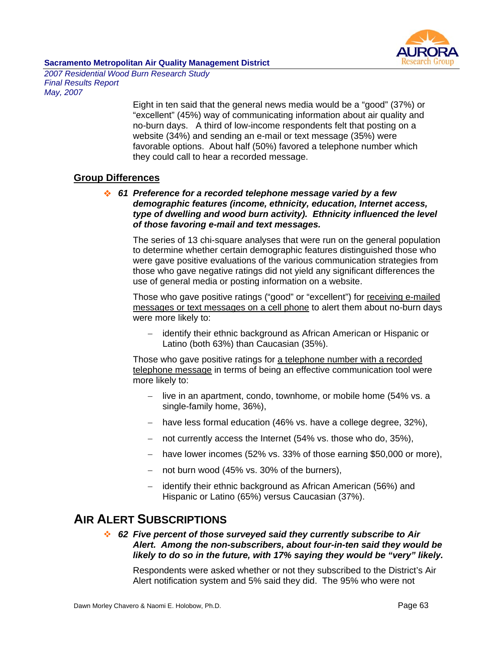

*2007 Residential Wood Burn Research Study Final Results Report May, 2007* 

> Eight in ten said that the general news media would be a "good" (37%) or "excellent" (45%) way of communicating information about air quality and no-burn days. A third of low-income respondents felt that posting on a website (34%) and sending an e-mail or text message (35%) were favorable options. About half (50%) favored a telephone number which they could call to hear a recorded message.

# **Group Differences**

 *61 Preference for a recorded telephone message varied by a few demographic features (income, ethnicity, education, Internet access, type of dwelling and wood burn activity). Ethnicity influenced the level of those favoring e-mail and text messages.*

The series of 13 chi-square analyses that were run on the general population to determine whether certain demographic features distinguished those who were gave positive evaluations of the various communication strategies from those who gave negative ratings did not yield any significant differences the use of general media or posting information on a website.

Those who gave positive ratings ("good" or "excellent") for receiving e-mailed messages or text messages on a cell phone to alert them about no-burn days were more likely to:

− identify their ethnic background as African American or Hispanic or Latino (both 63%) than Caucasian (35%).

Those who gave positive ratings for a telephone number with a recorded telephone message in terms of being an effective communication tool were more likely to:

- − live in an apartment, condo, townhome, or mobile home (54% vs. a single-family home, 36%),
- − have less formal education (46% vs. have a college degree, 32%),
- − not currently access the Internet (54% vs. those who do, 35%),
- − have lower incomes (52% vs. 33% of those earning \$50,000 or more),
- − not burn wood (45% vs. 30% of the burners),
- − identify their ethnic background as African American (56%) and Hispanic or Latino (65%) versus Caucasian (37%).

# **AIR ALERT SUBSCRIPTIONS**

 *62 Five percent of those surveyed said they currently subscribe to Air Alert. Among the non-subscribers, about four-in-ten said they would be likely to do so in the future, with 17% saying they would be "very" likely.*

Respondents were asked whether or not they subscribed to the District's Air Alert notification system and 5% said they did. The 95% who were not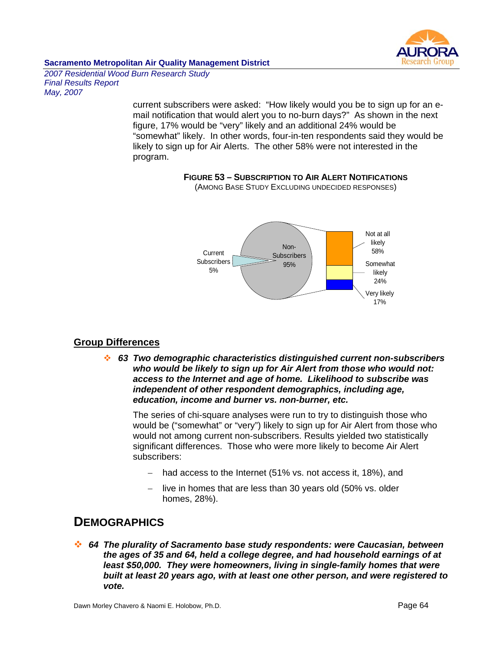

*2007 Residential Wood Burn Research Study Final Results Report May, 2007* 

> current subscribers were asked: "How likely would you be to sign up for an email notification that would alert you to no-burn days?" As shown in the next figure, 17% would be "very" likely and an additional 24% would be "somewhat" likely. In other words, four-in-ten respondents said they would be likely to sign up for Air Alerts. The other 58% were not interested in the program.

# **FIGURE 53 – SUBSCRIPTION TO AIR ALERT NOTIFICATIONS**



(AMONG BASE STUDY EXCLUDING UNDECIDED RESPONSES)

# **Group Differences**

 *63 Two demographic characteristics distinguished current non-subscribers who would be likely to sign up for Air Alert from those who would not: access to the Internet and age of home. Likelihood to subscribe was independent of other respondent demographics, including age, education, income and burner vs. non-burner, etc.*

The series of chi-square analyses were run to try to distinguish those who would be ("somewhat" or "very") likely to sign up for Air Alert from those who would not among current non-subscribers. Results yielded two statistically significant differences. Those who were more likely to become Air Alert subscribers:

- − had access to the Internet (51% vs. not access it, 18%), and
- live in homes that are less than 30 years old (50% vs. older homes, 28%).

# **DEMOGRAPHICS**

 *64 The plurality of Sacramento base study respondents: were Caucasian, between the ages of 35 and 64, held a college degree, and had household earnings of at least \$50,000. They were homeowners, living in single-family homes that were built at least 20 years ago, with at least one other person, and were registered to vote.*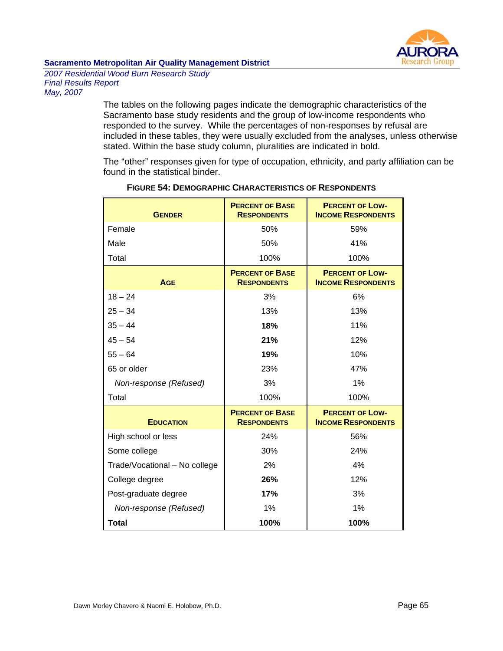

*2007 Residential Wood Burn Research Study Final Results Report May, 2007* 

> The tables on the following pages indicate the demographic characteristics of the Sacramento base study residents and the group of low-income respondents who responded to the survey. While the percentages of non-responses by refusal are included in these tables, they were usually excluded from the analyses, unless otherwise stated. Within the base study column, pluralities are indicated in bold.

> The "other" responses given for type of occupation, ethnicity, and party affiliation can be found in the statistical binder.

| <b>GENDER</b>                 | <b>PERCENT OF BASE</b><br><b>RESPONDENTS</b> | <b>PERCENT OF LOW-</b><br><b>INCOME RESPONDENTS</b> |
|-------------------------------|----------------------------------------------|-----------------------------------------------------|
| Female                        | 50%                                          | 59%                                                 |
| Male                          | 50%                                          | 41%                                                 |
| Total                         | 100%                                         | 100%                                                |
| <b>AGE</b>                    | <b>PERCENT OF BASE</b><br><b>RESPONDENTS</b> | <b>PERCENT OF LOW-</b><br><b>INCOME RESPONDENTS</b> |
| $18 - 24$                     | 3%                                           | 6%                                                  |
| $25 - 34$                     | 13%                                          | 13%                                                 |
| $35 - 44$                     | 18%                                          | 11%                                                 |
| $45 - 54$                     | 21%                                          | 12%                                                 |
| $55 - 64$                     | 19%                                          | 10%                                                 |
| 65 or older                   | 23%                                          | 47%                                                 |
| Non-response (Refused)        | 3%                                           | 1%                                                  |
| Total                         | 100%                                         | 100%                                                |
| <b>EDUCATION</b>              | <b>PERCENT OF BASE</b><br><b>RESPONDENTS</b> | <b>PERCENT OF LOW-</b><br><b>INCOME RESPONDENTS</b> |
| High school or less           | 24%                                          | 56%                                                 |
| Some college                  | 30%                                          | 24%                                                 |
| Trade/Vocational - No college | 2%                                           | 4%                                                  |
| College degree                | 26%                                          | 12%                                                 |
| Post-graduate degree          | 17%                                          | 3%                                                  |
| Non-response (Refused)        | 1%                                           | 1%                                                  |
| <b>Total</b>                  | 100%                                         | 100%                                                |

### **FIGURE 54: DEMOGRAPHIC CHARACTERISTICS OF RESPONDENTS**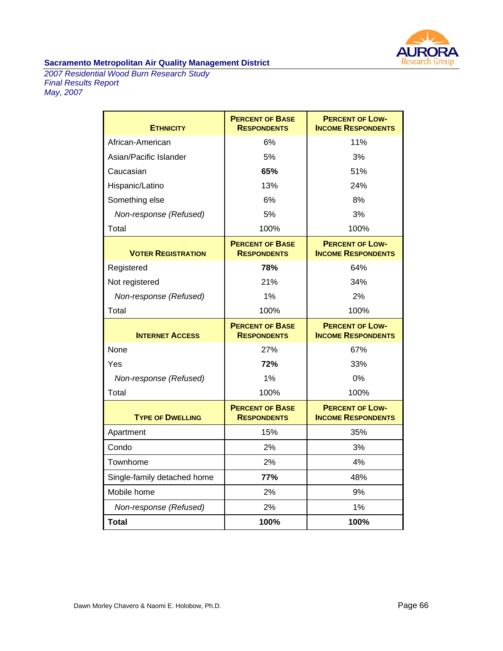

*2007 Residential Wood Burn Research Study Final Results Report May, 2007* 

| <b>ETHNICITY</b>            | <b>PERCENT OF BASE</b><br><b>RESPONDENTS</b> | <b>PERCENT OF LOW-</b><br><b>INCOME RESPONDENTS</b> |
|-----------------------------|----------------------------------------------|-----------------------------------------------------|
| African-American            | 6%                                           | 11%                                                 |
| Asian/Pacific Islander      | 5%                                           | 3%                                                  |
| Caucasian                   | 65%                                          | 51%                                                 |
| Hispanic/Latino             | 13%                                          | 24%                                                 |
| Something else              | 6%                                           | 8%                                                  |
| Non-response (Refused)      | 5%                                           | 3%                                                  |
| Total                       | 100%                                         | 100%                                                |
| <b>VOTER REGISTRATION</b>   | <b>PERCENT OF BASE</b><br><b>RESPONDENTS</b> | <b>PERCENT OF LOW-</b><br><b>INCOME RESPONDENTS</b> |
| Registered                  | 78%                                          | 64%                                                 |
| Not registered              | 21%                                          | 34%                                                 |
| Non-response (Refused)      | 1%                                           | 2%                                                  |
| Total                       | 100%                                         | 100%                                                |
|                             |                                              |                                                     |
| <b>INTERNET ACCESS</b>      | <b>PERCENT OF BASE</b><br><b>RESPONDENTS</b> | <b>PERCENT OF LOW-</b><br><b>INCOME RESPONDENTS</b> |
| None                        | 27%                                          | 67%                                                 |
| Yes                         | 72%                                          | 33%                                                 |
| Non-response (Refused)      | 1%                                           | 0%                                                  |
| Total                       | 100%                                         | 100%                                                |
| <b>TYPE OF DWELLING</b>     | <b>PERCENT OF BASE</b><br><b>RESPONDENTS</b> | <b>PERCENT OF LOW-</b><br><b>INCOME RESPONDENTS</b> |
| Apartment                   | 15%                                          | 35%                                                 |
| Condo                       | 2%                                           | 3%                                                  |
| Townhome                    | 2%                                           | 4%                                                  |
| Single-family detached home | 77%                                          | 48%                                                 |
| Mobile home                 | 2%                                           | 9%                                                  |
| Non-response (Refused)      | 2%                                           | 1%                                                  |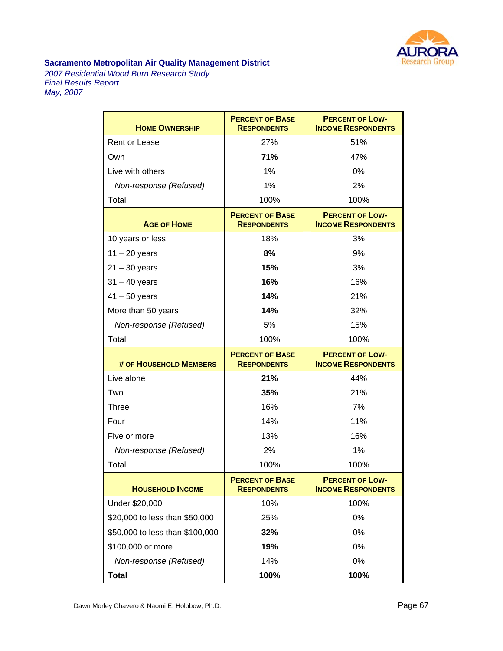

*2007 Residential Wood Burn Research Study Final Results Report May, 2007* 

| <b>HOME OWNERSHIP</b>           | <b>PERCENT OF BASE</b><br><b>RESPONDENTS</b> | <b>PERCENT OF LOW-</b><br><b>INCOME RESPONDENTS</b> |
|---------------------------------|----------------------------------------------|-----------------------------------------------------|
| <b>Rent or Lease</b>            | 27%                                          | 51%                                                 |
| Own                             | 71%                                          | 47%                                                 |
| Live with others                | 1%                                           | 0%                                                  |
| Non-response (Refused)          | 1%                                           | 2%                                                  |
| Total                           | 100%                                         | 100%                                                |
| <b>AGE OF HOME</b>              | <b>PERCENT OF BASE</b><br><b>RESPONDENTS</b> | <b>PERCENT OF LOW-</b><br><b>INCOME RESPONDENTS</b> |
| 10 years or less                | 18%                                          | 3%                                                  |
| $11 - 20$ years                 | 8%                                           | 9%                                                  |
| $21 - 30$ years                 | 15%                                          | 3%                                                  |
| $31 - 40$ years                 | 16%                                          | 16%                                                 |
| $41 - 50$ years                 | 14%                                          | 21%                                                 |
| More than 50 years              | 14%                                          | 32%                                                 |
| Non-response (Refused)          | 5%                                           | 15%                                                 |
| Total                           | 100%                                         | 100%                                                |
| # OF HOUSEHOLD MEMBERS          | <b>PERCENT OF BASE</b><br><b>RESPONDENTS</b> | <b>PERCENT OF LOW-</b><br><b>INCOME RESPONDENTS</b> |
| Live alone                      | 21%                                          | 44%                                                 |
| Two                             | 35%                                          | 21%                                                 |
| <b>Three</b>                    | 16%                                          | 7%                                                  |
| Four                            |                                              |                                                     |
|                                 | 14%                                          | 11%                                                 |
| Five or more                    | 13%                                          | 16%                                                 |
| Non-response (Refused)          | 2%                                           | 1%                                                  |
| Total                           | 100%                                         | 100%                                                |
| <b>HOUSEHOLD INCOME</b>         | <b>PERCENT OF BASE</b><br><b>RESPONDENTS</b> | <b>PERCENT OF LOW-</b><br><b>INCOME RESPONDENTS</b> |
| Under \$20,000                  | 10%                                          | 100%                                                |
| \$20,000 to less than \$50,000  | 25%                                          | 0%                                                  |
| \$50,000 to less than \$100,000 | 32%                                          | 0%                                                  |
| \$100,000 or more               | 19%                                          | 0%                                                  |
| Non-response (Refused)          | 14%                                          | 0%                                                  |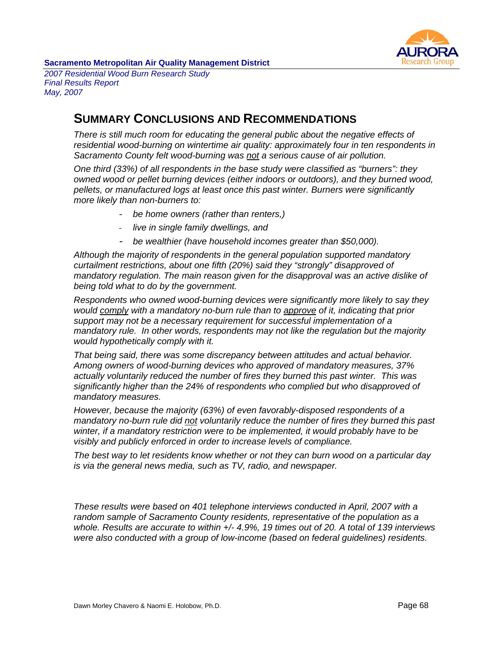

*2007 Residential Wood Burn Research Study Final Results Report May, 2007* 

# **SUMMARY CONCLUSIONS AND RECOMMENDATIONS**

*There is still much room for educating the general public about the negative effects of residential wood-burning on wintertime air quality: approximately four in ten respondents in Sacramento County felt wood-burning was not a serious cause of air pollution.* 

*One third (33%) of all respondents in the base study were classified as "burners": they owned wood or pellet burning devices (either indoors or outdoors), and they burned wood, pellets, or manufactured logs at least once this past winter. Burners were significantly more likely than non-burners to:* 

- *be home owners (rather than renters,)*
- *live in single family dwellings, and*
- *be wealthier (have household incomes greater than \$50,000).*

*Although the majority of respondents in the general population supported mandatory curtailment restrictions, about one fifth (20%) said they "strongly" disapproved of mandatory regulation. The main reason given for the disapproval was an active dislike of being told what to do by the government.* 

*Respondents who owned wood-burning devices were significantly more likely to say they would comply with a mandatory no-burn rule than to approve of it, indicating that prior support may not be a necessary requirement for successful implementation of a mandatory rule. In other words, respondents may not like the regulation but the majority would hypothetically comply with it.* 

*That being said, there was some discrepancy between attitudes and actual behavior. Among owners of wood-burning devices who approved of mandatory measures, 37% actually voluntarily reduced the number of fires they burned this past winter. This was significantly higher than the 24% of respondents who complied but who disapproved of mandatory measures.* 

*However, because the majority (63%) of even favorably-disposed respondents of a mandatory no-burn rule did not voluntarily reduce the number of fires they burned this past winter, if a mandatory restriction were to be implemented, it would probably have to be visibly and publicly enforced in order to increase levels of compliance.* 

*The best way to let residents know whether or not they can burn wood on a particular day is via the general news media, such as TV, radio, and newspaper.* 

*These results were based on 401 telephone interviews conducted in April, 2007 with a random sample of Sacramento County residents, representative of the population as a whole. Results are accurate to within +/- 4.9%, 19 times out of 20. A total of 139 interviews were also conducted with a group of low-income (based on federal guidelines) residents.*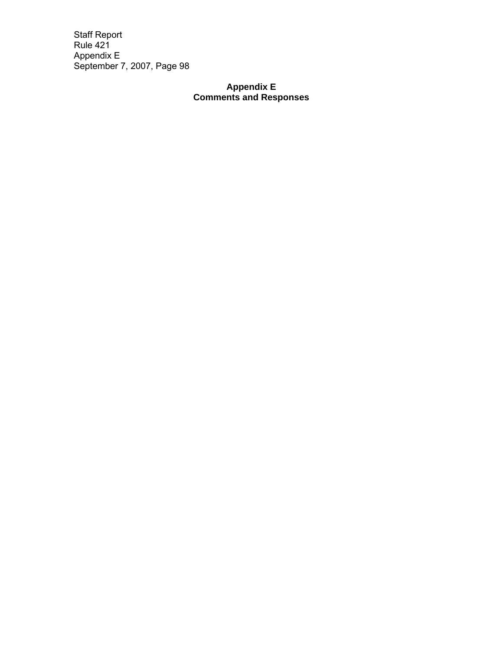# **Appendix E Comments and Responses**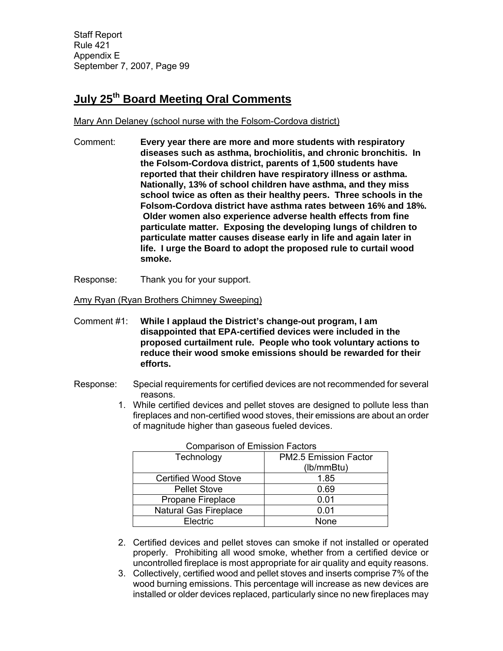# **July 25th Board Meeting Oral Comments**

Mary Ann Delaney (school nurse with the Folsom-Cordova district)

- Comment: **Every year there are more and more students with respiratory diseases such as asthma, brochiolitis, and chronic bronchitis. In the Folsom-Cordova district, parents of 1,500 students have reported that their children have respiratory illness or asthma. Nationally, 13% of school children have asthma, and they miss school twice as often as their healthy peers. Three schools in the Folsom-Cordova district have asthma rates between 16% and 18%. Older women also experience adverse health effects from fine particulate matter. Exposing the developing lungs of children to particulate matter causes disease early in life and again later in life. I urge the Board to adopt the proposed rule to curtail wood smoke.**
- Response: Thank you for your support.

Amy Ryan (Ryan Brothers Chimney Sweeping)

- Comment #1: **While I applaud the District's change-out program, I am disappointed that EPA-certified devices were included in the proposed curtailment rule. People who took voluntary actions to reduce their wood smoke emissions should be rewarded for their efforts.**
- Response: Special requirements for certified devices are not recommended for several reasons.
	- 1. While certified devices and pellet stoves are designed to pollute less than fireplaces and non-certified wood stoves, their emissions are about an order of magnitude higher than gaseous fueled devices.

| CONDITION OF ENTISSION FACTOLS |                       |  |  |
|--------------------------------|-----------------------|--|--|
| Technology                     | PM2.5 Emission Factor |  |  |
|                                | (lb/mmBtu)            |  |  |
| <b>Certified Wood Stove</b>    | 1.85                  |  |  |
| <b>Pellet Stove</b>            | 0.69                  |  |  |
| Propane Fireplace              | 0.01                  |  |  |
| <b>Natural Gas Fireplace</b>   | 0.01                  |  |  |
| Electric                       | None                  |  |  |

Comparison of Emission Factors

- 2. Certified devices and pellet stoves can smoke if not installed or operated properly. Prohibiting all wood smoke, whether from a certified device or uncontrolled fireplace is most appropriate for air quality and equity reasons.
- 3. Collectively, certified wood and pellet stoves and inserts comprise 7% of the wood burning emissions. This percentage will increase as new devices are installed or older devices replaced, particularly since no new fireplaces may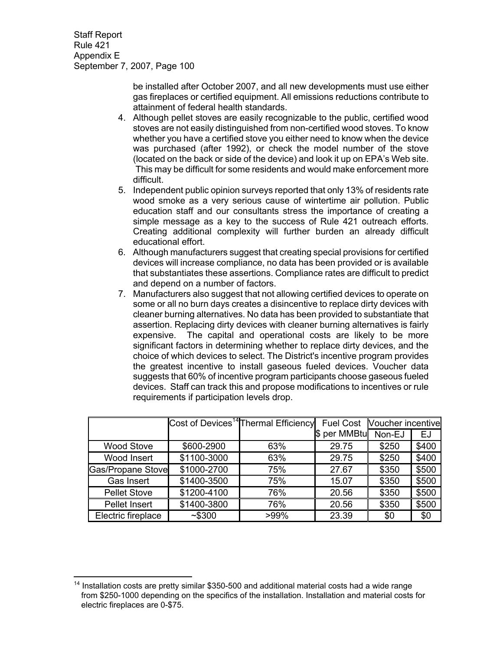> be installed after October 2007, and all new developments must use either gas fireplaces or certified equipment. All emissions reductions contribute to attainment of federal health standards.

- 4. Although pellet stoves are easily recognizable to the public, certified wood stoves are not easily distinguished from non-certified wood stoves. To know whether you have a certified stove you either need to know when the device was purchased (after 1992), or check the model number of the stove (located on the back or side of the device) and look it up on EPA's Web site. This may be difficult for some residents and would make enforcement more difficult.
- 5. Independent public opinion surveys reported that only 13% of residents rate wood smoke as a very serious cause of wintertime air pollution. Public education staff and our consultants stress the importance of creating a simple message as a key to the success of Rule 421 outreach efforts. Creating additional complexity will further burden an already difficult educational effort.
- 6. Although manufacturers suggest that creating special provisions for certified devices will increase compliance, no data has been provided or is available that substantiates these assertions. Compliance rates are difficult to predict and depend on a number of factors.
- 7. Manufacturers also suggest that not allowing certified devices to operate on some or all no burn days creates a disincentive to replace dirty devices with cleaner burning alternatives. No data has been provided to substantiate that assertion. Replacing dirty devices with cleaner burning alternatives is fairly expensive. The capital and operational costs are likely to be more significant factors in determining whether to replace dirty devices, and the choice of which devices to select. The District's incentive program provides the greatest incentive to install gaseous fueled devices. Voucher data suggests that 60% of incentive program participants choose gaseous fueled devices. Staff can track this and propose modifications to incentives or rule requirements if participation levels drop.

|                     |             | Cost of Devices <sup>14</sup> Thermal Efficiency | <b>Fuel Cost</b> | <b>Voucher incentive</b> |       |
|---------------------|-------------|--------------------------------------------------|------------------|--------------------------|-------|
|                     |             |                                                  | \$ per MMBtu     | Non-EJ                   | EJ    |
| <b>Wood Stove</b>   | \$600-2900  | 63%                                              | 29.75            | \$250                    | \$400 |
| Wood Insert         | \$1100-3000 | 63%                                              | 29.75            | \$250                    | \$400 |
| Gas/Propane Stove   | \$1000-2700 | 75%                                              | 27.67            | \$350                    | \$500 |
| Gas Insert          | \$1400-3500 | 75%                                              | 15.07            | \$350                    | \$500 |
| <b>Pellet Stove</b> | \$1200-4100 | 76%                                              | 20.56            | \$350                    | \$500 |
| Pellet Insert       | \$1400-3800 | 76%                                              | 20.56            | \$350                    | \$500 |
| Electric fireplace  | ~1.5300     | $>99\%$                                          | 23.39            | \$0                      | \$0   |

 $\overline{a}$  $14$  Installation costs are pretty similar \$350-500 and additional material costs had a wide range from \$250-1000 depending on the specifics of the installation. Installation and material costs for electric fireplaces are 0-\$75.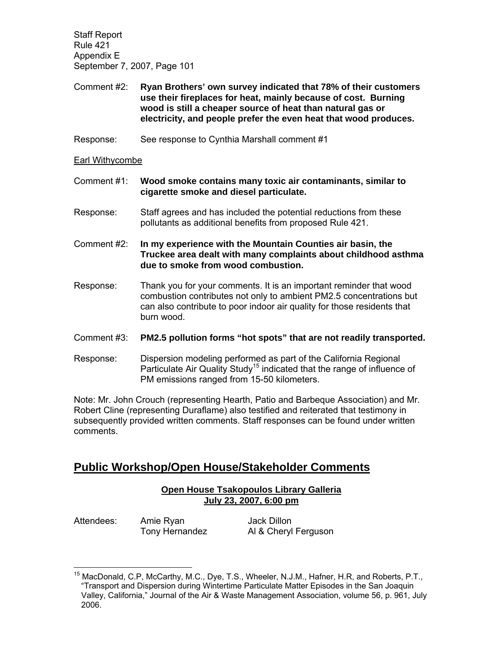Comment #2: **Ryan Brothers' own survey indicated that 78% of their customers use their fireplaces for heat, mainly because of cost. Burning wood is still a cheaper source of heat than natural gas or electricity, and people prefer the even heat that wood produces.**

Response: See response to Cynthia Marshall comment #1

Earl Withycombe

- Comment #1: **Wood smoke contains many toxic air contaminants, similar to cigarette smoke and diesel particulate.**
- Response: Staff agrees and has included the potential reductions from these pollutants as additional benefits from proposed Rule 421.

Comment #2: **In my experience with the Mountain Counties air basin, the Truckee area dealt with many complaints about childhood asthma due to smoke from wood combustion.** 

- Response: Thank you for your comments. It is an important reminder that wood combustion contributes not only to ambient PM2.5 concentrations but can also contribute to poor indoor air quality for those residents that burn wood.
- Comment #3: **PM2.5 pollution forms "hot spots" that are not readily transported.**
- Response: Dispersion modeling performed as part of the California Regional Particulate Air Quality Study<sup>15</sup> indicated that the range of influence of PM emissions ranged from 15-50 kilometers.

Note: Mr. John Crouch (representing Hearth, Patio and Barbeque Association) and Mr. Robert Cline (representing Duraflame) also testified and reiterated that testimony in subsequently provided written comments. Staff responses can be found under written comments.

# **Public Workshop/Open House/Stakeholder Comments**

# **Open House Tsakopoulos Library Galleria July 23, 2007, 6:00 pm**

Attendees: Amie Ryan Jack Dillon

 $\overline{a}$ 

Tony Hernandez Al & Cheryl Ferguson

<sup>&</sup>lt;sup>15</sup> MacDonald, C.P, McCarthy, M.C., Dye, T.S., Wheeler, N.J.M., Hafner, H.R, and Roberts, P.T., "Transport and Dispersion during Wintertime Particulate Matter Episodes in the San Joaquin Valley, California," Journal of the Air & Waste Management Association, volume 56, p. 961, July 2006.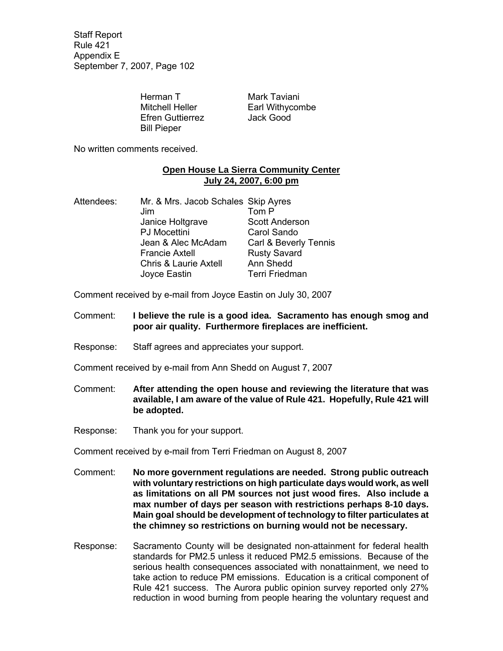> Herman T Mark Taviani Efren Guttierrez Jack Good Bill Pieper

Mitchell Heller **Earl Withycombe** 

No written comments received.

## **Open House La Sierra Community Center July 24, 2007, 6:00 pm**

Attendees: Mr. & Mrs. Jacob Schales Skip Ayres Jim Tom P Janice Holtgrave **Scott Anderson**  PJ Mocettini Carol Sando Jean & Alec McAdam Carl & Beverly Tennis Francie Axtell Rusty Savard Chris & Laurie Axtell Ann Shedd Joyce Eastin Terri Friedman

Comment received by e-mail from Joyce Eastin on July 30, 2007

- Comment: **I believe the rule is a good idea. Sacramento has enough smog and poor air quality. Furthermore fireplaces are inefficient.**
- Response: Staff agrees and appreciates your support.
- Comment received by e-mail from Ann Shedd on August 7, 2007
- Comment: **After attending the open house and reviewing the literature that was available, I am aware of the value of Rule 421. Hopefully, Rule 421 will be adopted.**
- Response: Thank you for your support.

Comment received by e-mail from Terri Friedman on August 8, 2007

- Comment: **No more government regulations are needed. Strong public outreach with voluntary restrictions on high particulate days would work, as well as limitations on all PM sources not just wood fires. Also include a max number of days per season with restrictions perhaps 8-10 days. Main goal should be development of technology to filter particulates at the chimney so restrictions on burning would not be necessary.**
- Response: Sacramento County will be designated non-attainment for federal health standards for PM2.5 unless it reduced PM2.5 emissions. Because of the serious health consequences associated with nonattainment, we need to take action to reduce PM emissions. Education is a critical component of Rule 421 success. The Aurora public opinion survey reported only 27% reduction in wood burning from people hearing the voluntary request and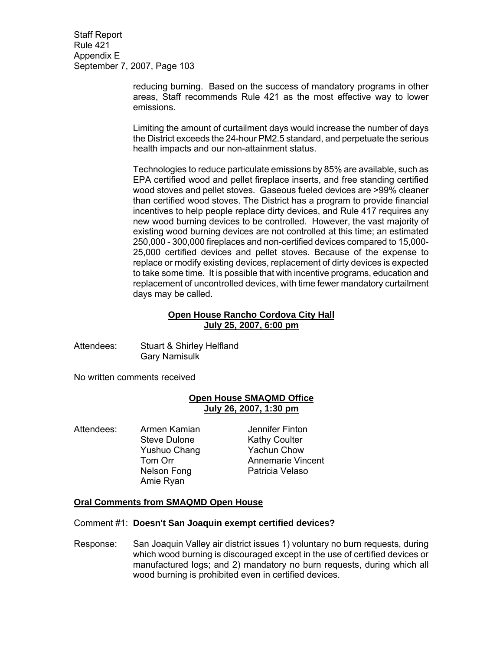> reducing burning. Based on the success of mandatory programs in other areas, Staff recommends Rule 421 as the most effective way to lower emissions.

> Limiting the amount of curtailment days would increase the number of days the District exceeds the 24-hour PM2.5 standard, and perpetuate the serious health impacts and our non-attainment status.

> Technologies to reduce particulate emissions by 85% are available, such as EPA certified wood and pellet fireplace inserts, and free standing certified wood stoves and pellet stoves. Gaseous fueled devices are >99% cleaner than certified wood stoves. The District has a program to provide financial incentives to help people replace dirty devices, and Rule 417 requires any new wood burning devices to be controlled. However, the vast majority of existing wood burning devices are not controlled at this time; an estimated 250,000 - 300,000 fireplaces and non-certified devices compared to 15,000- 25,000 certified devices and pellet stoves. Because of the expense to replace or modify existing devices, replacement of dirty devices is expected to take some time. It is possible that with incentive programs, education and replacement of uncontrolled devices, with time fewer mandatory curtailment days may be called.

# **Open House Rancho Cordova City Hall July 25, 2007, 6:00 pm**

Attendees: Stuart & Shirley Helfland Gary Namisulk

No written comments received

# **Open House SMAQMD Office July 26, 2007, 1:30 pm**

Attendees: Armen Kamian and Jennifer Finton Amie Ryan

Steve Dulone Kathy Coulter Yushuo Chang Yachun Chow Tom Orr **Annemarie Vincent** Nelson Fong Patricia Velaso

### **Oral Comments from SMAQMD Open House**

Comment #1: **Doesn't San Joaquin exempt certified devices?** 

Response: San Joaquin Valley air district issues 1) voluntary no burn requests, during which wood burning is discouraged except in the use of certified devices or manufactured logs; and 2) mandatory no burn requests, during which all wood burning is prohibited even in certified devices.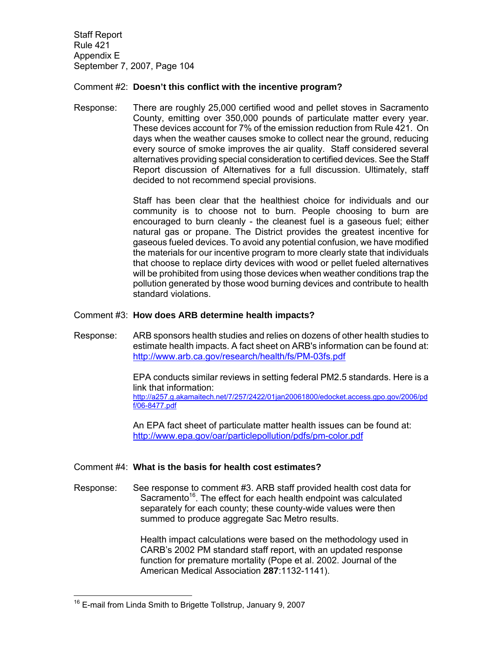## Comment #2: **Doesn't this conflict with the incentive program?**

Response: There are roughly 25,000 certified wood and pellet stoves in Sacramento County, emitting over 350,000 pounds of particulate matter every year. These devices account for 7% of the emission reduction from Rule 421. On days when the weather causes smoke to collect near the ground, reducing every source of smoke improves the air quality. Staff considered several alternatives providing special consideration to certified devices. See the Staff Report discussion of Alternatives for a full discussion. Ultimately, staff decided to not recommend special provisions.

> Staff has been clear that the healthiest choice for individuals and our community is to choose not to burn. People choosing to burn are encouraged to burn cleanly - the cleanest fuel is a gaseous fuel; either natural gas or propane. The District provides the greatest incentive for gaseous fueled devices. To avoid any potential confusion, we have modified the materials for our incentive program to more clearly state that individuals that choose to replace dirty devices with wood or pellet fueled alternatives will be prohibited from using those devices when weather conditions trap the pollution generated by those wood burning devices and contribute to health standard violations.

### Comment #3: **How does ARB determine health impacts?**

Response: ARB sponsors health studies and relies on dozens of other health studies to estimate health impacts. A fact sheet on ARB's information can be found at: http://www.arb.ca.gov/research/health/fs/PM-03fs.pdf

> EPA conducts similar reviews in setting federal PM2.5 standards. Here is a link that information: http://a257.g.akamaitech.net/7/257/2422/01jan20061800/edocket.access.gpo.gov/2006/pd f/06-8477.pdf

 An EPA fact sheet of particulate matter health issues can be found at: http://www.epa.gov/oar/particlepollution/pdfs/pm-color.pdf

### Comment #4: **What is the basis for health cost estimates?**

Response: See response to comment #3. ARB staff provided health cost data for Sacramento<sup>16</sup>. The effect for each health endpoint was calculated separately for each county; these county-wide values were then summed to produce aggregate Sac Metro results.

> Health impact calculations were based on the methodology used in CARB's 2002 PM standard staff report, with an updated response function for premature mortality (Pope et al. 2002. Journal of the American Medical Association **287**:1132-1141).

 $\overline{a}$ 

<sup>&</sup>lt;sup>16</sup> E-mail from Linda Smith to Brigette Tollstrup, January 9, 2007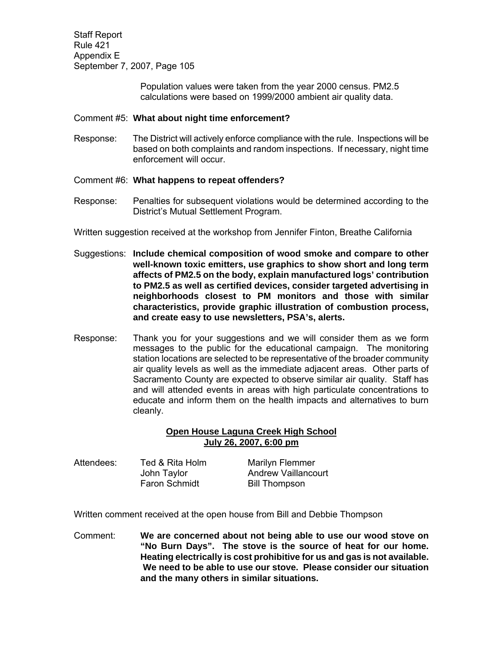> Population values were taken from the year 2000 census. PM2.5 calculations were based on 1999/2000 ambient air quality data.

### Comment #5: **What about night time enforcement?**

Response: The District will actively enforce compliance with the rule. Inspections will be based on both complaints and random inspections. If necessary, night time enforcement will occur.

# Comment #6: **What happens to repeat offenders?**

Response: Penalties for subsequent violations would be determined according to the District's Mutual Settlement Program.

Written suggestion received at the workshop from Jennifer Finton, Breathe California

- Suggestions: **Include chemical composition of wood smoke and compare to other well-known toxic emitters, use graphics to show short and long term affects of PM2.5 on the body, explain manufactured logs' contribution to PM2.5 as well as certified devices, consider targeted advertising in neighborhoods closest to PM monitors and those with similar characteristics, provide graphic illustration of combustion process, and create easy to use newsletters, PSA's, alerts.**
- Response: Thank you for your suggestions and we will consider them as we form messages to the public for the educational campaign. The monitoring station locations are selected to be representative of the broader community air quality levels as well as the immediate adjacent areas. Other parts of Sacramento County are expected to observe similar air quality. Staff has and will attended events in areas with high particulate concentrations to educate and inform them on the health impacts and alternatives to burn cleanly.

# **Open House Laguna Creek High School July 26, 2007, 6:00 pm**

| Attendees: | Ted & Rita Holm      | Marilyn Flemmer            |
|------------|----------------------|----------------------------|
|            | John Taylor          | <b>Andrew Vaillancourt</b> |
|            | <b>Faron Schmidt</b> | <b>Bill Thompson</b>       |

Written comment received at the open house from Bill and Debbie Thompson

Comment: **We are concerned about not being able to use our wood stove on "No Burn Days". The stove is the source of heat for our home. Heating electrically is cost prohibitive for us and gas is not available. We need to be able to use our stove. Please consider our situation and the many others in similar situations.**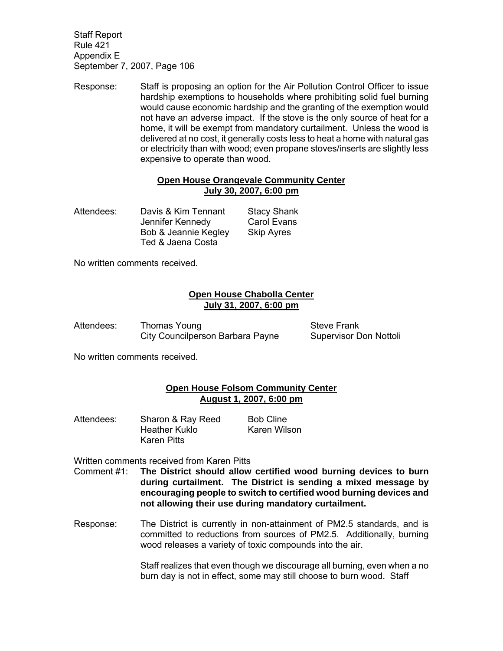Response: Staff is proposing an option for the Air Pollution Control Officer to issue hardship exemptions to households where prohibiting solid fuel burning would cause economic hardship and the granting of the exemption would not have an adverse impact. If the stove is the only source of heat for a home, it will be exempt from mandatory curtailment. Unless the wood is delivered at no cost, it generally costs less to heat a home with natural gas or electricity than with wood; even propane stoves/inserts are slightly less expensive to operate than wood.

## **Open House Orangevale Community Center July 30, 2007, 6:00 pm**

Attendees: Davis & Kim Tennant Stacy Shank Jennifer Kennedy Carol Evans Bob & Jeannie Kegley Skip Ayres Ted & Jaena Costa

No written comments received.

# **Open House Chabolla Center July 31, 2007, 6:00 pm**

| Attendees: | Thomas Young                     |
|------------|----------------------------------|
|            | City Councilperson Barbara Payne |

**Steve Frank** Supervisor Don Nottoli

No written comments received.

# **Open House Folsom Community Center August 1, 2007, 6:00 pm**

Attendees: Sharon & Ray Reed Bob Cline Heather Kuklo Karen Wilson Karen Pitts

Written comments received from Karen Pitts

- Comment #1: **The District should allow certified wood burning devices to burn during curtailment. The District is sending a mixed message by encouraging people to switch to certified wood burning devices and not allowing their use during mandatory curtailment.**
- Response: The District is currently in non-attainment of PM2.5 standards, and is committed to reductions from sources of PM2.5. Additionally, burning wood releases a variety of toxic compounds into the air.

 Staff realizes that even though we discourage all burning, even when a no burn day is not in effect, some may still choose to burn wood. Staff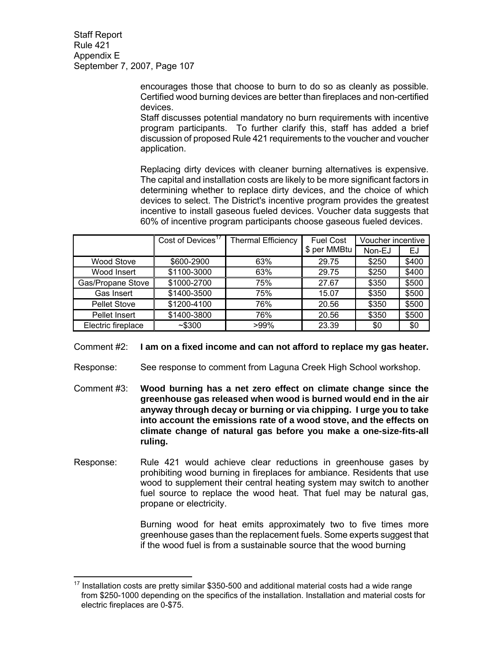> encourages those that choose to burn to do so as cleanly as possible. Certified wood burning devices are better than fireplaces and non-certified devices.

> Staff discusses potential mandatory no burn requirements with incentive program participants. To further clarify this, staff has added a brief discussion of proposed Rule 421 requirements to the voucher and voucher application.

> Replacing dirty devices with cleaner burning alternatives is expensive. The capital and installation costs are likely to be more significant factors in determining whether to replace dirty devices, and the choice of which devices to select. The District's incentive program provides the greatest incentive to install gaseous fueled devices. Voucher data suggests that 60% of incentive program participants choose gaseous fueled devices.

|                     | Cost of Devices <sup>17</sup> | <b>Thermal Efficiency</b> | <b>Fuel Cost</b> | Voucher incentive |       |
|---------------------|-------------------------------|---------------------------|------------------|-------------------|-------|
|                     |                               |                           | \$ per MMBtu     | Non-EJ            | EJ    |
| <b>Wood Stove</b>   | \$600-2900                    | 63%                       | 29.75            | \$250             | \$400 |
| Wood Insert         | \$1100-3000                   | 63%                       | 29.75            | \$250             | \$400 |
| Gas/Propane Stove   | \$1000-2700                   | 75%                       | 27.67            | \$350             | \$500 |
| Gas Insert          | \$1400-3500                   | 75%                       | 15.07            | \$350             | \$500 |
| <b>Pellet Stove</b> | \$1200-4100                   | 76%                       | 20.56            | \$350             | \$500 |
| Pellet Insert       | \$1400-3800                   | 76%                       | 20.56            | \$350             | \$500 |
| Electric fireplace  | ~15300                        | $>99\%$                   | 23.39            | \$0               | \$0   |

### Comment #2: **I am on a fixed income and can not afford to replace my gas heater.**

Response: See response to comment from Laguna Creek High School workshop.

- Comment #3: **Wood burning has a net zero effect on climate change since the greenhouse gas released when wood is burned would end in the air anyway through decay or burning or via chipping. I urge you to take into account the emissions rate of a wood stove, and the effects on climate change of natural gas before you make a one-size-fits-all ruling.**
- Response: Rule 421 would achieve clear reductions in greenhouse gases by prohibiting wood burning in fireplaces for ambiance. Residents that use wood to supplement their central heating system may switch to another fuel source to replace the wood heat. That fuel may be natural gas, propane or electricity.

 Burning wood for heat emits approximately two to five times more greenhouse gases than the replacement fuels. Some experts suggest that if the wood fuel is from a sustainable source that the wood burning

 $\overline{a}$  $17$  Installation costs are pretty similar \$350-500 and additional material costs had a wide range from \$250-1000 depending on the specifics of the installation. Installation and material costs for electric fireplaces are 0-\$75.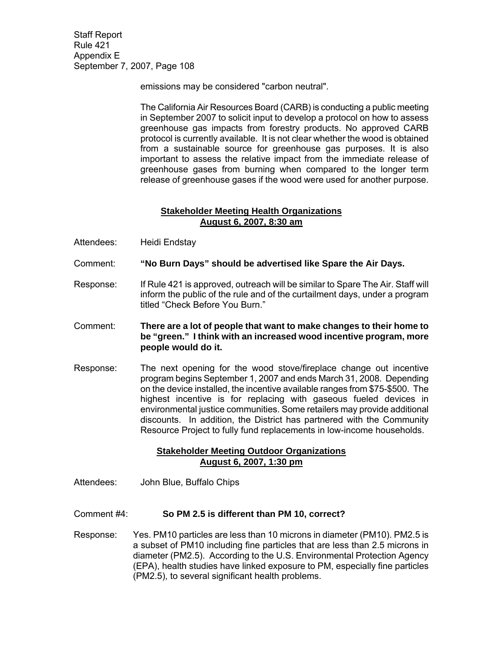emissions may be considered "carbon neutral".

 The California Air Resources Board (CARB) is conducting a public meeting in September 2007 to solicit input to develop a protocol on how to assess greenhouse gas impacts from forestry products. No approved CARB protocol is currently available. It is not clear whether the wood is obtained from a sustainable source for greenhouse gas purposes. It is also important to assess the relative impact from the immediate release of greenhouse gases from burning when compared to the longer term release of greenhouse gases if the wood were used for another purpose.

### **Stakeholder Meeting Health Organizations August 6, 2007, 8:30 am**

- Attendees: Heidi Endstay
- Comment: **"No Burn Days" should be advertised like Spare the Air Days.**
- Response: If Rule 421 is approved, outreach will be similar to Spare The Air. Staff will inform the public of the rule and of the curtailment days, under a program titled "Check Before You Burn."
- Comment: **There are a lot of people that want to make changes to their home to be "green." I think with an increased wood incentive program, more people would do it.**
- Response: The next opening for the wood stove/fireplace change out incentive program begins September 1, 2007 and ends March 31, 2008. Depending on the device installed, the incentive available ranges from \$75-\$500. The highest incentive is for replacing with gaseous fueled devices in environmental justice communities. Some retailers may provide additional discounts. In addition, the District has partnered with the Community Resource Project to fully fund replacements in low-income households.

# **Stakeholder Meeting Outdoor Organizations August 6, 2007, 1:30 pm**

Attendees: John Blue, Buffalo Chips

Comment #4: **So PM 2.5 is different than PM 10, correct?** 

Response: Yes. PM10 particles are less than 10 microns in diameter (PM10). PM2.5 is a subset of PM10 including fine particles that are less than 2.5 microns in diameter (PM2.5). According to the U.S. Environmental Protection Agency (EPA), health studies have linked exposure to PM, especially fine particles (PM2.5), to several significant health problems.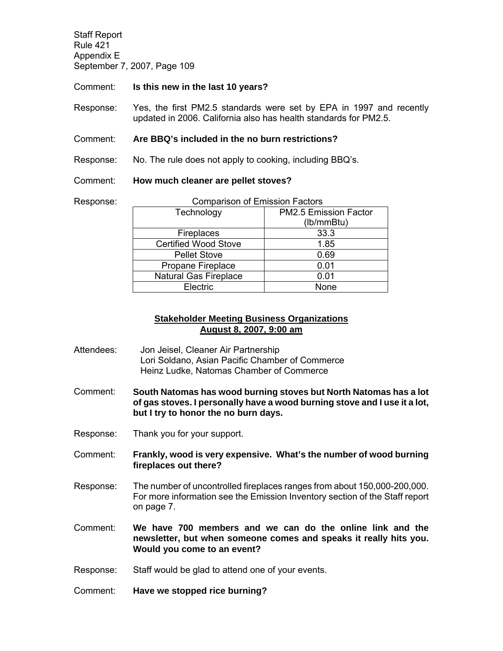Response:

Comment: **Is this new in the last 10 years?** 

Response: Yes, the first PM2.5 standards were set by EPA in 1997 and recently updated in 2006. California also has health standards for PM2.5.

#### Comment: **Are BBQ's included in the no burn restrictions?**

Response: No. The rule does not apply to cooking, including BBQ's.

#### Comment: **How much cleaner are pellet stoves?**

| <b>Comparison of Emission Factors</b> |                       |  |  |  |
|---------------------------------------|-----------------------|--|--|--|
| Technology                            | PM2.5 Emission Factor |  |  |  |
|                                       | (lb/mmBtu)            |  |  |  |
| Fireplaces                            | 33.3                  |  |  |  |
| <b>Certified Wood Stove</b>           | 1.85                  |  |  |  |
| <b>Pellet Stove</b>                   | 0.69                  |  |  |  |
| Propane Fireplace                     | 0.01                  |  |  |  |
| <b>Natural Gas Fireplace</b>          | 0.01                  |  |  |  |
| Electric                              | None                  |  |  |  |

### **Stakeholder Meeting Business Organizations August 8, 2007, 9:00 am**

- Attendees: Jon Jeisel, Cleaner Air Partnership Lori Soldano, Asian Pacific Chamber of Commerce Heinz Ludke, Natomas Chamber of Commerce
- Comment: **South Natomas has wood burning stoves but North Natomas has a lot of gas stoves. I personally have a wood burning stove and I use it a lot, but I try to honor the no burn days.**
- Response: Thank you for your support.
- Comment: **Frankly, wood is very expensive. What's the number of wood burning fireplaces out there?**
- Response: The number of uncontrolled fireplaces ranges from about 150,000-200,000. For more information see the Emission Inventory section of the Staff report on page 7.
- Comment: **We have 700 members and we can do the online link and the newsletter, but when someone comes and speaks it really hits you. Would you come to an event?**
- Response: Staff would be glad to attend one of your events.
- Comment: **Have we stopped rice burning?**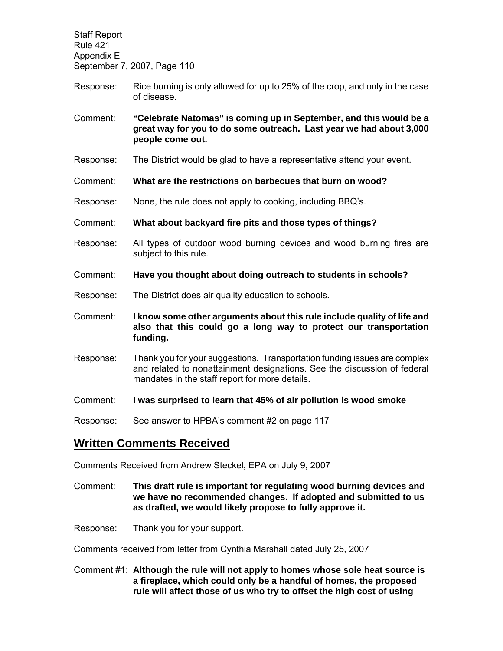Staff Report Rule 421 Appendix E September 7, 2007, Page 110 Response: Rice burning is only allowed for up to 25% of the crop, and only in the case of disease. Comment: **"Celebrate Natomas" is coming up in September, and this would be a great way for you to do some outreach. Last year we had about 3,000 people come out.**  Response: The District would be glad to have a representative attend your event. Comment: **What are the restrictions on barbecues that burn on wood?**  Response: None, the rule does not apply to cooking, including BBQ's. Comment: **What about backyard fire pits and those types of things?**  Response: All types of outdoor wood burning devices and wood burning fires are subject to this rule. Comment: **Have you thought about doing outreach to students in schools?**  Response: The District does air quality education to schools. Comment: **I know some other arguments about this rule include quality of life and also that this could go a long way to protect our transportation funding.**  Response: Thank you for your suggestions. Transportation funding issues are complex and related to nonattainment designations. See the discussion of federal mandates in the staff report for more details.

Comment: **I was surprised to learn that 45% of air pollution is wood smoke** 

Response: See answer to HPBA's comment #2 on page 117

# **Written Comments Received**

Comments Received from Andrew Steckel, EPA on July 9, 2007

- Comment: **This draft rule is important for regulating wood burning devices and we have no recommended changes. If adopted and submitted to us as drafted, we would likely propose to fully approve it.**
- Response: Thank you for your support.

Comments received from letter from Cynthia Marshall dated July 25, 2007

Comment #1: **Although the rule will not apply to homes whose sole heat source is a fireplace, which could only be a handful of homes, the proposed rule will affect those of us who try to offset the high cost of using**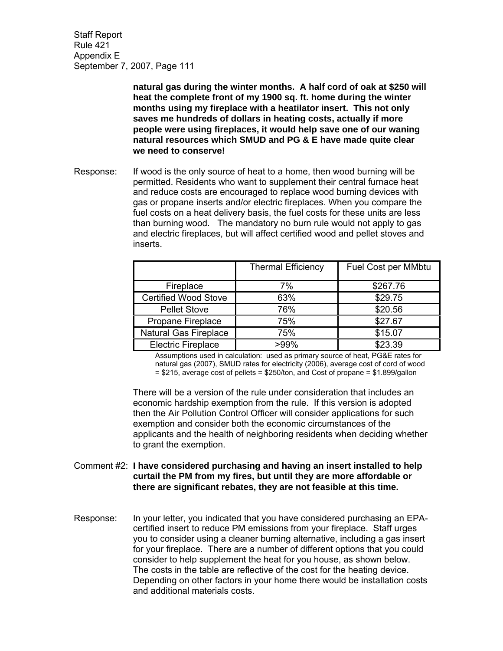> **natural gas during the winter months. A half cord of oak at \$250 will heat the complete front of my 1900 sq. ft. home during the winter months using my fireplace with a heatilator insert. This not only saves me hundreds of dollars in heating costs, actually if more people were using fireplaces, it would help save one of our waning natural resources which SMUD and PG & E have made quite clear we need to conserve!**

Response: If wood is the only source of heat to a home, then wood burning will be permitted. Residents who want to supplement their central furnace heat and reduce costs are encouraged to replace wood burning devices with gas or propane inserts and/or electric fireplaces. When you compare the fuel costs on a heat delivery basis, the fuel costs for these units are less than burning wood. The mandatory no burn rule would not apply to gas and electric fireplaces, but will affect certified wood and pellet stoves and inserts.

|                              | <b>Thermal Efficiency</b> | Fuel Cost per MMbtu |
|------------------------------|---------------------------|---------------------|
| Fireplace                    | 7%                        | \$267.76            |
| <b>Certified Wood Stove</b>  | 63%                       | \$29.75             |
| <b>Pellet Stove</b>          | 76%                       | \$20.56             |
| Propane Fireplace            | 75%                       | \$27.67             |
| <b>Natural Gas Fireplace</b> | 75%                       | \$15.07             |
| <b>Electric Fireplace</b>    | >99%                      | \$23.39             |

Assumptions used in calculation: used as primary source of heat, PG&E rates for natural gas (2007), SMUD rates for electricity (2006), average cost of cord of wood  $= $215$ , average cost of pellets =  $$250/t$ on, and Cost of propane =  $$1.899/q$ allon

There will be a version of the rule under consideration that includes an economic hardship exemption from the rule. If this version is adopted then the Air Pollution Control Officer will consider applications for such exemption and consider both the economic circumstances of the applicants and the health of neighboring residents when deciding whether to grant the exemption.

- Comment #2: **I have considered purchasing and having an insert installed to help curtail the PM from my fires, but until they are more affordable or there are significant rebates, they are not feasible at this time.**
- Response: In your letter, you indicated that you have considered purchasing an EPAcertified insert to reduce PM emissions from your fireplace. Staff urges you to consider using a cleaner burning alternative, including a gas insert for your fireplace. There are a number of different options that you could consider to help supplement the heat for you house, as shown below. The costs in the table are reflective of the cost for the heating device. Depending on other factors in your home there would be installation costs and additional materials costs.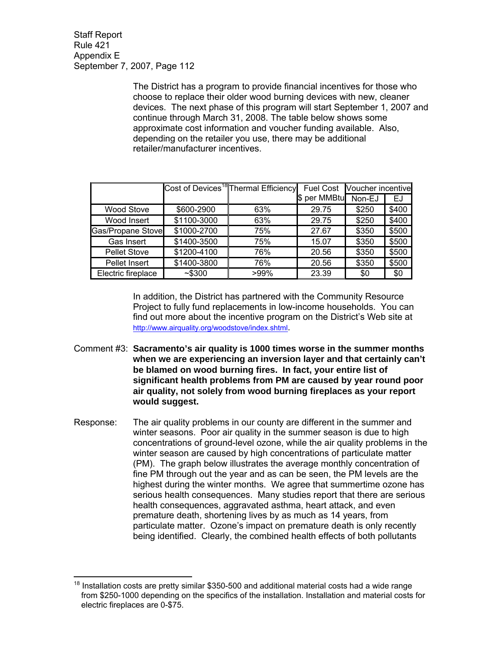> The District has a program to provide financial incentives for those who choose to replace their older wood burning devices with new, cleaner devices. The next phase of this program will start September 1, 2007 and continue through March 31, 2008. The table below shows some approximate cost information and voucher funding available. Also, depending on the retailer you use, there may be additional retailer/manufacturer incentives.

|                     |             | Cost of Devices <sup>18</sup> Thermal Efficiency<br><b>Fuel Cost</b> |                  | Voucher incentive |       |
|---------------------|-------------|----------------------------------------------------------------------|------------------|-------------------|-------|
|                     |             |                                                                      | per MMBtu<br>1\$ | Non-EJ            | EJ    |
| <b>Wood Stove</b>   | \$600-2900  | 63%                                                                  | 29.75            | \$250             | \$400 |
| Wood Insert         | \$1100-3000 | 63%                                                                  | 29.75            | \$250             | \$400 |
| Gas/Propane Stove   | \$1000-2700 | 75%                                                                  | 27.67            | \$350             | \$500 |
| Gas Insert          | \$1400-3500 | 75%                                                                  | 15.07            | \$350             | \$500 |
| <b>Pellet Stove</b> | \$1200-4100 | 76%                                                                  | 20.56            | \$350             | \$500 |
| Pellet Insert       | \$1400-3800 | 76%                                                                  | 20.56            | \$350             | \$500 |
| Electric fireplace  | ~5300       | $>99\%$                                                              | 23.39            | \$0               | \$0   |

 In addition, the District has partnered with the Community Resource Project to fully fund replacements in low-income households. You can find out more about the incentive program on the District's Web site at http://www.airquality.org/woodstove/index.shtml.

- Comment #3: **Sacramento's air quality is 1000 times worse in the summer months when we are experiencing an inversion layer and that certainly can't be blamed on wood burning fires. In fact, your entire list of significant health problems from PM are caused by year round poor air quality, not solely from wood burning fireplaces as your report would suggest.**
- Response: The air quality problems in our county are different in the summer and winter seasons. Poor air quality in the summer season is due to high concentrations of ground-level ozone, while the air quality problems in the winter season are caused by high concentrations of particulate matter (PM). The graph below illustrates the average monthly concentration of fine PM through out the year and as can be seen, the PM levels are the highest during the winter months. We agree that summertime ozone has serious health consequences. Many studies report that there are serious health consequences, aggravated asthma, heart attack, and even premature death, shortening lives by as much as 14 years, from particulate matter. Ozone's impact on premature death is only recently being identified. Clearly, the combined health effects of both pollutants

 $\overline{a}$  $18$  Installation costs are pretty similar \$350-500 and additional material costs had a wide range from \$250-1000 depending on the specifics of the installation. Installation and material costs for electric fireplaces are 0-\$75.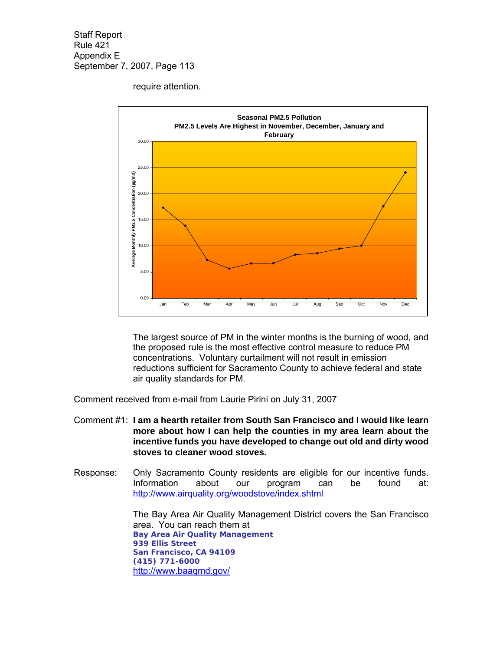require attention.



The largest source of PM in the winter months is the burning of wood, and the proposed rule is the most effective control measure to reduce PM concentrations. Voluntary curtailment will not result in emission reductions sufficient for Sacramento County to achieve federal and state air quality standards for PM.

Comment received from e-mail from Laurie Pirini on July 31, 2007

- Comment #1: **I am a hearth retailer from South San Francisco and I would like learn more about how I can help the counties in my area learn about the incentive funds you have developed to change out old and dirty wood stoves to cleaner wood stoves.**
- Response: Only Sacramento County residents are eligible for our incentive funds. Information about our program can be found at: http://www.airquality.org/woodstove/index.shtml

 The Bay Area Air Quality Management District covers the San Francisco area. You can reach them at  **Bay Area Air Quality Management 939 Ellis Street San Francisco, CA 94109 (415) 771-6000**  http://www.baaqmd.gov/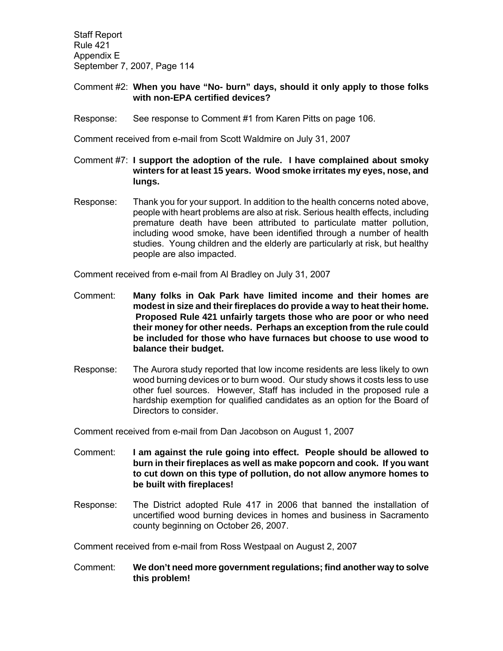## Comment #2: **When you have "No- burn" days, should it only apply to those folks with non-EPA certified devices?**

Response: See response to Comment #1 from Karen Pitts on page 106.

Comment received from e-mail from Scott Waldmire on July 31, 2007

- Comment #7: **I support the adoption of the rule. I have complained about smoky winters for at least 15 years. Wood smoke irritates my eyes, nose, and lungs.**
- Response: Thank you for your support. In addition to the health concerns noted above, people with heart problems are also at risk. Serious health effects, including premature death have been attributed to particulate matter pollution, including wood smoke, have been identified through a number of health studies. Young children and the elderly are particularly at risk, but healthy people are also impacted.

Comment received from e-mail from Al Bradley on July 31, 2007

- Comment: **Many folks in Oak Park have limited income and their homes are modest in size and their fireplaces do provide a way to heat their home. Proposed Rule 421 unfairly targets those who are poor or who need their money for other needs. Perhaps an exception from the rule could be included for those who have furnaces but choose to use wood to balance their budget.**
- Response: The Aurora study reported that low income residents are less likely to own wood burning devices or to burn wood. Our study shows it costs less to use other fuel sources. However, Staff has included in the proposed rule a hardship exemption for qualified candidates as an option for the Board of Directors to consider.

Comment received from e-mail from Dan Jacobson on August 1, 2007

- Comment: **I am against the rule going into effect. People should be allowed to burn in their fireplaces as well as make popcorn and cook. If you want to cut down on this type of pollution, do not allow anymore homes to be built with fireplaces!**
- Response: The District adopted Rule 417 in 2006 that banned the installation of uncertified wood burning devices in homes and business in Sacramento county beginning on October 26, 2007.

Comment received from e-mail from Ross Westpaal on August 2, 2007

Comment: **We don't need more government regulations; find another way to solve this problem!**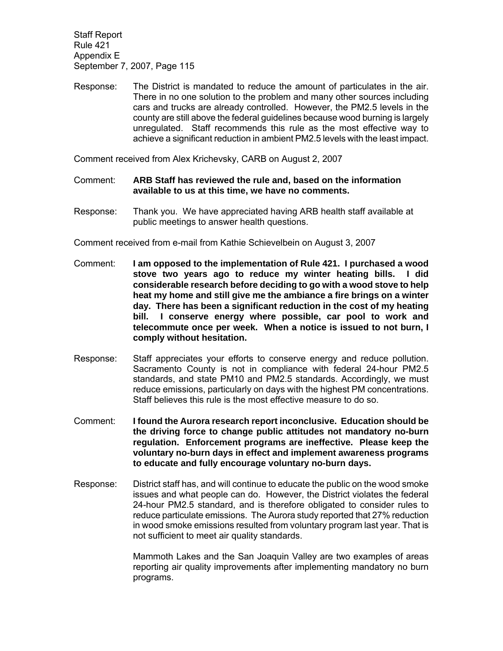Response: The District is mandated to reduce the amount of particulates in the air. There in no one solution to the problem and many other sources including cars and trucks are already controlled. However, the PM2.5 levels in the county are still above the federal guidelines because wood burning is largely unregulated. Staff recommends this rule as the most effective way to achieve a significant reduction in ambient PM2.5 levels with the least impact.

Comment received from Alex Krichevsky, CARB on August 2, 2007

- Comment: **ARB Staff has reviewed the rule and, based on the information available to us at this time, we have no comments.**
- Response: Thank you. We have appreciated having ARB health staff available at public meetings to answer health questions.

Comment received from e-mail from Kathie Schievelbein on August 3, 2007

- Comment: **I am opposed to the implementation of Rule 421. I purchased a wood stove two years ago to reduce my winter heating bills. I did considerable research before deciding to go with a wood stove to help heat my home and still give me the ambiance a fire brings on a winter day. There has been a significant reduction in the cost of my heating bill. I conserve energy where possible, car pool to work and telecommute once per week. When a notice is issued to not burn, I comply without hesitation.**
- Response: Staff appreciates your efforts to conserve energy and reduce pollution. Sacramento County is not in compliance with federal 24-hour PM2.5 standards, and state PM10 and PM2.5 standards. Accordingly, we must reduce emissions, particularly on days with the highest PM concentrations. Staff believes this rule is the most effective measure to do so.
- Comment: **I found the Aurora research report inconclusive. Education should be the driving force to change public attitudes not mandatory no-burn regulation. Enforcement programs are ineffective. Please keep the voluntary no-burn days in effect and implement awareness programs to educate and fully encourage voluntary no-burn days.**
- Response: District staff has, and will continue to educate the public on the wood smoke issues and what people can do. However, the District violates the federal 24-hour PM2.5 standard, and is therefore obligated to consider rules to reduce particulate emissions. The Aurora study reported that 27% reduction in wood smoke emissions resulted from voluntary program last year. That is not sufficient to meet air quality standards.

 Mammoth Lakes and the San Joaquin Valley are two examples of areas reporting air quality improvements after implementing mandatory no burn programs.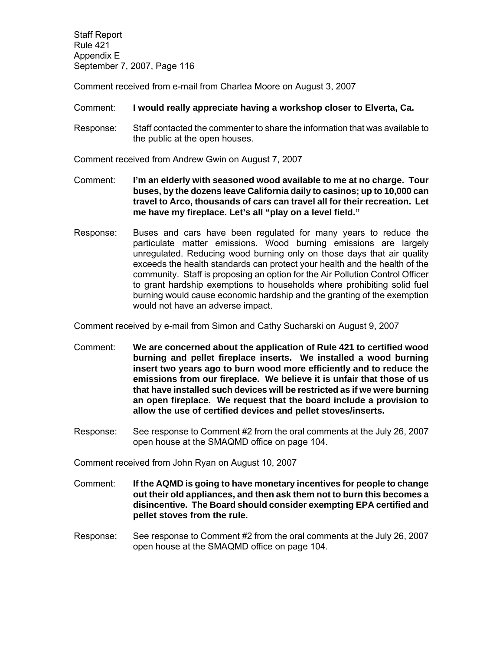Comment received from e-mail from Charlea Moore on August 3, 2007

#### Comment: **I would really appreciate having a workshop closer to Elverta, Ca.**

Response: Staff contacted the commenter to share the information that was available to the public at the open houses.

Comment received from Andrew Gwin on August 7, 2007

- Comment: **I'm an elderly with seasoned wood available to me at no charge. Tour buses, by the dozens leave California daily to casinos; up to 10,000 can travel to Arco, thousands of cars can travel all for their recreation. Let me have my fireplace. Let's all "play on a level field."**
- Response: Buses and cars have been regulated for many years to reduce the particulate matter emissions. Wood burning emissions are largely unregulated. Reducing wood burning only on those days that air quality exceeds the health standards can protect your health and the health of the community. Staff is proposing an option for the Air Pollution Control Officer to grant hardship exemptions to households where prohibiting solid fuel burning would cause economic hardship and the granting of the exemption would not have an adverse impact.

Comment received by e-mail from Simon and Cathy Sucharski on August 9, 2007

- Comment: **We are concerned about the application of Rule 421 to certified wood burning and pellet fireplace inserts. We installed a wood burning insert two years ago to burn wood more efficiently and to reduce the emissions from our fireplace. We believe it is unfair that those of us that have installed such devices will be restricted as if we were burning an open fireplace. We request that the board include a provision to allow the use of certified devices and pellet stoves/inserts.**
- Response: See response to Comment #2 from the oral comments at the July 26, 2007 open house at the SMAQMD office on page 104.

Comment received from John Ryan on August 10, 2007

- Comment: **If the AQMD is going to have monetary incentives for people to change out their old appliances, and then ask them not to burn this becomes a disincentive. The Board should consider exempting EPA certified and pellet stoves from the rule.**
- Response: See response to Comment #2 from the oral comments at the July 26, 2007 open house at the SMAQMD office on page 104.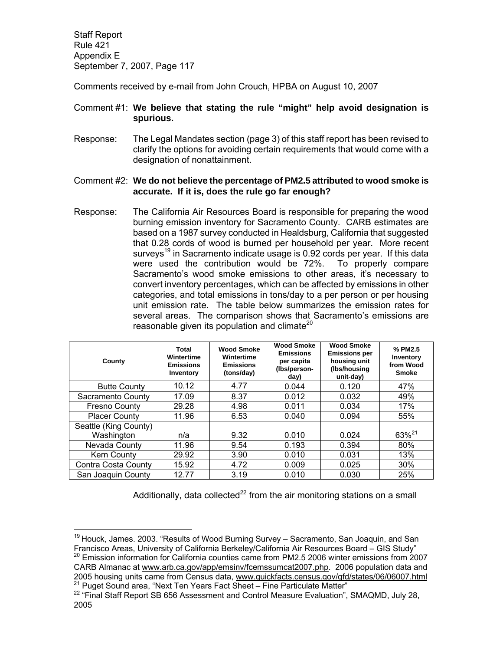Comments received by e-mail from John Crouch, HPBA on August 10, 2007

## Comment #1: **We believe that stating the rule "might" help avoid designation is spurious.**

- Response: The Legal Mandates section (page 3) of this staff report has been revised to clarify the options for avoiding certain requirements that would come with a designation of nonattainment.
- Comment #2: **We do not believe the percentage of PM2.5 attributed to wood smoke is accurate. If it is, does the rule go far enough?**
- Response: The California Air Resources Board is responsible for preparing the wood burning emission inventory for Sacramento County. CARB estimates are based on a 1987 survey conducted in Healdsburg, California that suggested that 0.28 cords of wood is burned per household per year. More recent surveys<sup>19</sup> in Sacramento indicate usage is 0.92 cords per year. If this data were used the contribution would be 72%. To properly compare Sacramento's wood smoke emissions to other areas, it's necessary to convert inventory percentages, which can be affected by emissions in other categories, and total emissions in tons/day to a per person or per housing unit emission rate. The table below summarizes the emission rates for several areas. The comparison shows that Sacramento's emissions are reasonable given its population and climate $20$

| County                | Total<br>Wintertime<br><b>Emissions</b><br>Inventory | Wood Smoke<br>Wintertime<br><b>Emissions</b><br>(tons/day) | <b>Wood Smoke</b><br><b>Emissions</b><br>per capita<br>(Ibs/person-<br>day) | <b>Wood Smoke</b><br><b>Emissions per</b><br>housing unit<br>(Ibs/housing<br>unit-day) | % PM2.5<br>Inventory<br>from Wood<br><b>Smoke</b> |
|-----------------------|------------------------------------------------------|------------------------------------------------------------|-----------------------------------------------------------------------------|----------------------------------------------------------------------------------------|---------------------------------------------------|
| <b>Butte County</b>   | 10.12                                                | 4.77                                                       | 0.044                                                                       | 0.120                                                                                  | 47%                                               |
| Sacramento County     | 17.09                                                | 8.37                                                       | 0.012                                                                       | 0.032                                                                                  | 49%                                               |
| <b>Fresno County</b>  | 29.28                                                | 4.98                                                       | 0.011                                                                       | 0.034                                                                                  | 17%                                               |
| <b>Placer County</b>  | 11.96                                                | 6.53                                                       | 0.040                                                                       | 0.094                                                                                  | 55%                                               |
| Seattle (King County) |                                                      |                                                            |                                                                             |                                                                                        |                                                   |
| Washington            | n/a                                                  | 9.32                                                       | 0.010                                                                       | 0.024                                                                                  | 63% <sup>21</sup>                                 |
| Nevada County         | 11.96                                                | 9.54                                                       | 0.193                                                                       | 0.394                                                                                  | 80%                                               |
| Kern County           | 29.92                                                | 3.90                                                       | 0.010                                                                       | 0.031                                                                                  | 13%                                               |
| Contra Costa County   | 15.92                                                | 4.72                                                       | 0.009                                                                       | 0.025                                                                                  | 30%                                               |
| San Joaquin County    | 12.77                                                | 3.19                                                       | 0.010                                                                       | 0.030                                                                                  | 25%                                               |

Additionally, data collected<sup>22</sup> from the air monitoring stations on a small

 $\overline{a}$ 

 $19$  Houck, James. 2003. "Results of Wood Burning Survey – Sacramento, San Joaquin, and San Francisco Areas, University of California Berkeley/California Air Resources Board – GIS Study"  $20$  Emission information for California counties came from PM2.5 2006 winter emissions from 2007 CARB Almanac at www.arb.ca.gov/app/emsinv/fcemssumcat2007.php. 2006 population data and 2005 housing units came from Census data, www.quickfacts.census.gov/qfd/states/06/06007.html

<sup>21</sup> Puget Sound area, "Next Ten Years Fact Sheet – Fine Particulate Matter"

<sup>&</sup>lt;sup>22</sup> "Final Staff Report SB 656 Assessment and Control Measure Evaluation", SMAQMD, July 28, 2005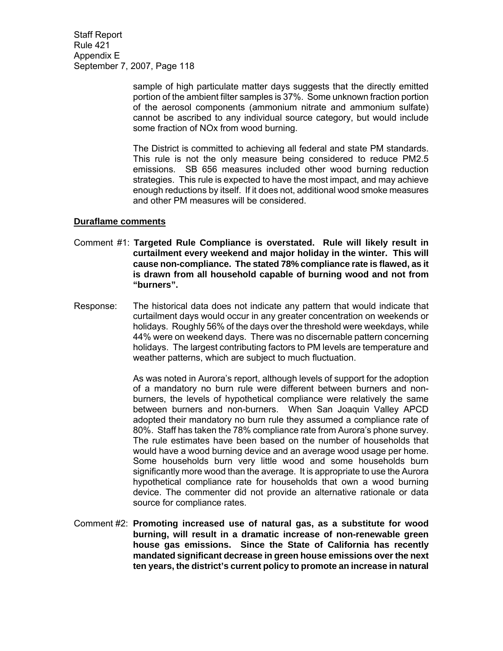> sample of high particulate matter days suggests that the directly emitted portion of the ambient filter samples is 37%. Some unknown fraction portion of the aerosol components (ammonium nitrate and ammonium sulfate) cannot be ascribed to any individual source category, but would include some fraction of NOx from wood burning.

> The District is committed to achieving all federal and state PM standards. This rule is not the only measure being considered to reduce PM2.5 emissions. SB 656 measures included other wood burning reduction strategies. This rule is expected to have the most impact, and may achieve enough reductions by itself. If it does not, additional wood smoke measures and other PM measures will be considered.

#### **Duraflame comments**

- Comment #1: **Targeted Rule Compliance is overstated. Rule will likely result in curtailment every weekend and major holiday in the winter. This will cause non-compliance. The stated 78% compliance rate is flawed, as it is drawn from all household capable of burning wood and not from "burners".**
- Response: The historical data does not indicate any pattern that would indicate that curtailment days would occur in any greater concentration on weekends or holidays. Roughly 56% of the days over the threshold were weekdays, while 44% were on weekend days. There was no discernable pattern concerning holidays. The largest contributing factors to PM levels are temperature and weather patterns, which are subject to much fluctuation.

 As was noted in Aurora's report, although levels of support for the adoption of a mandatory no burn rule were different between burners and nonburners, the levels of hypothetical compliance were relatively the same between burners and non-burners. When San Joaquin Valley APCD adopted their mandatory no burn rule they assumed a compliance rate of 80%. Staff has taken the 78% compliance rate from Aurora's phone survey. The rule estimates have been based on the number of households that would have a wood burning device and an average wood usage per home. Some households burn very little wood and some households burn significantly more wood than the average. It is appropriate to use the Aurora hypothetical compliance rate for households that own a wood burning device. The commenter did not provide an alternative rationale or data source for compliance rates.

Comment #2: **Promoting increased use of natural gas, as a substitute for wood burning, will result in a dramatic increase of non-renewable green house gas emissions. Since the State of California has recently mandated significant decrease in green house emissions over the next ten years, the district's current policy to promote an increase in natural**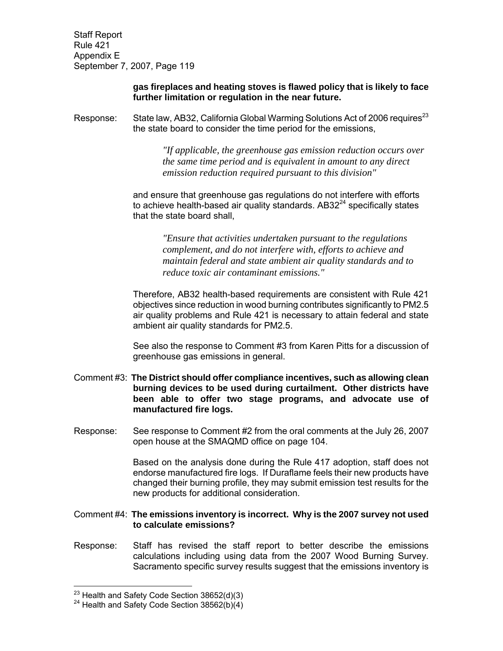## **gas fireplaces and heating stoves is flawed policy that is likely to face further limitation or regulation in the near future.**

Response: State law, AB32, California Global Warming Solutions Act of 2006 requires<sup>23</sup> the state board to consider the time period for the emissions,

> *"If applicable, the greenhouse gas emission reduction occurs over the same time period and is equivalent in amount to any direct emission reduction required pursuant to this division"*

and ensure that greenhouse gas regulations do not interfere with efforts to achieve health-based air quality standards.  $AB32<sup>24</sup>$  specifically states that the state board shall,

> *"Ensure that activities undertaken pursuant to the regulations complement, and do not interfere with, efforts to achieve and maintain federal and state ambient air quality standards and to reduce toxic air contaminant emissions."*

 Therefore, AB32 health-based requirements are consistent with Rule 421 objectives since reduction in wood burning contributes significantly to PM2.5 air quality problems and Rule 421 is necessary to attain federal and state ambient air quality standards for PM2.5.

 See also the response to Comment #3 from Karen Pitts for a discussion of greenhouse gas emissions in general.

- Comment #3: **The District should offer compliance incentives, such as allowing clean burning devices to be used during curtailment. Other districts have been able to offer two stage programs, and advocate use of manufactured fire logs.**
- Response: See response to Comment #2 from the oral comments at the July 26, 2007 open house at the SMAQMD office on page 104.

 Based on the analysis done during the Rule 417 adoption, staff does not endorse manufactured fire logs. If Duraflame feels their new products have changed their burning profile, they may submit emission test results for the new products for additional consideration.

## Comment #4: **The emissions inventory is incorrect. Why is the 2007 survey not used to calculate emissions?**

Response: Staff has revised the staff report to better describe the emissions calculations including using data from the 2007 Wood Burning Survey. Sacramento specific survey results suggest that the emissions inventory is

 $\overline{a}$ 

 $^{23}$  Health and Safety Code Section 38652(d)(3)

 $24$  Health and Safety Code Section 38562(b)(4)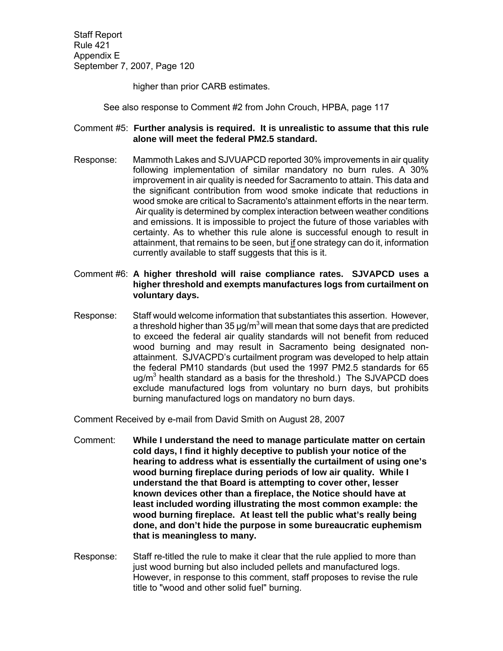higher than prior CARB estimates.

See also response to Comment #2 from John Crouch, HPBA, page 117

## Comment #5: **Further analysis is required. It is unrealistic to assume that this rule alone will meet the federal PM2.5 standard.**

- Response: Mammoth Lakes and SJVUAPCD reported 30% improvements in air quality following implementation of similar mandatory no burn rules. A 30% improvement in air quality is needed for Sacramento to attain. This data and the significant contribution from wood smoke indicate that reductions in wood smoke are critical to Sacramento's attainment efforts in the near term. Air quality is determined by complex interaction between weather conditions and emissions. It is impossible to project the future of those variables with certainty. As to whether this rule alone is successful enough to result in attainment, that remains to be seen, but if one strategy can do it, information currently available to staff suggests that this is it.
- Comment #6: **A higher threshold will raise compliance rates. SJVAPCD uses a higher threshold and exempts manufactures logs from curtailment on voluntary days.**
- Response: Staff would welcome information that substantiates this assertion. However, a threshold higher than 35  $\mu$ g/m<sup>3</sup> will mean that some days that are predicted to exceed the federal air quality standards will not benefit from reduced wood burning and may result in Sacramento being designated nonattainment. SJVACPD's curtailment program was developed to help attain the federal PM10 standards (but used the 1997 PM2.5 standards for 65 ug/m<sup>3</sup> health standard as a basis for the threshold.) The SJVAPCD does exclude manufactured logs from voluntary no burn days, but prohibits burning manufactured logs on mandatory no burn days.

Comment Received by e-mail from David Smith on August 28, 2007

- Comment: **While I understand the need to manage particulate matter on certain cold days, I find it highly deceptive to publish your notice of the hearing to address what is essentially the curtailment of using one's wood burning fireplace during periods of low air quality. While I understand the that Board is attempting to cover other, lesser known devices other than a fireplace, the Notice should have at least included wording illustrating the most common example: the wood burning fireplace. At least tell the public what's really being done, and don't hide the purpose in some bureaucratic euphemism that is meaningless to many.**
- Response: Staff re-titled the rule to make it clear that the rule applied to more than just wood burning but also included pellets and manufactured logs. However, in response to this comment, staff proposes to revise the rule title to "wood and other solid fuel" burning.